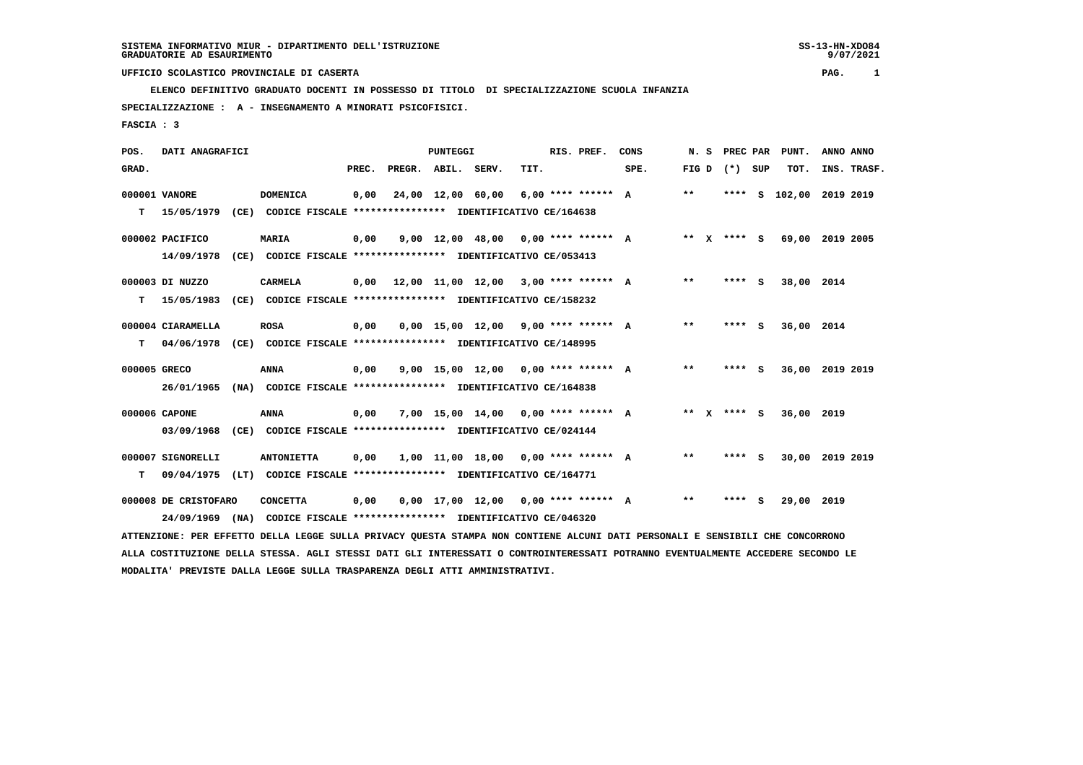**ELENCO DEFINITIVO GRADUATO DOCENTI IN POSSESSO DI TITOLO DI SPECIALIZZAZIONE SCUOLA INFANZIA SPECIALIZZAZIONE : A - INSEGNAMENTO A MINORATI PSICOFISICI.**

 **FASCIA : 3**

| POS.         | DATI ANAGRAFICI      |      |                                                               |       |                    | <b>PUNTEGGI</b> |                                                  |      | RIS. PREF.           | CONS | N.S   | PREC PAR      |     | PUNT.         | ANNO ANNO   |  |
|--------------|----------------------|------|---------------------------------------------------------------|-------|--------------------|-----------------|--------------------------------------------------|------|----------------------|------|-------|---------------|-----|---------------|-------------|--|
| GRAD.        |                      |      |                                                               | PREC. | PREGR. ABIL. SERV. |                 |                                                  | TIT. |                      | SPE. | FIG D | (*) SUP       |     | TOT.          | INS. TRASF. |  |
|              | 000001 VANORE        |      | <b>DOMENICA</b>                                               | 0,00  |                    |                 | 24,00 12,00 60,00                                |      | $6.00$ **** ****** A |      | $***$ |               |     | **** S 102,00 | 2019 2019   |  |
| т            | 15/05/1979           | (CE) | CODICE FISCALE **************** IDENTIFICATIVO CE/164638      |       |                    |                 |                                                  |      |                      |      |       |               |     |               |             |  |
|              | 000002 PACIFICO      |      | MARIA                                                         | 0,00  |                    |                 | $9,00$ 12,00 48,00 0,00 **** ****** A            |      |                      |      |       | ** $X$ **** S |     | 69,00         | 2019 2005   |  |
|              | 14/09/1978           |      | (CE) CODICE FISCALE **************** IDENTIFICATIVO CE/053413 |       |                    |                 |                                                  |      |                      |      |       |               |     |               |             |  |
|              | 000003 DI NUZZO      |      | <b>CARMELA</b>                                                | 0,00  |                    |                 | $12,00$ $11,00$ $12,00$ $3,00$ **** ****** A     |      |                      |      | **    | **** S        |     | 38,00         | 2014        |  |
| т            | 15/05/1983           | (CE) | CODICE FISCALE **************** IDENTIFICATIVO CE/158232      |       |                    |                 |                                                  |      |                      |      |       |               |     |               |             |  |
|              | 000004 CIARAMELLA    |      | ROSA                                                          | 0,00  |                    |                 | $0.00$ 15.00 12.00 9.00 **** ****** A            |      |                      |      | $* *$ | $***$ S       |     | 36,00         | 2014        |  |
| т            | 04/06/1978           |      | (CE) CODICE FISCALE **************** IDENTIFICATIVO CE/148995 |       |                    |                 |                                                  |      |                      |      |       |               |     |               |             |  |
| 000005 GRECO |                      |      | <b>ANNA</b>                                                   | 0,00  |                    |                 | 9,00 15,00 12,00 0,00 **** ****** A              |      |                      |      | $* *$ | **** S        |     | 36,00         | 2019 2019   |  |
|              | 26/01/1965           | (NA) | CODICE FISCALE **************** IDENTIFICATIVO CE/164838      |       |                    |                 |                                                  |      |                      |      |       |               |     |               |             |  |
|              | 000006 CAPONE        |      | <b>ANNA</b>                                                   | 0,00  |                    |                 | 7,00 15,00 14,00 0,00 **** ****** A              |      |                      |      |       | ** $X$ **** S |     | 36,00         | 2019        |  |
|              | 03/09/1968           |      | (CE) CODICE FISCALE **************** IDENTIFICATIVO CE/024144 |       |                    |                 |                                                  |      |                      |      |       |               |     |               |             |  |
|              | 000007 SIGNORELLI    |      | <b>ANTONIETTA</b>                                             | 0,00  |                    |                 | $1,00$ $11,00$ $18,00$ $0,00$ $***$ **** ***** A |      |                      |      | $* *$ | ****          | - S | 30,00         | 2019 2019   |  |
| т            | 09/04/1975           | (LT) | CODICE FISCALE **************** IDENTIFICATIVO CE/164771      |       |                    |                 |                                                  |      |                      |      |       |               |     |               |             |  |
|              | 000008 DE CRISTOFARO |      | <b>CONCETTA</b>                                               | 0,00  |                    |                 | $0,00$ 17,00 12,00 0,00 **** ****** A            |      |                      |      | $* *$ | **** S        |     | 29,00 2019    |             |  |

 **24/09/1969 (NA) CODICE FISCALE \*\*\*\*\*\*\*\*\*\*\*\*\*\*\*\* IDENTIFICATIVO CE/046320**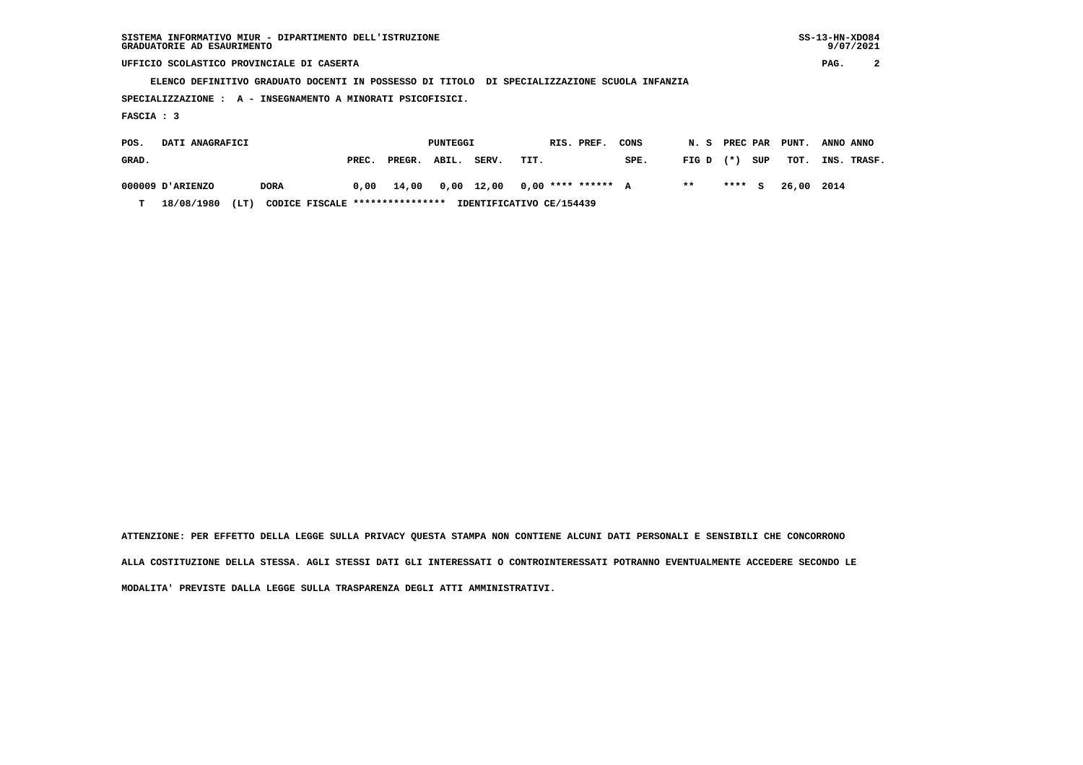| SISTEMA INFORMATIVO MIUR - DIPARTIMENTO DELL'ISTRUZIONE | $SS-13-HN-XDO84$ |
|---------------------------------------------------------|------------------|
| GRADUATORIE AD ESAURIMENTO                              | 9/07/2021        |

 **ELENCO DEFINITIVO GRADUATO DOCENTI IN POSSESSO DI TITOLO DI SPECIALIZZAZIONE SCUOLA INFANZIA**

 **SPECIALIZZAZIONE : A - INSEGNAMENTO A MINORATI PSICOFISICI.**

 **FASCIA : 3**

| POS.  | DATI ANAGRAFICI         |      |                                 |       |            | PUNTEGGI |            | RIS. PREF.               | CONS |             |        |     | N. S PREC PAR PUNT. | ANNO ANNO   |
|-------|-------------------------|------|---------------------------------|-------|------------|----------|------------|--------------------------|------|-------------|--------|-----|---------------------|-------------|
| GRAD. |                         |      |                                 | PREC. | PREGR.     | ABIL.    | SERV.      | TIT.                     | SPE. | $FIG D (*)$ |        | SUP | тот.                | INS. TRASF. |
|       | <b>000009 D'ARIENZO</b> |      | <b>DORA</b>                     |       | 0.00 14.00 |          | 0,00 12,00 | $0.00$ **** ****** A     |      | $* *$       | **** S |     | 26.00 2014          |             |
| т     | 18/08/1980              | (LT) | CODICE FISCALE **************** |       |            |          |            | IDENTIFICATIVO CE/154439 |      |             |        |     |                     |             |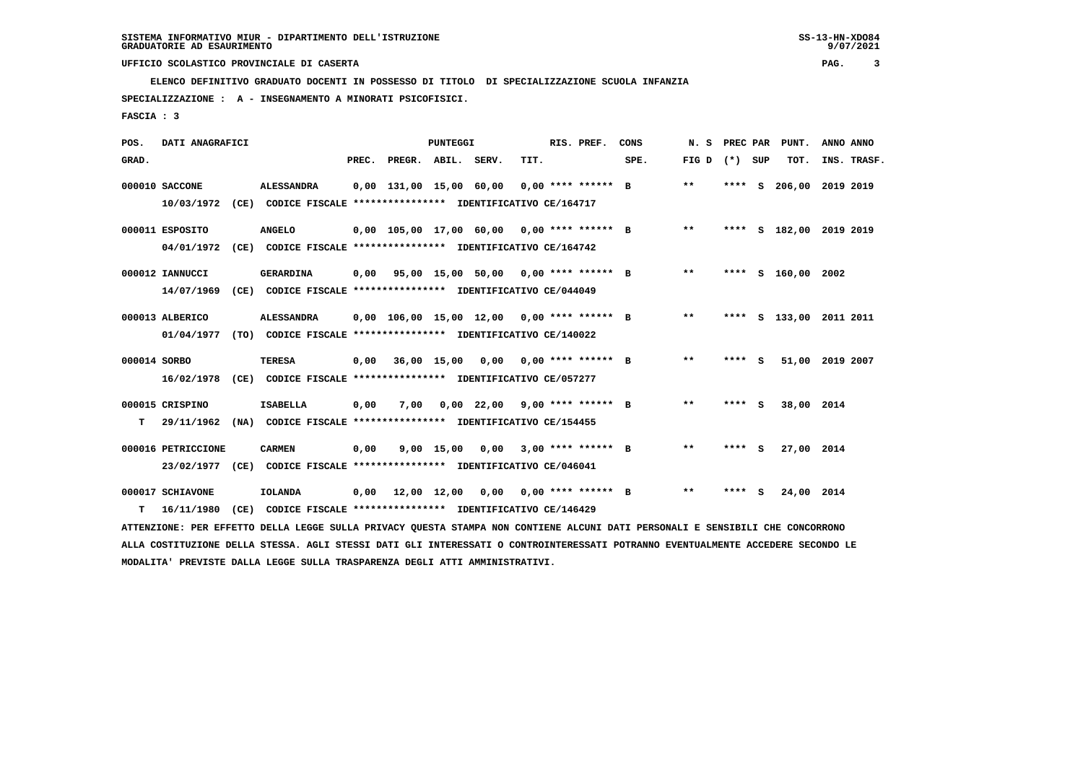**ELENCO DEFINITIVO GRADUATO DOCENTI IN POSSESSO DI TITOLO DI SPECIALIZZAZIONE SCUOLA INFANZIA**

 **SPECIALIZZAZIONE : A - INSEGNAMENTO A MINORATI PSICOFISICI.**

 **FASCIA : 3**

| POS.         | DATI ANAGRAFICI    |      |                                                                                                                               |       |                    | <b>PUNTEGGI</b> |                                              |      | RIS. PREF. | CONS                                      | N.S             |        | PREC PAR PUNT.          | ANNO ANNO |             |
|--------------|--------------------|------|-------------------------------------------------------------------------------------------------------------------------------|-------|--------------------|-----------------|----------------------------------------------|------|------------|-------------------------------------------|-----------------|--------|-------------------------|-----------|-------------|
| GRAD.        |                    |      |                                                                                                                               | PREC. | PREGR. ABIL. SERV. |                 |                                              | TIT. |            | SPE.                                      | FIG D $(*)$ SUP |        | тот.                    |           | INS. TRASF. |
|              | 000010 SACCONE     |      | <b>ALESSANDRA</b>                                                                                                             |       |                    |                 | $0,00$ 131,00 15,00 60,00 0,00 **** ****** B |      |            |                                           | $* *$           |        | **** S 206,00 2019 2019 |           |             |
|              |                    |      | 10/03/1972 (CE) CODICE FISCALE *************** IDENTIFICATIVO CE/164717                                                       |       |                    |                 |                                              |      |            |                                           |                 |        |                         |           |             |
|              | 000011 ESPOSITO    |      | <b>ANGELO</b>                                                                                                                 |       |                    |                 | 0,00 105,00 17,00 60,00 0,00 **** ****** B   |      |            |                                           | $***$           |        | **** S 182,00 2019 2019 |           |             |
|              | 04/01/1972         |      | (CE) CODICE FISCALE **************** IDENTIFICATIVO CE/164742                                                                 |       |                    |                 |                                              |      |            |                                           |                 |        |                         |           |             |
|              | 000012 IANNUCCI    |      | <b>GERARDINA</b>                                                                                                              |       |                    |                 |                                              |      |            | 0,00 95,00 15,00 50,00 0,00 **** ****** B | $\star\star$    |        | **** S 160,00 2002      |           |             |
|              | 14/07/1969         |      | (CE) CODICE FISCALE **************** IDENTIFICATIVO CE/044049                                                                 |       |                    |                 |                                              |      |            |                                           |                 |        |                         |           |             |
|              | 000013 ALBERICO    |      | ALESSANDRA                                                                                                                    |       |                    |                 | $0.00$ 106.00 15.00 12.00 0.00 **** ****** B |      |            |                                           | $***$           |        | **** S 133,00 2011 2011 |           |             |
|              | 01/04/1977         |      | (TO) CODICE FISCALE **************** IDENTIFICATIVO CE/140022                                                                 |       |                    |                 |                                              |      |            |                                           |                 |        |                         |           |             |
|              |                    |      |                                                                                                                               |       |                    |                 |                                              |      |            |                                           |                 |        |                         |           |             |
| 000014 SORBO |                    |      | <b>TERESA</b>                                                                                                                 |       |                    |                 | $0,00$ 36,00 15,00 0,00 0,00 **** ****** B   |      |            |                                           | $***$           | **** S | 51,00 2019 2007         |           |             |
|              | 16/02/1978         |      | (CE) CODICE FISCALE **************** IDENTIFICATIVO CE/057277                                                                 |       |                    |                 |                                              |      |            |                                           |                 |        |                         |           |             |
|              | 000015 CRISPINO    |      | <b>ISABELLA</b>                                                                                                               | 0,00  | 7,00               |                 | $0,00$ 22,00 9,00 **** ****** B              |      |            |                                           | **              | **** S | 38,00 2014              |           |             |
| т            | 29/11/1962         |      | (NA) CODICE FISCALE **************** IDENTIFICATIVO CE/154455                                                                 |       |                    |                 |                                              |      |            |                                           |                 |        |                         |           |             |
|              | 000016 PETRICCIONE |      | <b>CARMEN</b>                                                                                                                 | 0,00  |                    |                 | 9,00 15,00 0,00 3,00 **** ****** B           |      |            |                                           | $**$            | **** S | 27,00 2014              |           |             |
|              |                    |      | 23/02/1977 (CE) CODICE FISCALE *************** IDENTIFICATIVO CE/046041                                                       |       |                    |                 |                                              |      |            |                                           |                 |        |                         |           |             |
|              |                    |      |                                                                                                                               |       |                    |                 |                                              |      |            |                                           |                 |        |                         |           |             |
|              | 000017 SCHIAVONE   |      | <b>IOLANDA</b>                                                                                                                | 0,00  |                    |                 | 12,00 12,00 0,00 0,00 **** ****** B          |      |            |                                           | $* *$           | **** S | 24,00 2014              |           |             |
| т            | 16/11/1980         | (CE) | CODICE FISCALE **************** IDENTIFICATIVO CE/146429                                                                      |       |                    |                 |                                              |      |            |                                           |                 |        |                         |           |             |
|              |                    |      | ATTENZIONE: PER EFFETTO DELLA LEGGE SULLA PRIVACY QUESTA STAMPA NON CONTIENE ALCUNI DATI PERSONALI E SENSIBILI CHE CONCORRONO |       |                    |                 |                                              |      |            |                                           |                 |        |                         |           |             |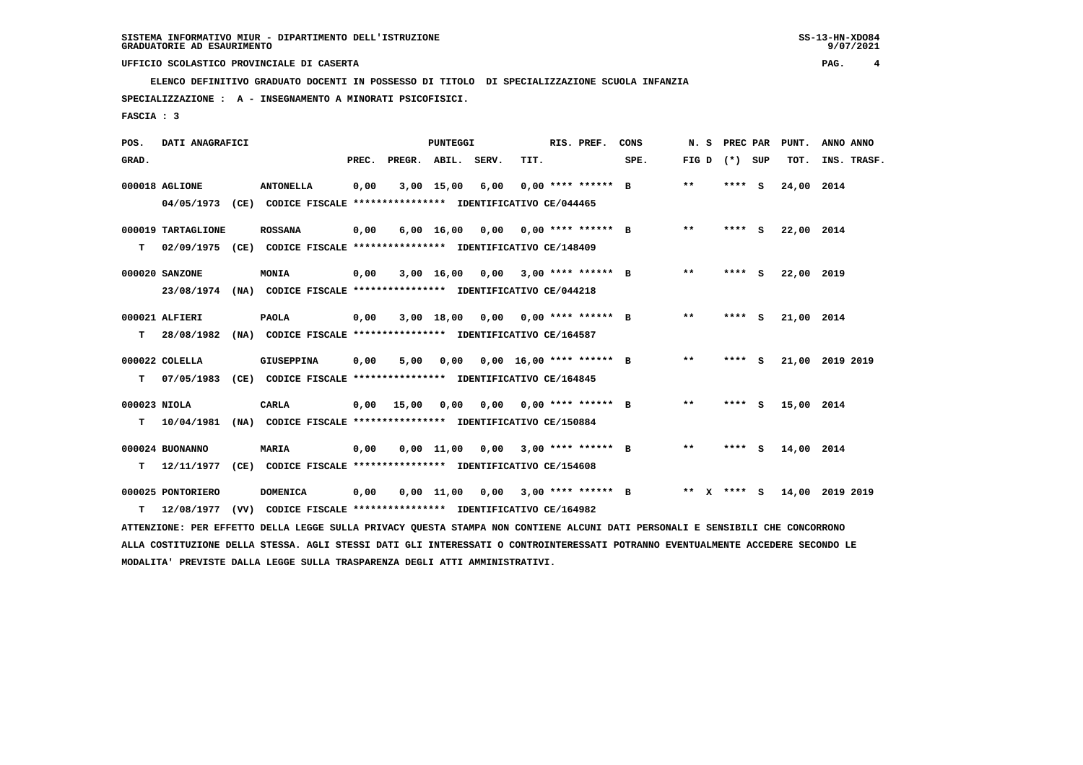**ELENCO DEFINITIVO GRADUATO DOCENTI IN POSSESSO DI TITOLO DI SPECIALIZZAZIONE SCUOLA INFANZIA**

 **SPECIALIZZAZIONE : A - INSEGNAMENTO A MINORATI PSICOFISICI.**

 **FASCIA : 3**

| POS.         | DATI ANAGRAFICI                                                                                                                 |                                                               |       |                    | <b>PUNTEGGI</b>    |                                      |      | RIS. PREF.                  | CONS | N.S             | <b>PREC PAR</b> | PUNT.      | ANNO ANNO       |  |
|--------------|---------------------------------------------------------------------------------------------------------------------------------|---------------------------------------------------------------|-------|--------------------|--------------------|--------------------------------------|------|-----------------------------|------|-----------------|-----------------|------------|-----------------|--|
| GRAD.        |                                                                                                                                 |                                                               | PREC. | PREGR. ABIL. SERV. |                    |                                      | TIT. |                             | SPE. | FIG D $(*)$ SUP |                 | TOT.       | INS. TRASF.     |  |
|              | 000018 AGLIONE                                                                                                                  | <b>ANTONELLA</b>                                              | 0,00  |                    | $3,00$ 15,00       | 6,00                                 |      | $0.00$ **** ****** B        |      | $* *$           | **** S          | 24,00 2014 |                 |  |
|              | 04/05/1973 (CE) CODICE FISCALE *************** IDENTIFICATIVO CE/044465                                                         |                                                               |       |                    |                    |                                      |      |                             |      |                 |                 |            |                 |  |
|              | 000019 TARTAGLIONE                                                                                                              | <b>ROSSANA</b>                                                | 0,00  |                    | $6,00 \quad 16,00$ |                                      |      | $0,00$ $0,00$ **** ****** B |      | $* *$           | **** $S$        | 22,00 2014 |                 |  |
| т            | 02/09/1975 (CE) CODICE FISCALE *************** IDENTIFICATIVO CE/148409                                                         |                                                               |       |                    |                    |                                      |      |                             |      |                 |                 |            |                 |  |
|              | 000020 SANZONE                                                                                                                  | MONIA                                                         | 0,00  |                    | 3,00 16,00         |                                      |      | $0.00$ $3.00$ **** ****** B |      | $***$           | **** S          | 22,00 2019 |                 |  |
|              | 23/08/1974 (NA) CODICE FISCALE **************** IDENTIFICATIVO CE/044218                                                        |                                                               |       |                    |                    |                                      |      |                             |      |                 |                 |            |                 |  |
|              | 000021 ALFIERI                                                                                                                  | <b>PAOLA</b>                                                  | 0,00  |                    |                    | 3,00 18,00 0,00 0,00 **** ****** B   |      |                             |      | $***$           | **** S          | 21,00 2014 |                 |  |
| т            | 28/08/1982                                                                                                                      | (NA) CODICE FISCALE **************** IDENTIFICATIVO CE/164587 |       |                    |                    |                                      |      |                             |      |                 |                 |            |                 |  |
|              | 000022 COLELLA                                                                                                                  | <b>GIUSEPPINA</b>                                             | 0,00  | 5,00               | 0,00               |                                      |      | $0,00$ 16,00 **** ****** B  |      | $* *$           | **** S          |            | 21,00 2019 2019 |  |
| т            | 07/05/1983                                                                                                                      | (CE) CODICE FISCALE **************** IDENTIFICATIVO CE/164845 |       |                    |                    |                                      |      |                             |      |                 |                 |            |                 |  |
| 000023 NIOLA |                                                                                                                                 | <b>CARLA</b>                                                  | 0,00  | 15,00              | 0,00               |                                      |      | $0,00$ $0,00$ **** ****** B |      | $***$           | $***$ S         | 15,00 2014 |                 |  |
| т            | 10/04/1981 (NA) CODICE FISCALE **************** IDENTIFICATIVO CE/150884                                                        |                                                               |       |                    |                    |                                      |      |                             |      |                 |                 |            |                 |  |
|              | 000024 BUONANNO                                                                                                                 | <b>MARIA</b>                                                  | 0,00  |                    | 0,00 11,00         |                                      |      | $0,00$ $3,00$ **** ****** B |      | $***$           | **** $S$        | 14,00 2014 |                 |  |
| т            | 12/11/1977 (CE) CODICE FISCALE *************** IDENTIFICATIVO CE/154608                                                         |                                                               |       |                    |                    |                                      |      |                             |      |                 |                 |            |                 |  |
|              | 000025 PONTORIERO                                                                                                               | DOMENICA                                                      | 0,00  |                    |                    | $0,00$ 11,00 0,00 3,00 **** ****** B |      |                             |      | ** x **** S     |                 |            | 14,00 2019 2019 |  |
| т            | 12/08/1977 (VV) CODICE FISCALE **************** IDENTIFICATIVO CE/164982                                                        |                                                               |       |                    |                    |                                      |      |                             |      |                 |                 |            |                 |  |
|              | ATTENZIONE: PER EFFETTO DELLA LEGGE SULLA PRIVACY QUESTA STAMPA NON CONTIENE ALCUNI DATI PERSONALI E SENSIBILI CHE CONCORRONO   |                                                               |       |                    |                    |                                      |      |                             |      |                 |                 |            |                 |  |
|              | ALLA COSTITUZIONE DELLA STESSA. AGLI STESSI DATI GLI INTERESSATI O CONTROINTERESSATI POTRANNO EVENTUALMENTE ACCEDERE SECONDO LE |                                                               |       |                    |                    |                                      |      |                             |      |                 |                 |            |                 |  |
|              | MODALITA' PREVISTE DALLA LEGGE SULLA TRASPARENZA DEGLI ATTI AMMINISTRATIVI.                                                     |                                                               |       |                    |                    |                                      |      |                             |      |                 |                 |            |                 |  |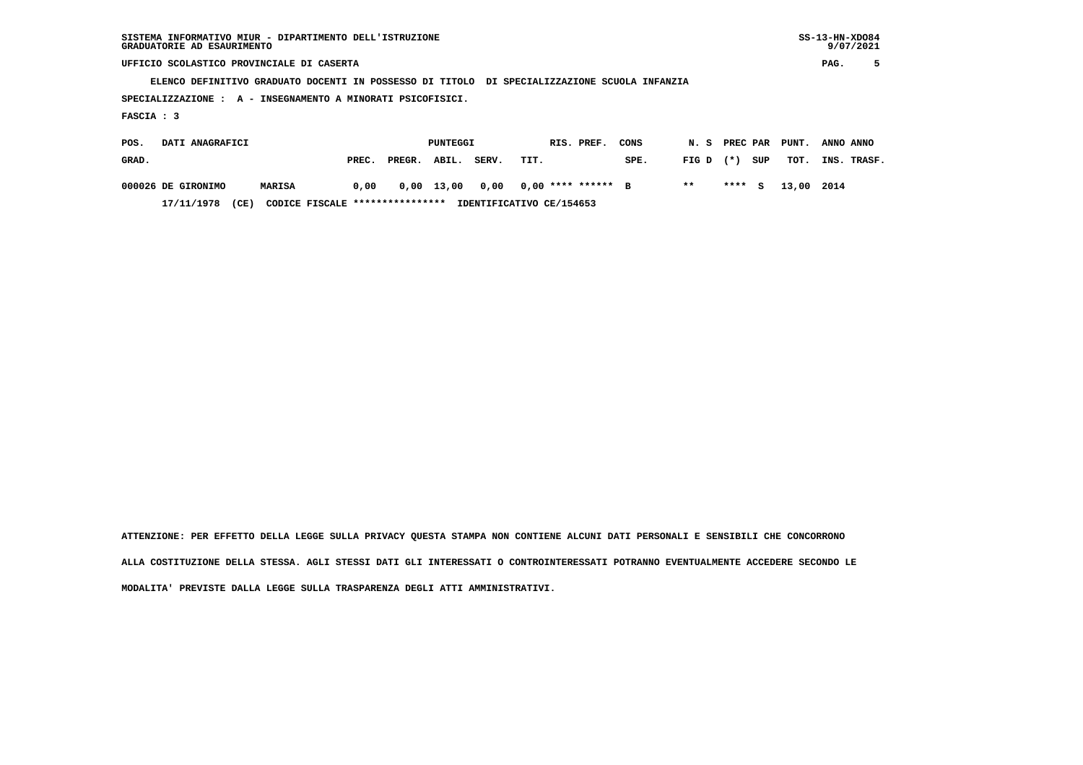| SISTEMA INFORMATIVO MIUR - DIPARTIMENTO DELL'ISTRUZIONE | $SS-13-HN-XDO84$ |
|---------------------------------------------------------|------------------|
| GRADUATORIE AD ESAURIMENTO                              | 9/07/2021        |

 **SISTEMA INFORMATIVO MIUR - DIPARTIMENTO DELL'ISTRUZIONE SS-13-HN-XDO84** $9/07/2021$ 

 **UFFICIO SCOLASTICO PROVINCIALE DI CASERTA PAG. 5**

 **ELENCO DEFINITIVO GRADUATO DOCENTI IN POSSESSO DI TITOLO DI SPECIALIZZAZIONE SCUOLA INFANZIA**

 **SPECIALIZZAZIONE : A - INSEGNAMENTO A MINORATI PSICOFISICI.**

 **FASCIA : 3**

| POS.  | DATI ANAGRAFICI    |                                 |       |              | PUNTEGGI |       | RIS. PREF.               | CONS |             |     | N. S PREC PAR PUNT. | ANNO ANNO   |
|-------|--------------------|---------------------------------|-------|--------------|----------|-------|--------------------------|------|-------------|-----|---------------------|-------------|
| GRAD. |                    |                                 | PREC. | PREGR. ABIL. |          | SERV. | TIT.                     | SPE. | $FIG D (*)$ | SUP | тот.                | INS. TRASF. |
|       | 000026 DE GIRONIMO | <b>MARISA</b>                   | 0,00  | 0,00 13,00   |          |       | 0,00 0,00 **** ****** B  |      | $* *$       |     | **** S 13,00 2014   |             |
|       | (CE)<br>17/11/1978 | CODICE FISCALE **************** |       |              |          |       | IDENTIFICATIVO CE/154653 |      |             |     |                     |             |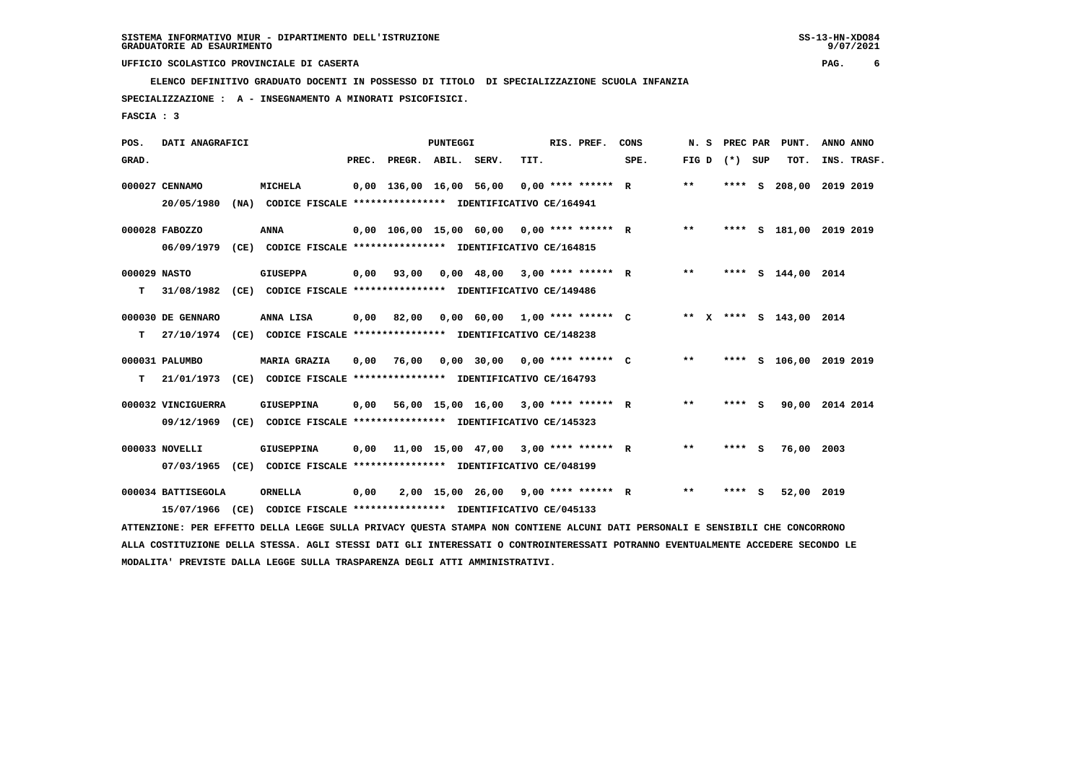**ELENCO DEFINITIVO GRADUATO DOCENTI IN POSSESSO DI TITOLO DI SPECIALIZZAZIONE SCUOLA INFANZIA**

 **SPECIALIZZAZIONE : A - INSEGNAMENTO A MINORATI PSICOFISICI.**

 **FASCIA : 3**

| POS.         | DATI ANAGRAFICI    |      |                                                                                                                               |       |                                              | <b>PUNTEGGI</b> |                                                           |      | RIS. PREF.           | CONS |                   |        | N. S PREC PAR PUNT.     | ANNO ANNO |             |
|--------------|--------------------|------|-------------------------------------------------------------------------------------------------------------------------------|-------|----------------------------------------------|-----------------|-----------------------------------------------------------|------|----------------------|------|-------------------|--------|-------------------------|-----------|-------------|
| GRAD.        |                    |      |                                                                                                                               | PREC. | PREGR. ABIL. SERV.                           |                 |                                                           | TIT. |                      | SPE. | FIG $D$ $(*)$ SUP |        | TOT.                    |           | INS. TRASF. |
|              | 000027 CENNAMO     |      | <b>MICHELA</b>                                                                                                                |       | 0,00 136,00 16,00 56,00                      |                 |                                                           |      | $0.00$ **** ****** R |      | $* *$             | **** S | 208,00 2019 2019        |           |             |
|              | 20/05/1980         |      | (NA) CODICE FISCALE **************** IDENTIFICATIVO CE/164941                                                                 |       |                                              |                 |                                                           |      |                      |      |                   |        |                         |           |             |
|              | 000028 FABOZZO     |      | <b>ANNA</b>                                                                                                                   |       | $0,00$ 106,00 15,00 60,00 0,00 **** ****** R |                 |                                                           |      |                      |      | $***$             |        | **** S 181,00 2019 2019 |           |             |
|              |                    |      | 06/09/1979 (CE) CODICE FISCALE *************** IDENTIFICATIVO CE/164815                                                       |       |                                              |                 |                                                           |      |                      |      |                   |        |                         |           |             |
| 000029 NASTO |                    |      | <b>GIUSEPPA</b>                                                                                                               |       | 0,00 93,00                                   |                 | $0.00 \quad 48.00 \quad 3.00 \quad *** \quad *** \quad R$ |      |                      |      | $***$             |        | **** S 144,00 2014      |           |             |
| T.           |                    |      | 31/08/1982 (CE) CODICE FISCALE **************** IDENTIFICATIVO CE/149486                                                      |       |                                              |                 |                                                           |      |                      |      |                   |        |                         |           |             |
|              | 000030 DE GENNARO  |      | ANNA LISA                                                                                                                     | 0.00  | 82,00                                        |                 | $0.00$ 60.00 1.00 **** ****** C                           |      |                      |      |                   |        | ** X **** S 143,00 2014 |           |             |
| T.           |                    |      | 27/10/1974 (CE) CODICE FISCALE **************** IDENTIFICATIVO CE/148238                                                      |       |                                              |                 |                                                           |      |                      |      |                   |        |                         |           |             |
|              | 000031 PALUMBO     |      | <b>MARIA GRAZIA</b>                                                                                                           | 0.00  | 76,00                                        |                 | $0.00$ 30.00 0.00 **** ****** C                           |      |                      |      | $***$             |        | **** S 106,00 2019 2019 |           |             |
| т            |                    |      | 21/01/1973 (CE) CODICE FISCALE *************** IDENTIFICATIVO CE/164793                                                       |       |                                              |                 |                                                           |      |                      |      |                   |        |                         |           |             |
|              | 000032 VINCIGUERRA |      | <b>GIUSEPPINA</b>                                                                                                             |       | $0,00$ 56,00 15,00 16,00 3,00 **** ****** R  |                 |                                                           |      |                      |      | $* *$             | **** S | 90,00 2014 2014         |           |             |
|              |                    |      | 09/12/1969 (CE) CODICE FISCALE *************** IDENTIFICATIVO CE/145323                                                       |       |                                              |                 |                                                           |      |                      |      |                   |        |                         |           |             |
|              |                    |      |                                                                                                                               |       |                                              |                 |                                                           |      |                      |      |                   |        |                         |           |             |
|              | 000033 NOVELLI     |      | <b>GIUSEPPINA</b>                                                                                                             |       | $0,00$ 11,00 15,00 47,00 3,00 **** ****** R  |                 |                                                           |      |                      |      | $***$             | **** S | 76,00 2003              |           |             |
|              |                    |      | 07/03/1965 (CE) CODICE FISCALE *************** IDENTIFICATIVO CE/048199                                                       |       |                                              |                 |                                                           |      |                      |      |                   |        |                         |           |             |
|              | 000034 BATTISEGOLA |      | ORNELLA                                                                                                                       | 0,00  |                                              |                 | 2,00 15,00 26,00 9,00 **** ****** R                       |      |                      |      | $* *$             | **** S | 52,00 2019              |           |             |
|              | 15/07/1966         | (CE) | CODICE FISCALE **************** IDENTIFICATIVO CE/045133                                                                      |       |                                              |                 |                                                           |      |                      |      |                   |        |                         |           |             |
|              |                    |      | ATTENZIONE: PER EFFETTO DELLA LEGGE SULLA PRIVACY QUESTA STAMPA NON CONTIENE ALCUNI DATI PERSONALI E SENSIBILI CHE CONCORRONO |       |                                              |                 |                                                           |      |                      |      |                   |        |                         |           |             |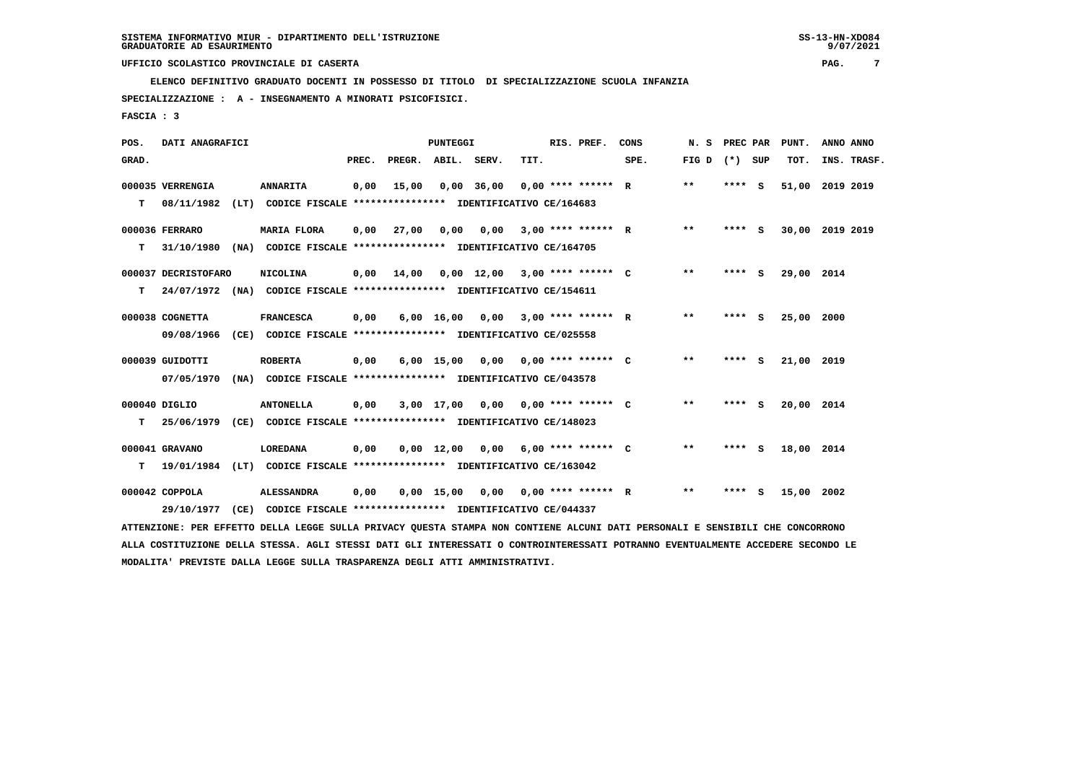**ELENCO DEFINITIVO GRADUATO DOCENTI IN POSSESSO DI TITOLO DI SPECIALIZZAZIONE SCUOLA INFANZIA**

 **SPECIALIZZAZIONE : A - INSEGNAMENTO A MINORATI PSICOFISICI.**

 **FASCIA : 3**

| POS.  | DATI ANAGRAFICI     |                                                                                                                               |       |                    | PUNTEGGI           |                                      |      | RIS. PREF.                | CONS | N. S              | PREC PAR | PUNT.           | ANNO ANNO |             |
|-------|---------------------|-------------------------------------------------------------------------------------------------------------------------------|-------|--------------------|--------------------|--------------------------------------|------|---------------------------|------|-------------------|----------|-----------------|-----------|-------------|
| GRAD. |                     |                                                                                                                               | PREC. | PREGR. ABIL. SERV. |                    |                                      | TIT. |                           | SPE. | FIG $D$ $(*)$ SUP |          | TOT.            |           | INS. TRASF. |
|       | 000035 VERRENGIA    | <b>ANNARITA</b>                                                                                                               | 0,00  | 15,00              |                    | 0,00 36,00                           |      | $0.00$ **** ****** R      |      | $***$             | **** S   | 51,00 2019 2019 |           |             |
| т     | 08/11/1982          | (LT) CODICE FISCALE **************** IDENTIFICATIVO CE/164683                                                                 |       |                    |                    |                                      |      |                           |      |                   |          |                 |           |             |
|       | 000036 FERRARO      | MARIA FLORA                                                                                                                   | 0,00  | 27,00              | 0,00               |                                      |      | $0,00$ 3,00 **** ****** R |      | $* *$             | **** S   | 30,00 2019 2019 |           |             |
| т     | 31/10/1980          | (NA) CODICE FISCALE **************** IDENTIFICATIVO CE/164705                                                                 |       |                    |                    |                                      |      |                           |      |                   |          |                 |           |             |
|       | 000037 DECRISTOFARO | NICOLINA                                                                                                                      | 0,00  | 14,00              |                    | $0,00$ 12,00 3,00 **** ****** C      |      |                           |      | $***$             | **** S   | 29,00 2014      |           |             |
| т     |                     | 24/07/1972 (NA) CODICE FISCALE **************** IDENTIFICATIVO CE/154611                                                      |       |                    |                    |                                      |      |                           |      |                   |          |                 |           |             |
|       | 000038 COGNETTA     | <b>FRANCESCA</b>                                                                                                              | 0,00  |                    |                    | $6,00$ 16,00 0,00 3,00 **** ****** R |      |                           |      | $***$             | **** S   | 25,00 2000      |           |             |
|       | 09/08/1966          | (CE) CODICE FISCALE **************** IDENTIFICATIVO CE/025558                                                                 |       |                    |                    |                                      |      |                           |      |                   |          |                 |           |             |
|       | 000039 GUIDOTTI     | <b>ROBERTA</b>                                                                                                                | 0,00  |                    |                    | 6,00 15,00 0,00 0,00 **** ****** C   |      |                           |      | $***$             | **** S   | 21,00 2019      |           |             |
|       | 07/05/1970          | (NA) CODICE FISCALE **************** IDENTIFICATIVO CE/043578                                                                 |       |                    |                    |                                      |      |                           |      |                   |          |                 |           |             |
|       | 000040 DIGLIO       | <b>ANTONELLA</b>                                                                                                              | 0,00  |                    |                    | 3,00 17,00 0,00 0,00 **** ****** C   |      |                           |      | $***$             | **** S   | 20,00 2014      |           |             |
| т     | 25/06/1979          | (CE) CODICE FISCALE **************** IDENTIFICATIVO CE/148023                                                                 |       |                    |                    |                                      |      |                           |      |                   |          |                 |           |             |
|       | 000041 GRAVANO      | <b>LOREDANA</b>                                                                                                               | 0,00  |                    | $0,00 \quad 12,00$ | 0,00 6,00 **** ****** C              |      |                           |      | $***$             | **** S   | 18,00 2014      |           |             |
| т     | 19/01/1984          | (LT) CODICE FISCALE **************** IDENTIFICATIVO CE/163042                                                                 |       |                    |                    |                                      |      |                           |      |                   |          |                 |           |             |
|       | 000042 COPPOLA      | <b>ALESSANDRA</b>                                                                                                             | 0,00  |                    | $0.00$ 15,00       | 0,00                                 |      | $0.00$ **** ****** R      |      | $***$             | **** S   | 15,00 2002      |           |             |
|       | 29/10/1977          | (CE) CODICE FISCALE **************** IDENTIFICATIVO CE/044337                                                                 |       |                    |                    |                                      |      |                           |      |                   |          |                 |           |             |
|       |                     | ATTENZIONE: PER EFFETTO DELLA LEGGE SULLA PRIVACY QUESTA STAMPA NON CONTIENE ALCUNI DATI PERSONALI E SENSIBILI CHE CONCORRONO |       |                    |                    |                                      |      |                           |      |                   |          |                 |           |             |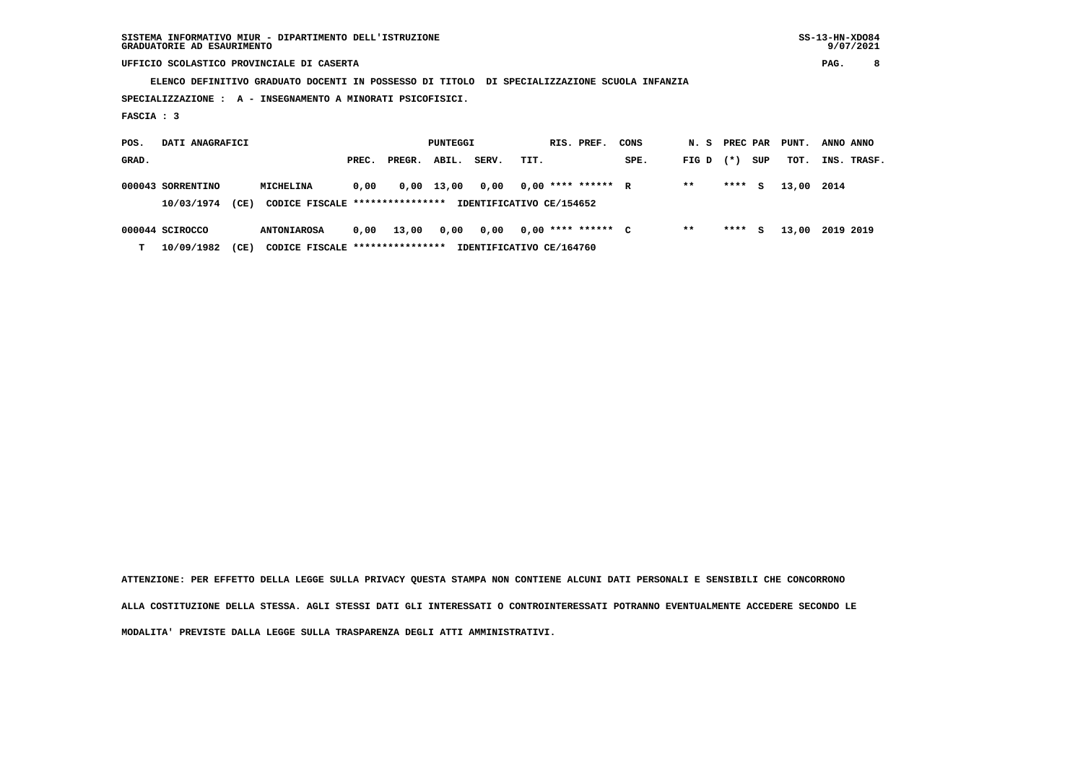**ELENCO DEFINITIVO GRADUATO DOCENTI IN POSSESSO DI TITOLO DI SPECIALIZZAZIONE SCUOLA INFANZIA**

 **SPECIALIZZAZIONE : A - INSEGNAMENTO A MINORATI PSICOFISICI.**

 **FASCIA : 3**

| POS.  | DATI ANAGRAFICI   |      |                                 |       |        | PUNTEGGI   |       |      | RIS. PREF.               | CONS | N. S  | PREC PAR |     | PUNT.      | ANNO ANNO   |
|-------|-------------------|------|---------------------------------|-------|--------|------------|-------|------|--------------------------|------|-------|----------|-----|------------|-------------|
| GRAD. |                   |      |                                 | PREC. | PREGR. | ABIL.      | SERV. | TIT. |                          | SPE. | FIG D | $(* )$   | SUP | тот.       | INS. TRASF. |
|       | 000043 SORRENTINO |      | MICHELINA                       | 0.00  |        | 0,00 13,00 | 0,00  |      | $0,00$ **** ****** R     |      | $* *$ | ****     | S.  | 13,00 2014 |             |
|       | 10/03/1974        | (CE) | CODICE FISCALE **************** |       |        |            |       |      | IDENTIFICATIVO CE/154652 |      |       |          |     |            |             |
|       | 000044 SCIROCCO   |      | <b>ANTONIAROSA</b>              | 0.00  | 13,00  | 0,00       | 0,00  |      | $0,00$ **** ****** C     |      | $* *$ | ****     | s   | 13,00      | 2019 2019   |
| т     | 10/09/1982        | (CE) | CODICE FISCALE **************** |       |        |            |       |      | IDENTIFICATIVO CE/164760 |      |       |          |     |            |             |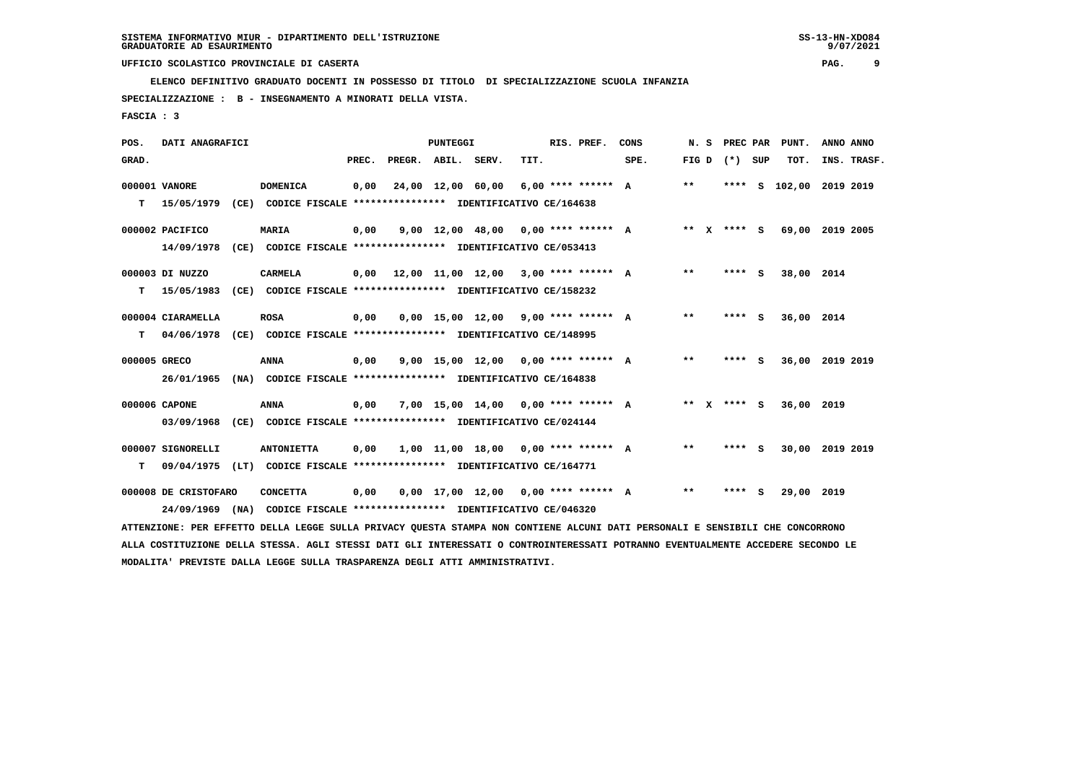**ELENCO DEFINITIVO GRADUATO DOCENTI IN POSSESSO DI TITOLO DI SPECIALIZZAZIONE SCUOLA INFANZIA**

 **SPECIALIZZAZIONE : B - INSEGNAMENTO A MINORATI DELLA VISTA.**

 **FASCIA : 3**

| POS.         | DATI ANAGRAFICI      |      |                                                                                                                               |       |                    | PUNTEGGI          |                                                   |      | RIS. PREF.           | CONS | N. S  | PREC PAR          | PUNT.                   | ANNO ANNO |             |
|--------------|----------------------|------|-------------------------------------------------------------------------------------------------------------------------------|-------|--------------------|-------------------|---------------------------------------------------|------|----------------------|------|-------|-------------------|-------------------------|-----------|-------------|
| GRAD.        |                      |      |                                                                                                                               | PREC. | PREGR. ABIL. SERV. |                   |                                                   | TIT. |                      | SPE. |       | FIG $D$ $(*)$ SUP | TOT.                    |           | INS. TRASF. |
|              | 000001 VANORE        |      | <b>DOMENICA</b>                                                                                                               | 0,00  |                    | 24,00 12,00 60,00 |                                                   |      | $6.00$ **** ****** A |      | $***$ |                   | **** S 102,00 2019 2019 |           |             |
| т            | 15/05/1979           |      | (CE) CODICE FISCALE **************** IDENTIFICATIVO CE/164638                                                                 |       |                    |                   |                                                   |      |                      |      |       |                   |                         |           |             |
|              | 000002 PACIFICO      |      | MARIA                                                                                                                         | 0,00  |                    |                   | 9,00 12,00 48,00 0,00 **** ****** A               |      |                      |      |       | ** X **** S       | 69,00 2019 2005         |           |             |
|              | 14/09/1978           |      | (CE) CODICE FISCALE **************** IDENTIFICATIVO CE/053413                                                                 |       |                    |                   |                                                   |      |                      |      |       |                   |                         |           |             |
|              | 000003 DI NUZZO      |      | <b>CARMELA</b>                                                                                                                |       |                    |                   | $0,00$ 12,00 11,00 12,00 3,00 **** ****** A       |      |                      |      | $***$ | **** S            | 38,00 2014              |           |             |
| т            | 15/05/1983           |      | (CE) CODICE FISCALE **************** IDENTIFICATIVO CE/158232                                                                 |       |                    |                   |                                                   |      |                      |      |       |                   |                         |           |             |
|              | 000004 CIARAMELLA    |      | <b>ROSA</b>                                                                                                                   | 0,00  |                    |                   | $0.00$ 15.00 12.00 9.00 **** ****** A             |      |                      |      | **    | **** S            | 36,00 2014              |           |             |
| т            | 04/06/1978           |      | (CE) CODICE FISCALE **************** IDENTIFICATIVO CE/148995                                                                 |       |                    |                   |                                                   |      |                      |      |       |                   |                         |           |             |
| 000005 GRECO |                      |      | ANNA                                                                                                                          | 0,00  |                    |                   | 9,00 15,00 12,00 0,00 **** ****** A               |      |                      |      | $***$ | **** S            | 36,00 2019 2019         |           |             |
|              | 26/01/1965           |      | (NA) CODICE FISCALE **************** IDENTIFICATIVO CE/164838                                                                 |       |                    |                   |                                                   |      |                      |      |       |                   |                         |           |             |
|              | 000006 CAPONE        |      | <b>ANNA</b>                                                                                                                   | 0,00  |                    |                   | 7,00 15,00 14,00 0,00 **** ****** A               |      |                      |      |       | ** x **** s       | 36,00 2019              |           |             |
|              | 03/09/1968           |      | (CE) CODICE FISCALE **************** IDENTIFICATIVO CE/024144                                                                 |       |                    |                   |                                                   |      |                      |      |       |                   |                         |           |             |
|              | 000007 SIGNORELLI    |      | <b>ANTONIETTA</b>                                                                                                             | 0,00  |                    |                   | $1.00$ $11.00$ $18.00$ $0.00$ $***$ **** ****** A |      |                      |      | $***$ | **** S            | 30,00 2019 2019         |           |             |
| т            | 09/04/1975           | (LT) | CODICE FISCALE **************** IDENTIFICATIVO CE/164771                                                                      |       |                    |                   |                                                   |      |                      |      |       |                   |                         |           |             |
|              | 000008 DE CRISTOFARO |      | <b>CONCETTA</b>                                                                                                               | 0,00  |                    |                   | $0.00$ 17.00 12.00 0.00 **** ****** A             |      |                      |      | $* *$ | **** S            | 29,00 2019              |           |             |
|              | 24/09/1969           |      | (NA) CODICE FISCALE **************** IDENTIFICATIVO CE/046320                                                                 |       |                    |                   |                                                   |      |                      |      |       |                   |                         |           |             |
|              |                      |      | ATTENZIONE: PER EFFETTO DELLA LEGGE SULLA PRIVACY OUESTA STAMPA NON CONTIENE ALCUNI DATI PERSONALI E SENSIBILI CHE CONCORRONO |       |                    |                   |                                                   |      |                      |      |       |                   |                         |           |             |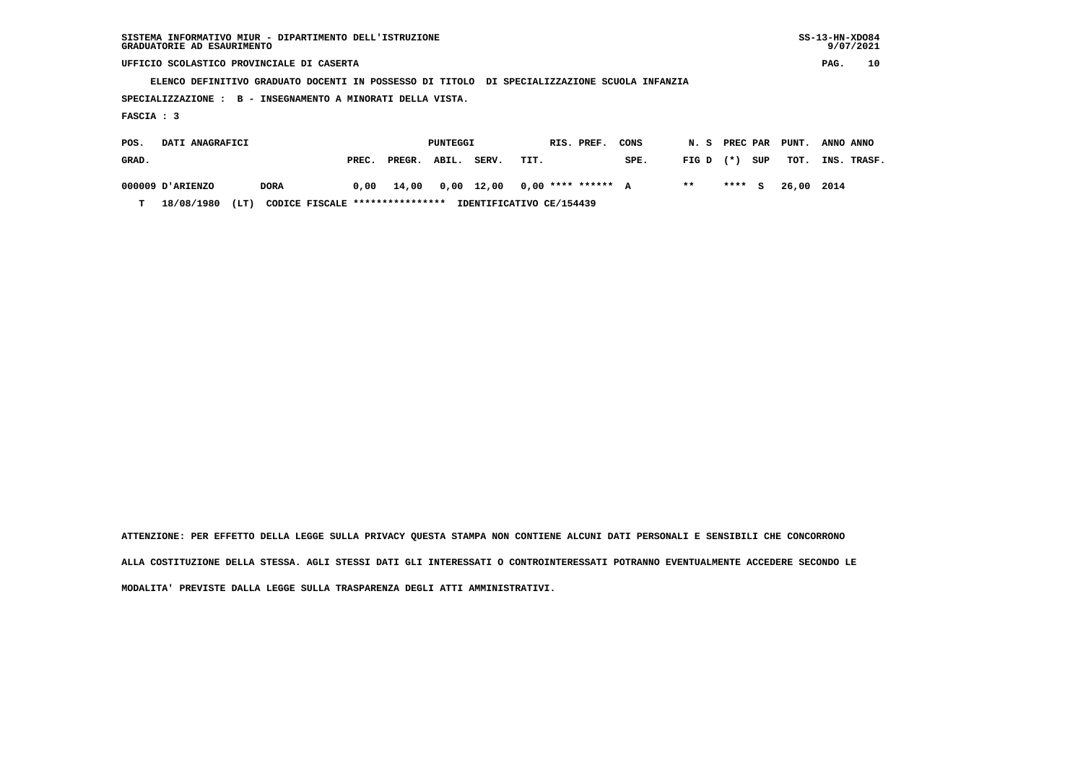| SISTEMA INFORMATIVO MIUR - DIPARTIMENTO DELL'ISTRUZIONE<br>GRADUATORIE AD ESAURIMENTO        |       |        |          |       |      |            |      |       |          |     |       | $SS-13-HN-XDO84$ | 9/07/2021   |
|----------------------------------------------------------------------------------------------|-------|--------|----------|-------|------|------------|------|-------|----------|-----|-------|------------------|-------------|
| UFFICIO SCOLASTICO PROVINCIALE DI CASERTA                                                    |       |        |          |       |      |            |      |       |          |     |       | PAG.             | 10          |
| ELENCO DEFINITIVO GRADUATO DOCENTI IN POSSESSO DI TITOLO DI SPECIALIZZAZIONE SCUOLA INFANZIA |       |        |          |       |      |            |      |       |          |     |       |                  |             |
| SPECIALIZZAZIONE : B - INSEGNAMENTO A MINORATI DELLA VISTA.                                  |       |        |          |       |      |            |      |       |          |     |       |                  |             |
| FASCIA : 3                                                                                   |       |        |          |       |      |            |      |       |          |     |       |                  |             |
| POS.<br>DATI ANAGRAFICI                                                                      |       |        | PUNTEGGI |       |      | RIS. PREF. | CONS | N.S   | PREC PAR |     | PUNT. | ANNO ANNO        |             |
| GRAD.                                                                                        | PREC. | PREGR. | ABIL.    | SERV. | TIT. |            | SPE. | FIG D | $( * )$  | SUP | TOT.  |                  | INS. TRASF. |

 **000009 D'ARIENZO DORA 0,00 14,00 0,00 12,00 0,00 \*\*\*\* \*\*\*\*\*\* A \*\* \*\*\*\* S 26,00 2014**

 **T 18/08/1980 (LT) CODICE FISCALE \*\*\*\*\*\*\*\*\*\*\*\*\*\*\*\* IDENTIFICATIVO CE/154439**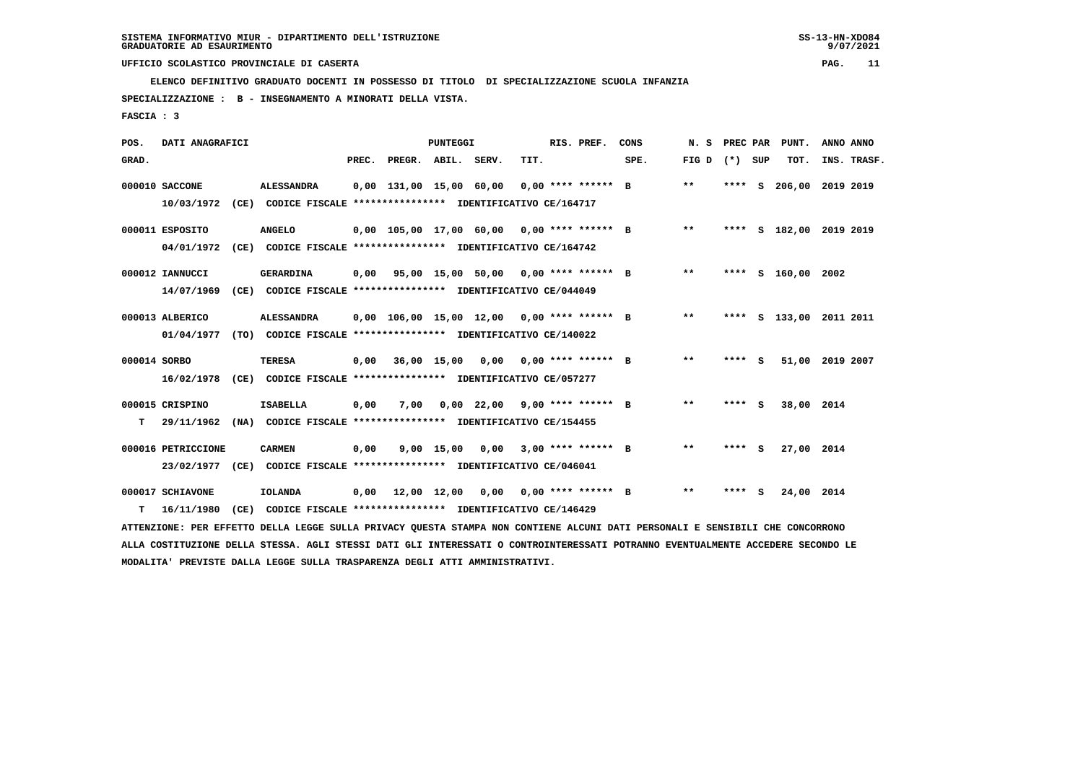**ELENCO DEFINITIVO GRADUATO DOCENTI IN POSSESSO DI TITOLO DI SPECIALIZZAZIONE SCUOLA INFANZIA**

 **SPECIALIZZAZIONE : B - INSEGNAMENTO A MINORATI DELLA VISTA.**

 **FASCIA : 3**

| POS.         | DATI ANAGRAFICI                |      |                                                                                                                               |       |                                              | <b>PUNTEGGI</b> |                                    |      | RIS. PREF.         | CONS | N. S              | PREC PAR | PUNT.                   | ANNO ANNO   |  |
|--------------|--------------------------------|------|-------------------------------------------------------------------------------------------------------------------------------|-------|----------------------------------------------|-----------------|------------------------------------|------|--------------------|------|-------------------|----------|-------------------------|-------------|--|
| GRAD.        |                                |      |                                                                                                                               | PREC. | PREGR. ABIL. SERV.                           |                 |                                    | TIT. |                    | SPE. | FIG $D$ $(*)$ SUP |          | TOT.                    | INS. TRASF. |  |
|              | 000010 SACCONE<br>10/03/1972   |      | <b>ALESSANDRA</b><br>(CE) CODICE FISCALE **************** IDENTIFICATIVO CE/164717                                            |       | $0.00$ 131.00 15.00 60.00 0.00 **** ****** B |                 |                                    |      |                    |      | $***$             |          | **** S 206,00 2019 2019 |             |  |
|              | 000011 ESPOSITO<br>04/01/1972  |      | <b>ANGELO</b><br>(CE) CODICE FISCALE **************** IDENTIFICATIVO CE/164742                                                |       | $0,00$ 105,00 17,00 60,00 0,00 **** ****** B |                 |                                    |      |                    |      | $***$             |          | **** S 182,00 2019 2019 |             |  |
|              | 000012 IANNUCCI<br>14/07/1969  |      | <b>GERARDINA</b><br>(CE) CODICE FISCALE **************** IDENTIFICATIVO CE/044049                                             |       | $0,00$ 95,00 15,00 50,00 0,00 **** ****** B  |                 |                                    |      |                    |      | $***$             |          | **** S 160,00 2002      |             |  |
|              | 000013 ALBERICO<br>01/04/1977  |      | ALESSANDRA<br>(TO) CODICE FISCALE **************** IDENTIFICATIVO CE/140022                                                   |       | $0.00$ 106.00 15.00 12.00 0.00 **** ****** B |                 |                                    |      |                    |      | $***$             |          | **** S 133,00 2011 2011 |             |  |
| 000014 SORBO | 16/02/1978                     |      | <b>TERESA</b><br>(CE) CODICE FISCALE **************** IDENTIFICATIVO CE/057277                                                |       | $0,00$ 36,00 15,00 0,00 0,00 **** ****** B   |                 |                                    |      |                    |      | $***$             | **** S   | 51,00                   | 2019 2007   |  |
| т            | 000015 CRISPINO<br>29/11/1962  |      | <b>ISABELLA</b><br>(NA) CODICE FISCALE **************** IDENTIFICATIVO CE/154455                                              | 0,00  | 7,00                                         |                 | $0.00$ 22.00 9.00 **** ****** B    |      |                    |      | $**$              | **** S   | 38,00 2014              |             |  |
|              | 000016 PETRICCIONE             |      | <b>CARMEN</b><br>23/02/1977 (CE) CODICE FISCALE *************** IDENTIFICATIVO CE/046041                                      | 0,00  |                                              |                 | 9,00 15,00 0,00 3,00 **** ****** B |      |                    |      | $***$             | **** S   | 27,00 2014              |             |  |
| т            | 000017 SCHIAVONE<br>16/11/1980 | (CE) | <b>IOLANDA</b><br>CODICE FISCALE **************** IDENTIFICATIVO CE/146429                                                    | 0,00  | 12,00 12,00                                  |                 | 0,00                               |      | 0,00 **** ****** B |      | $* *$             | **** S   | 24,00 2014              |             |  |
|              |                                |      | ATTENZIONE: PER EFFETTO DELLA LEGGE SULLA PRIVACY QUESTA STAMPA NON CONTIENE ALCUNI DATI PERSONALI E SENSIBILI CHE CONCORRONO |       |                                              |                 |                                    |      |                    |      |                   |          |                         |             |  |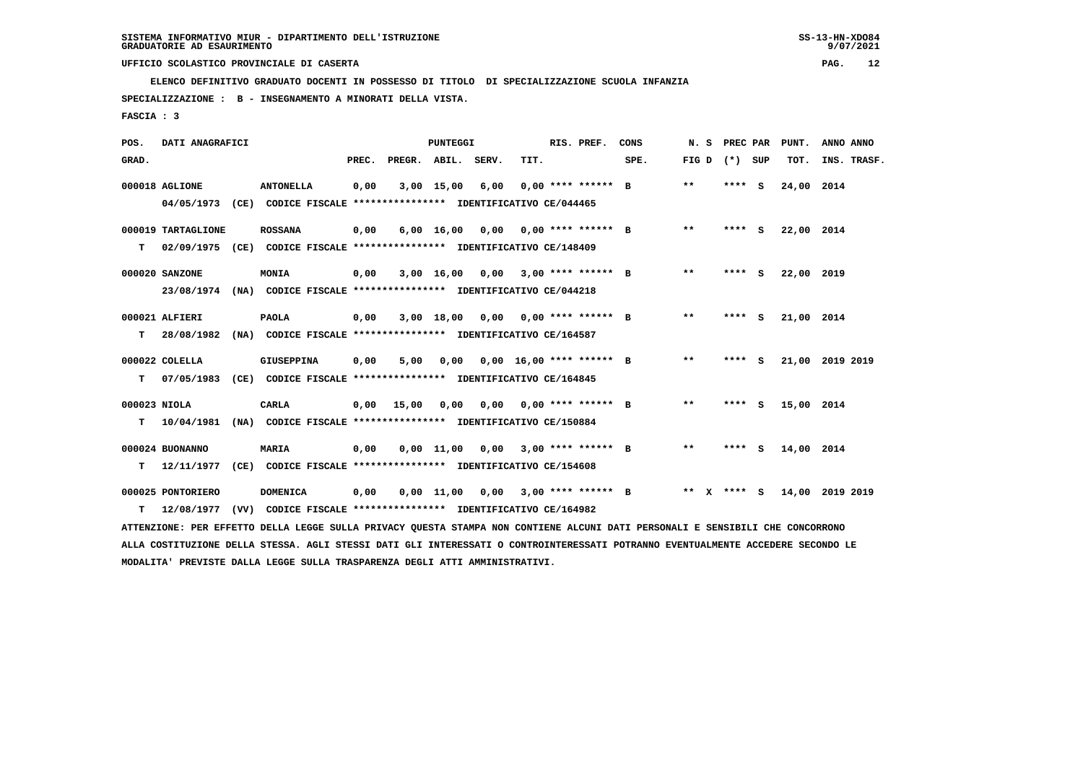**ELENCO DEFINITIVO GRADUATO DOCENTI IN POSSESSO DI TITOLO DI SPECIALIZZAZIONE SCUOLA INFANZIA**

 **SPECIALIZZAZIONE : B - INSEGNAMENTO A MINORATI DELLA VISTA.**

 **FASCIA : 3**

| POS.         | DATI ANAGRAFICI    |                                                                                                                                 |       |                    | <b>PUNTEGGI</b> |                                    |      | RIS. PREF.                  | CONS                                 | N.S         | <b>PREC PAR</b> | PUNT.      | ANNO ANNO       |
|--------------|--------------------|---------------------------------------------------------------------------------------------------------------------------------|-------|--------------------|-----------------|------------------------------------|------|-----------------------------|--------------------------------------|-------------|-----------------|------------|-----------------|
| GRAD.        |                    |                                                                                                                                 | PREC. | PREGR. ABIL. SERV. |                 |                                    | TIT. |                             | SPE.                                 | FIG D       | $(*)$ SUP       | TOT.       | INS. TRASF.     |
|              | 000018 AGLIONE     | <b>ANTONELLA</b>                                                                                                                | 0,00  |                    | $3,00$ 15,00    | 6,00                               |      | $0.00$ **** ****** B        |                                      | **          | **** S          | 24,00 2014 |                 |
|              |                    | 04/05/1973 (CE) CODICE FISCALE *************** IDENTIFICATIVO CE/044465                                                         |       |                    |                 |                                    |      |                             |                                      |             |                 |            |                 |
|              | 000019 TARTAGLIONE | <b>ROSSANA</b>                                                                                                                  | 0,00  |                    | 6,00 16,00      |                                    |      | $0,00$ $0,00$ **** ****** B |                                      | **          | **** S          | 22,00 2014 |                 |
| т            |                    | 02/09/1975 (CE) CODICE FISCALE *************** IDENTIFICATIVO CE/148409                                                         |       |                    |                 |                                    |      |                             |                                      |             |                 |            |                 |
|              | 000020 SANZONE     | MONIA                                                                                                                           | 0,00  |                    | 3,00 16,00      |                                    |      | $0.00$ $3.00$ **** ****** B |                                      | **          | **** S          | 22,00 2019 |                 |
|              |                    | 23/08/1974 (NA) CODICE FISCALE *************** IDENTIFICATIVO CE/044218                                                         |       |                    |                 |                                    |      |                             |                                      |             |                 |            |                 |
|              | 000021 ALFIERI     | <b>PAOLA</b>                                                                                                                    | 0,00  |                    |                 | 3,00 18,00 0,00 0,00 **** ****** B |      |                             |                                      | **          | **** S          | 21,00 2014 |                 |
| т            | 28/08/1982         | (NA) CODICE FISCALE **************** IDENTIFICATIVO CE/164587                                                                   |       |                    |                 |                                    |      |                             |                                      |             |                 |            |                 |
|              | 000022 COLELLA     | <b>GIUSEPPINA</b>                                                                                                               | 0,00  | 5,00               | 0,00            |                                    |      | $0,00$ 16,00 **** ****** B  |                                      | $* *$       | $***$ S         |            | 21,00 2019 2019 |
| т            | 07/05/1983         | (CE) CODICE FISCALE **************** IDENTIFICATIVO CE/164845                                                                   |       |                    |                 |                                    |      |                             |                                      |             |                 |            |                 |
| 000023 NIOLA |                    | <b>CARLA</b>                                                                                                                    | 0,00  | 15,00              | 0,00            |                                    |      | $0,00$ $0,00$ **** ****** B |                                      | $***$       | **** S          | 15,00 2014 |                 |
| т            |                    | 10/04/1981 (NA) CODICE FISCALE **************** IDENTIFICATIVO CE/150884                                                        |       |                    |                 |                                    |      |                             |                                      |             |                 |            |                 |
|              | 000024 BUONANNO    | <b>MARIA</b>                                                                                                                    | 0,00  |                    | 0,00 11,00      |                                    |      | $0.00$ 3.00 **** ****** B   |                                      | $* *$       | **** S          | 14,00 2014 |                 |
| т            |                    | 12/11/1977 (CE) CODICE FISCALE *************** IDENTIFICATIVO CE/154608                                                         |       |                    |                 |                                    |      |                             |                                      |             |                 |            |                 |
|              | 000025 PONTORIERO  | <b>DOMENICA</b>                                                                                                                 | 0,00  |                    |                 |                                    |      |                             | $0,00$ 11,00 0,00 3,00 **** ****** B | ** x **** S |                 |            | 14,00 2019 2019 |
| т            |                    | 12/08/1977 (VV) CODICE FISCALE **************** IDENTIFICATIVO CE/164982                                                        |       |                    |                 |                                    |      |                             |                                      |             |                 |            |                 |
|              |                    | ATTENZIONE: PER EFFETTO DELLA LEGGE SULLA PRIVACY QUESTA STAMPA NON CONTIENE ALCUNI DATI PERSONALI E SENSIBILI CHE CONCORRONO   |       |                    |                 |                                    |      |                             |                                      |             |                 |            |                 |
|              |                    | ALLA COSTITUZIONE DELLA STESSA. AGLI STESSI DATI GLI INTERESSATI O CONTROINTERESSATI POTRANNO EVENTUALMENTE ACCEDERE SECONDO LE |       |                    |                 |                                    |      |                             |                                      |             |                 |            |                 |
|              |                    | MODALITA' PREVISTE DALLA LEGGE SULLA TRASPARENZA DEGLI ATTI AMMINISTRATIVI.                                                     |       |                    |                 |                                    |      |                             |                                      |             |                 |            |                 |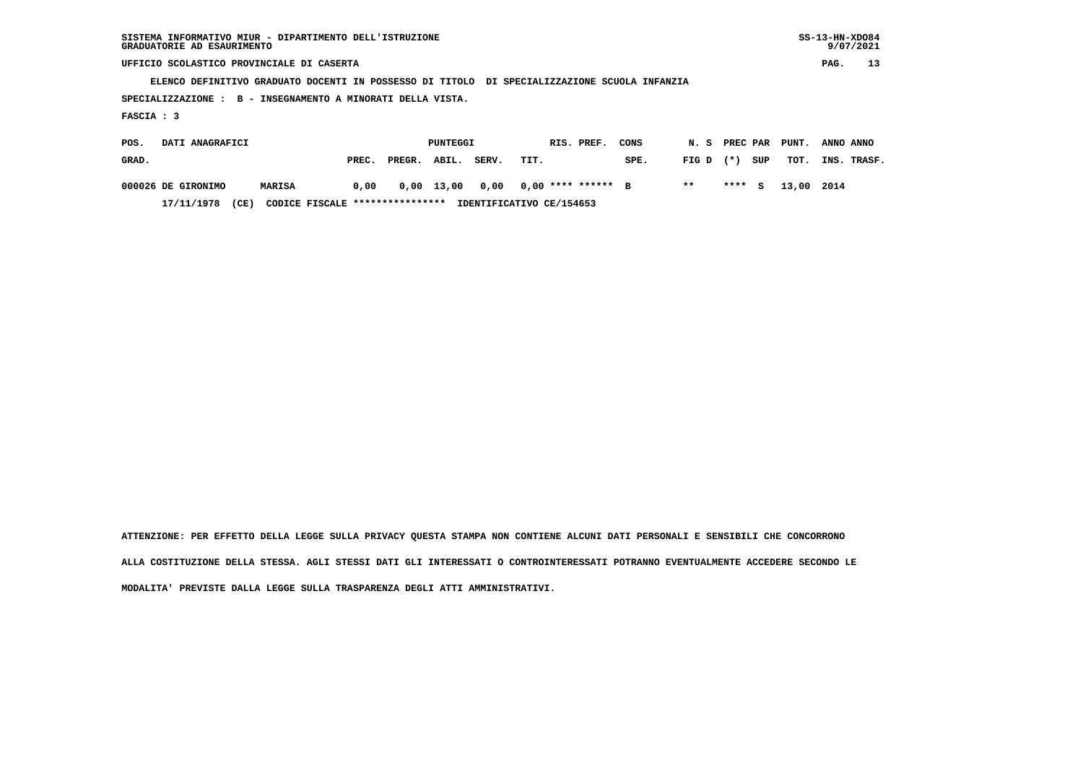| SISTEMA INFORMATIVO MIUR - DIPARTIMENTO DELL'ISTRUZIONE<br>GRADUATORIE AD ESAURIMENTO        |        |       |        |            |       |      |                      |      |       |          |     |       |           | $SS-13-HN-XDO84$<br>9/07/2021 |
|----------------------------------------------------------------------------------------------|--------|-------|--------|------------|-------|------|----------------------|------|-------|----------|-----|-------|-----------|-------------------------------|
| UFFICIO SCOLASTICO PROVINCIALE DI CASERTA                                                    |        |       |        |            |       |      |                      |      |       |          |     |       | PAG.      | 13                            |
| ELENCO DEFINITIVO GRADUATO DOCENTI IN POSSESSO DI TITOLO DI SPECIALIZZAZIONE SCUOLA INFANZIA |        |       |        |            |       |      |                      |      |       |          |     |       |           |                               |
| SPECIALIZZAZIONE : B - INSEGNAMENTO A MINORATI DELLA VISTA.                                  |        |       |        |            |       |      |                      |      |       |          |     |       |           |                               |
| FASCIA : 3                                                                                   |        |       |        |            |       |      |                      |      |       |          |     |       |           |                               |
| DATI ANAGRAFICI<br>POS.                                                                      |        |       |        | PUNTEGGI   |       |      | RIS. PREF.           | CONS | N.S   | PREC PAR |     | PUNT. | ANNO ANNO |                               |
| GRAD.                                                                                        |        | PREC. | PREGR. | ABIL.      | SERV. | TIT. |                      | SPE. | FIG D | $(* )$   | SUP | тот.  |           | INS. TRASF.                   |
| 000026 DE GIRONIMO                                                                           | MARISA | 0.00  |        | 0,00 13,00 | 0.00  |      | $0,00$ **** ****** B |      | $* *$ | $***$ S  |     | 13,00 | 2014      |                               |

 **17/11/1978 (CE) CODICE FISCALE \*\*\*\*\*\*\*\*\*\*\*\*\*\*\*\* IDENTIFICATIVO CE/154653**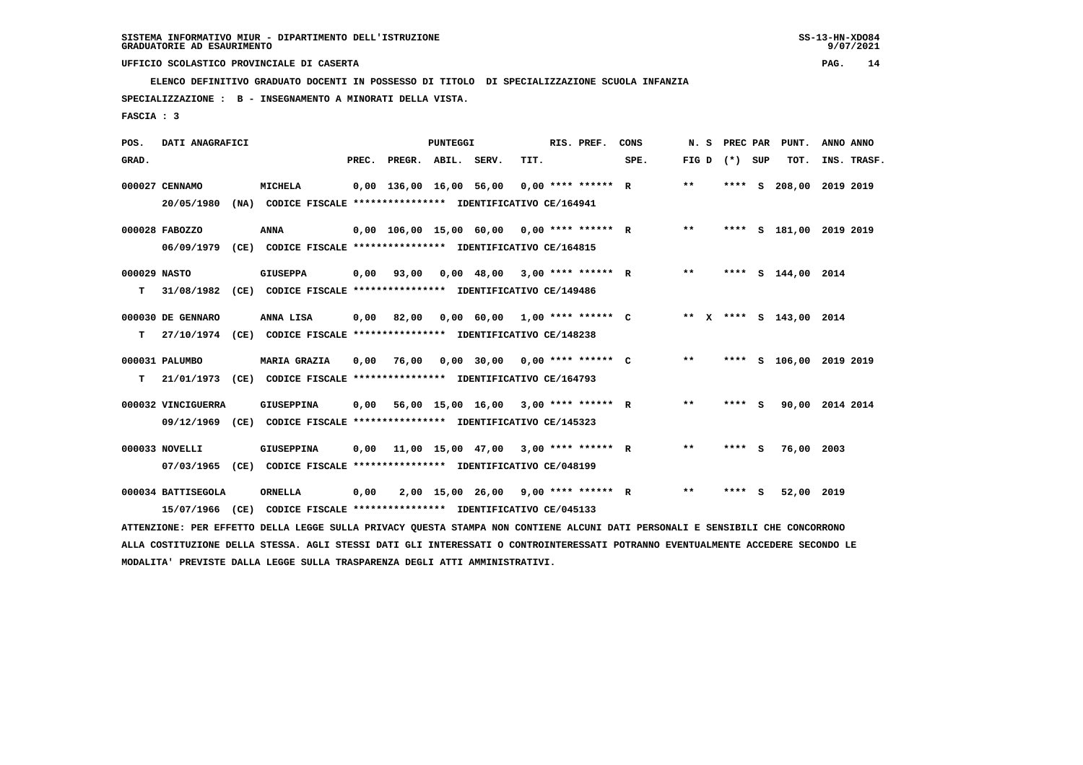**ELENCO DEFINITIVO GRADUATO DOCENTI IN POSSESSO DI TITOLO DI SPECIALIZZAZIONE SCUOLA INFANZIA**

 **SPECIALIZZAZIONE : B - INSEGNAMENTO A MINORATI DELLA VISTA.**

 **FASCIA : 3**

| POS.         | DATI ANAGRAFICI    |      |                                                                                                                               |      |                          | <b>PUNTEGGI</b> |                                              |      | RIS. PREF.           | CONS                                      | N. S            |         | PREC PAR PUNT.          | ANNO ANNO |             |
|--------------|--------------------|------|-------------------------------------------------------------------------------------------------------------------------------|------|--------------------------|-----------------|----------------------------------------------|------|----------------------|-------------------------------------------|-----------------|---------|-------------------------|-----------|-------------|
| GRAD.        |                    |      |                                                                                                                               |      | PREC. PREGR. ABIL. SERV. |                 |                                              | TIT. |                      | SPE.                                      | FIG D $(*)$ SUP |         | TOT.                    |           | INS. TRASF. |
|              | 000027 CENNAMO     |      | MICHELA                                                                                                                       |      |                          |                 | 0,00 136,00 16,00 56,00                      |      | $0.00$ **** ****** R |                                           | $\star\star$    |         | **** S 208,00 2019 2019 |           |             |
|              | 20/05/1980         |      | (NA) CODICE FISCALE **************** IDENTIFICATIVO CE/164941                                                                 |      |                          |                 |                                              |      |                      |                                           |                 |         |                         |           |             |
|              | 000028 FABOZZO     |      | <b>ANNA</b>                                                                                                                   |      |                          |                 | $0,00$ 106,00 15,00 60,00 0,00 **** ****** R |      |                      |                                           | $***$           |         | **** S 181,00 2019 2019 |           |             |
|              |                    |      | 06/09/1979 (CE) CODICE FISCALE *************** IDENTIFICATIVO CE/164815                                                       |      |                          |                 |                                              |      |                      |                                           |                 |         |                         |           |             |
| 000029 NASTO |                    |      | <b>GIUSEPPA</b>                                                                                                               | 0,00 | 93,00                    |                 |                                              |      |                      | $0,00$ 48,00 3,00 **** ****** R           | $***$           |         | **** S 144,00 2014      |           |             |
| т            |                    |      | 31/08/1982 (CE) CODICE FISCALE **************** IDENTIFICATIVO CE/149486                                                      |      |                          |                 |                                              |      |                      |                                           |                 |         |                         |           |             |
|              |                    |      |                                                                                                                               |      |                          |                 |                                              |      |                      |                                           |                 |         |                         |           |             |
|              | 000030 DE GENNARO  |      | ANNA LISA                                                                                                                     | 0,00 | 82,00                    |                 |                                              |      |                      | $0.00$ 60.00 1.00 **** ****** C           |                 |         | ** X **** S 143,00 2014 |           |             |
| т            |                    |      | 27/10/1974 (CE) CODICE FISCALE *************** IDENTIFICATIVO CE/148238                                                       |      |                          |                 |                                              |      |                      |                                           |                 |         |                         |           |             |
|              | 000031 PALUMBO     |      | <b>MARIA GRAZIA</b>                                                                                                           | 0,00 | 76,00                    |                 |                                              |      |                      | $0,00$ 30,00 0,00 **** ****** C           | $***$           |         | **** S 106,00 2019 2019 |           |             |
| т            |                    |      | 21/01/1973 (CE) CODICE FISCALE *************** IDENTIFICATIVO CE/164793                                                       |      |                          |                 |                                              |      |                      |                                           |                 |         |                         |           |             |
|              | 000032 VINCIGUERRA |      | <b>GIUSEPPINA</b>                                                                                                             |      |                          |                 |                                              |      |                      | 0,00 56,00 15,00 16,00 3,00 **** ****** R | $* *$           | **** S  | 90,00 2014 2014         |           |             |
|              |                    |      | 09/12/1969 (CE) CODICE FISCALE *************** IDENTIFICATIVO CE/145323                                                       |      |                          |                 |                                              |      |                      |                                           |                 |         |                         |           |             |
|              |                    |      |                                                                                                                               |      |                          |                 |                                              |      |                      |                                           | $* *$           |         |                         |           |             |
|              | 000033 NOVELLI     |      | <b>GIUSEPPINA</b>                                                                                                             |      |                          |                 | $0.00$ 11.00 15.00 47.00 3.00 **** ****** R  |      |                      |                                           |                 | **** S  | 76,00 2003              |           |             |
|              |                    |      | 07/03/1965 (CE) CODICE FISCALE *************** IDENTIFICATIVO CE/048199                                                       |      |                          |                 |                                              |      |                      |                                           |                 |         |                         |           |             |
|              | 000034 BATTISEGOLA |      | <b>ORNELLA</b>                                                                                                                | 0,00 |                          |                 | 2,00 15,00 26,00 9,00 **** ****** R          |      |                      |                                           | $***$           | $***$ S | 52,00 2019              |           |             |
|              | 15/07/1966         | (CE) | CODICE FISCALE **************** IDENTIFICATIVO CE/045133                                                                      |      |                          |                 |                                              |      |                      |                                           |                 |         |                         |           |             |
|              |                    |      | ATTENZIONE: PER EFFETTO DELLA LEGGE SULLA PRIVACY QUESTA STAMPA NON CONTIENE ALCUNI DATI PERSONALI E SENSIBILI CHE CONCORRONO |      |                          |                 |                                              |      |                      |                                           |                 |         |                         |           |             |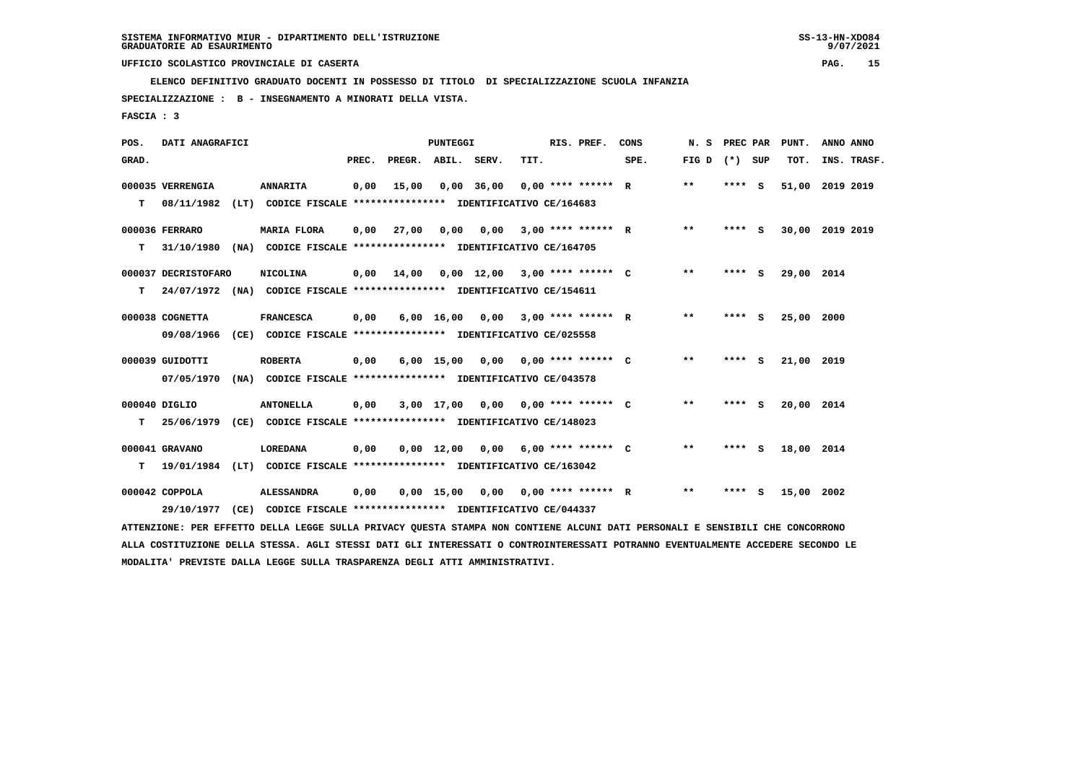**ELENCO DEFINITIVO GRADUATO DOCENTI IN POSSESSO DI TITOLO DI SPECIALIZZAZIONE SCUOLA INFANZIA**

 **SPECIALIZZAZIONE : B - INSEGNAMENTO A MINORATI DELLA VISTA.**

 **FASCIA : 3**

| POS.  | DATI ANAGRAFICI     |                                                                                                                               |       |                    | <b>PUNTEGGI</b> |                                    |      | RIS. PREF.                  | CONS | N. S  | PREC PAR | PUNT.           | ANNO ANNO |             |
|-------|---------------------|-------------------------------------------------------------------------------------------------------------------------------|-------|--------------------|-----------------|------------------------------------|------|-----------------------------|------|-------|----------|-----------------|-----------|-------------|
| GRAD. |                     |                                                                                                                               | PREC. | PREGR. ABIL. SERV. |                 |                                    | TIT. |                             | SPE. | FIG D | (*) SUP  | TOT.            |           | INS. TRASF. |
|       | 000035 VERRENGIA    | <b>ANNARITA</b>                                                                                                               | 0,00  | 15,00              |                 | $0,00$ 36,00                       |      | $0.00$ **** ****** R        |      | $* *$ | **** S   | 51,00           | 2019 2019 |             |
| т     | 08/11/1982          | (LT) CODICE FISCALE **************** IDENTIFICATIVO CE/164683                                                                 |       |                    |                 |                                    |      |                             |      |       |          |                 |           |             |
|       | 000036 FERRARO      | MARIA FLORA                                                                                                                   | 0,00  | 27,00              | 0,00            | 0,00                               |      | $3,00$ **** ****** R        |      | $***$ | $***$ S  | 30,00 2019 2019 |           |             |
| т     | 31/10/1980          | (NA) CODICE FISCALE **************** IDENTIFICATIVO CE/164705                                                                 |       |                    |                 |                                    |      |                             |      |       |          |                 |           |             |
|       | 000037 DECRISTOFARO | <b>NICOLINA</b>                                                                                                               | 0,00  | 14,00              |                 | $0,00$ 12,00 3,00 **** ****** C    |      |                             |      | $***$ | **** S   | 29,00 2014      |           |             |
| т     |                     | 24/07/1972 (NA) CODICE FISCALE **************** IDENTIFICATIVO CE/154611                                                      |       |                    |                 |                                    |      |                             |      |       |          |                 |           |             |
|       | 000038 COGNETTA     | <b>FRANCESCA</b>                                                                                                              | 0,00  |                    | 6,00 16,00      | 0,00                               |      | $3,00$ **** ****** R        |      | **    | **** S   | 25,00 2000      |           |             |
|       | 09/08/1966          | (CE) CODICE FISCALE **************** IDENTIFICATIVO CE/025558                                                                 |       |                    |                 |                                    |      |                             |      |       |          |                 |           |             |
|       | 000039 GUIDOTTI     | <b>ROBERTA</b>                                                                                                                | 0,00  |                    | $6,00$ 15,00    |                                    |      | $0,00$ $0,00$ **** ****** C |      | $* *$ | **** S   | 21,00 2019      |           |             |
|       | 07/05/1970          | (NA) CODICE FISCALE **************** IDENTIFICATIVO CE/043578                                                                 |       |                    |                 |                                    |      |                             |      |       |          |                 |           |             |
|       | 000040 DIGLIO       | <b>ANTONELLA</b>                                                                                                              | 0,00  |                    |                 | 3,00 17,00 0,00 0,00 **** ****** C |      |                             |      | $***$ | **** S   | 20,00 2014      |           |             |
| т     | 25/06/1979          | (CE) CODICE FISCALE **************** IDENTIFICATIVO CE/148023                                                                 |       |                    |                 |                                    |      |                             |      |       |          |                 |           |             |
|       | 000041 GRAVANO      | LOREDANA                                                                                                                      | 0,00  |                    | $0,00$ 12,00    | 0,00                               |      | $6.00$ **** ****** C        |      | $**$  | **** S   | 18,00 2014      |           |             |
| т     | 19/01/1984          | (LT) CODICE FISCALE **************** IDENTIFICATIVO CE/163042                                                                 |       |                    |                 |                                    |      |                             |      |       |          |                 |           |             |
|       | 000042 COPPOLA      | <b>ALESSANDRA</b>                                                                                                             | 0,00  |                    | 0.00 15.00      | 0,00                               |      | $0.00$ **** ****** R        |      | $* *$ | **** S   | 15,00 2002      |           |             |
|       | 29/10/1977          | (CE) CODICE FISCALE **************** IDENTIFICATIVO CE/044337                                                                 |       |                    |                 |                                    |      |                             |      |       |          |                 |           |             |
|       |                     | ATTENZIONE: PER EFFETTO DELLA LEGGE SULLA PRIVACY QUESTA STAMPA NON CONTIENE ALCUNI DATI PERSONALI E SENSIBILI CHE CONCORRONO |       |                    |                 |                                    |      |                             |      |       |          |                 |           |             |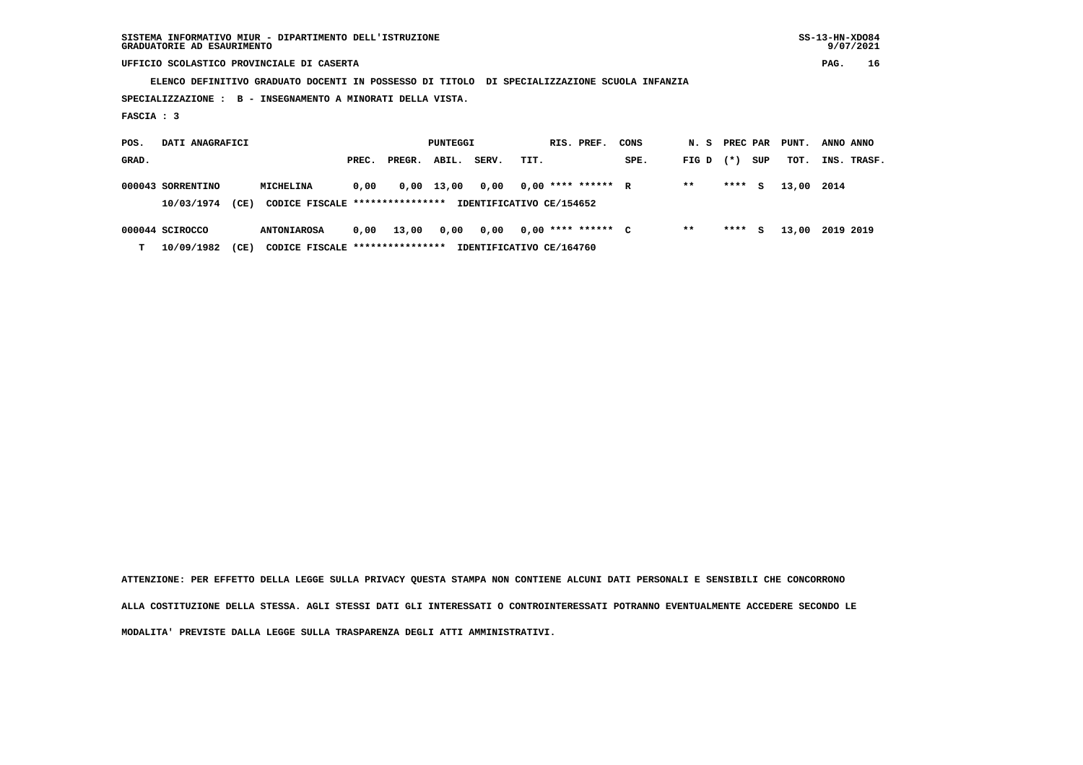| SISTEMA INFORMATIVO MIUR - DIPARTIMENTO DELL'ISTRUZIONE | $SS-13-HN-XDO84$ |
|---------------------------------------------------------|------------------|
| GRADUATORIE AD ESAURIMENTO                              | 9/07/2021        |

 **ELENCO DEFINITIVO GRADUATO DOCENTI IN POSSESSO DI TITOLO DI SPECIALIZZAZIONE SCUOLA INFANZIA**

 **SPECIALIZZAZIONE : B - INSEGNAMENTO A MINORATI DELLA VISTA.**

 **FASCIA : 3**

| POS.  | DATI ANAGRAFICI   |      |                                 |       |        | PUNTEGGI   |       |      | RIS. PREF.               | CONS | N. S  | PREC PAR |     | PUNT.      | ANNO ANNO   |
|-------|-------------------|------|---------------------------------|-------|--------|------------|-------|------|--------------------------|------|-------|----------|-----|------------|-------------|
| GRAD. |                   |      |                                 | PREC. | PREGR. | ABIL.      | SERV. | TIT. |                          | SPE. | FIG D | $(* )$   | SUP | тот.       | INS. TRASF. |
|       | 000043 SORRENTINO |      | MICHELINA                       | 0.00  |        | 0,00 13,00 | 0,00  |      | $0,00$ **** ****** R     |      | $* *$ | ****     | S.  | 13,00 2014 |             |
|       | 10/03/1974        | (CE) | CODICE FISCALE **************** |       |        |            |       |      | IDENTIFICATIVO CE/154652 |      |       |          |     |            |             |
|       | 000044 SCIROCCO   |      | <b>ANTONIAROSA</b>              | 0.00  | 13,00  | 0,00       | 0,00  |      | $0,00$ **** ****** C     |      | $* *$ | ****     | s   | 13,00      | 2019 2019   |
| т     | 10/09/1982        | (CE) | CODICE FISCALE **************** |       |        |            |       |      | IDENTIFICATIVO CE/164760 |      |       |          |     |            |             |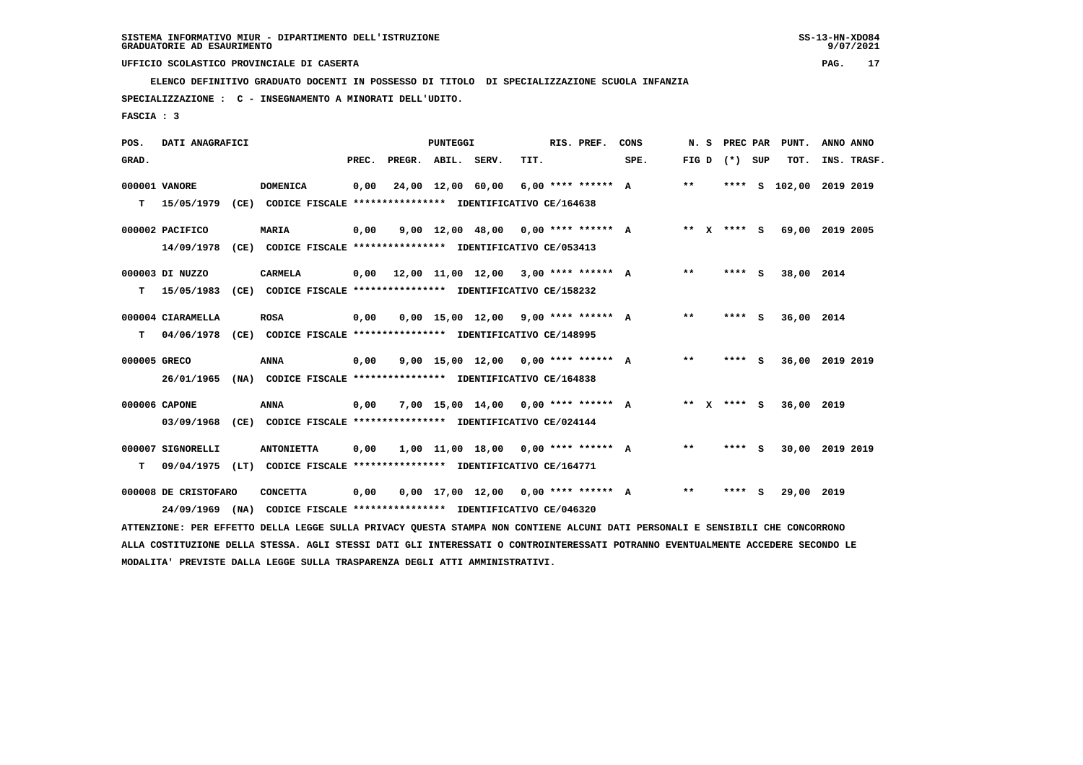**ELENCO DEFINITIVO GRADUATO DOCENTI IN POSSESSO DI TITOLO DI SPECIALIZZAZIONE SCUOLA INFANZIA**

 **SPECIALIZZAZIONE : C - INSEGNAMENTO A MINORATI DELL'UDITO.**

 **FASCIA : 3**

| POS.         | DATI ANAGRAFICI      |                                                                                                                               |       |                    | PUNTEGGI          |                                                   |      | RIS. PREF.           | CONS | N. S  | PREC PAR          | PUNT.                       | ANNO ANNO |             |
|--------------|----------------------|-------------------------------------------------------------------------------------------------------------------------------|-------|--------------------|-------------------|---------------------------------------------------|------|----------------------|------|-------|-------------------|-----------------------------|-----------|-------------|
| GRAD.        |                      |                                                                                                                               | PREC. | PREGR. ABIL. SERV. |                   |                                                   | TIT. |                      | SPE. |       | FIG $D$ $(*)$ SUP | TOT.                        |           | INS. TRASF. |
|              | 000001 VANORE        | <b>DOMENICA</b>                                                                                                               | 0,00  |                    | 24,00 12,00 60,00 |                                                   |      | $6,00$ **** ****** A |      | $***$ | ****              | s 102,00 2019 2019          |           |             |
| T.           | 15/05/1979           | (CE) CODICE FISCALE **************** IDENTIFICATIVO CE/164638                                                                 |       |                    |                   |                                                   |      |                      |      |       |                   |                             |           |             |
|              | 000002 PACIFICO      | <b>MARIA</b>                                                                                                                  | 0,00  |                    |                   | 9,00 12,00 48,00 0,00 **** ****** A               |      |                      |      |       |                   | ** X **** S 69,00 2019 2005 |           |             |
|              | 14/09/1978           | (CE) CODICE FISCALE **************** IDENTIFICATIVO CE/053413                                                                 |       |                    |                   |                                                   |      |                      |      |       |                   |                             |           |             |
|              | 000003 DI NUZZO      | <b>CARMELA</b>                                                                                                                | 0,00  |                    |                   | 12,00 11,00 12,00 3,00 **** ****** A              |      |                      |      | $***$ | **** S            | 38,00 2014                  |           |             |
| т            | 15/05/1983           | (CE) CODICE FISCALE **************** IDENTIFICATIVO CE/158232                                                                 |       |                    |                   |                                                   |      |                      |      |       |                   |                             |           |             |
|              | 000004 CIARAMELLA    | ROSA                                                                                                                          | 0,00  |                    |                   | $0,00$ 15,00 12,00 9,00 **** ****** A             |      |                      |      | $* *$ | **** S            | 36,00 2014                  |           |             |
| т            | 04/06/1978           | (CE) CODICE FISCALE **************** IDENTIFICATIVO CE/148995                                                                 |       |                    |                   |                                                   |      |                      |      |       |                   |                             |           |             |
| 000005 GRECO |                      | <b>ANNA</b>                                                                                                                   | 0,00  |                    |                   | $9.00$ 15.00 12.00 0.00 **** ****** A             |      |                      |      | $***$ | **** S            | 36,00 2019 2019             |           |             |
|              | 26/01/1965           | (NA) CODICE FISCALE **************** IDENTIFICATIVO CE/164838                                                                 |       |                    |                   |                                                   |      |                      |      |       |                   |                             |           |             |
|              | 000006 CAPONE        | <b>ANNA</b>                                                                                                                   | 0,00  |                    |                   | 7,00 15,00 14,00 0,00 **** ****** A               |      |                      |      |       | ** x **** s       | 36,00 2019                  |           |             |
|              | 03/09/1968           | (CE) CODICE FISCALE **************** IDENTIFICATIVO CE/024144                                                                 |       |                    |                   |                                                   |      |                      |      |       |                   |                             |           |             |
|              | 000007 SIGNORELLI    | <b>ANTONIETTA</b>                                                                                                             | 0,00  |                    |                   | $1,00$ $11,00$ $18,00$ $0,00$ $***$ **** ****** A |      |                      |      | $* *$ | **** S            | 30,00 2019 2019             |           |             |
| т            | 09/04/1975           | (LT) CODICE FISCALE **************** IDENTIFICATIVO CE/164771                                                                 |       |                    |                   |                                                   |      |                      |      |       |                   |                             |           |             |
|              | 000008 DE CRISTOFARO | <b>CONCETTA</b>                                                                                                               | 0,00  |                    |                   | $0,00$ 17,00 12,00 0,00 **** ****** A             |      |                      |      | $* *$ | **** S            | 29,00 2019                  |           |             |
|              |                      | 24/09/1969 (NA) CODICE FISCALE **************** IDENTIFICATIVO CE/046320                                                      |       |                    |                   |                                                   |      |                      |      |       |                   |                             |           |             |
|              |                      | ATTENZIONE: PER EFFETTO DELLA LEGGE SULLA PRIVACY QUESTA STAMPA NON CONTIENE ALCUNI DATI PERSONALI E SENSIBILI CHE CONCORRONO |       |                    |                   |                                                   |      |                      |      |       |                   |                             |           |             |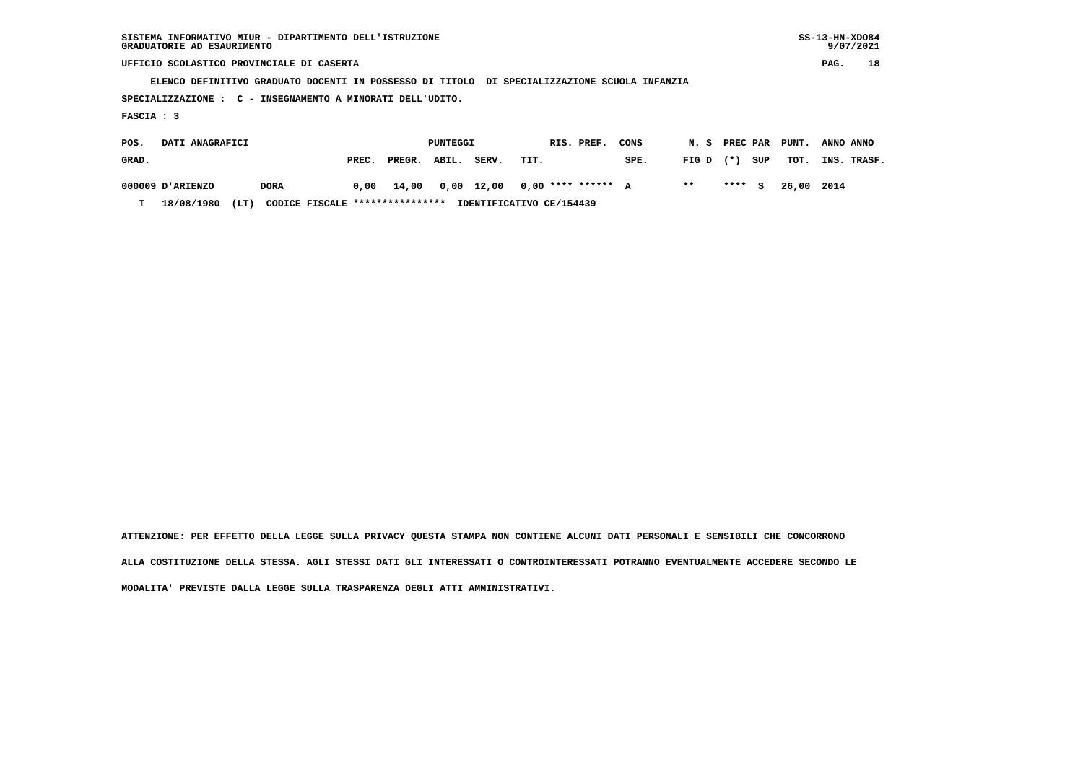| SISTEMA INFORMATIVO MIUR - DIPARTIMENTO DELL'ISTRUZIONE | $SS-13-HN-XDO84$ |
|---------------------------------------------------------|------------------|
| GRADUATORIE AD ESAURIMENTO                              | 9/07/2021        |

 $SS-13-HN-XDO84$  $9/07/2021$ 

 **UFFICIO SCOLASTICO PROVINCIALE DI CASERTA PAG. 18**

 **ELENCO DEFINITIVO GRADUATO DOCENTI IN POSSESSO DI TITOLO DI SPECIALIZZAZIONE SCUOLA INFANZIA**

 **SPECIALIZZAZIONE : C - INSEGNAMENTO A MINORATI DELL'UDITO.**

 **FASCIA : 3**

| POS.  | DATI ANAGRAFICI         |      |                                 |       |            | PUNTEGGI |            | RIS. PREF.               | CONS |             |        |     | N. S PREC PAR PUNT. | ANNO ANNO   |
|-------|-------------------------|------|---------------------------------|-------|------------|----------|------------|--------------------------|------|-------------|--------|-----|---------------------|-------------|
| GRAD. |                         |      |                                 | PREC. | PREGR.     | ABIL.    | SERV.      | TIT.                     | SPE. | $FIG D (*)$ |        | SUP | тот.                | INS. TRASF. |
|       | <b>000009 D'ARIENZO</b> |      | <b>DORA</b>                     |       | 0.00 14.00 |          | 0,00 12,00 | $0.00$ **** ****** A     |      | $* *$       | **** S |     | 26.00 2014          |             |
| т     | 18/08/1980              | (LT) | CODICE FISCALE **************** |       |            |          |            | IDENTIFICATIVO CE/154439 |      |             |        |     |                     |             |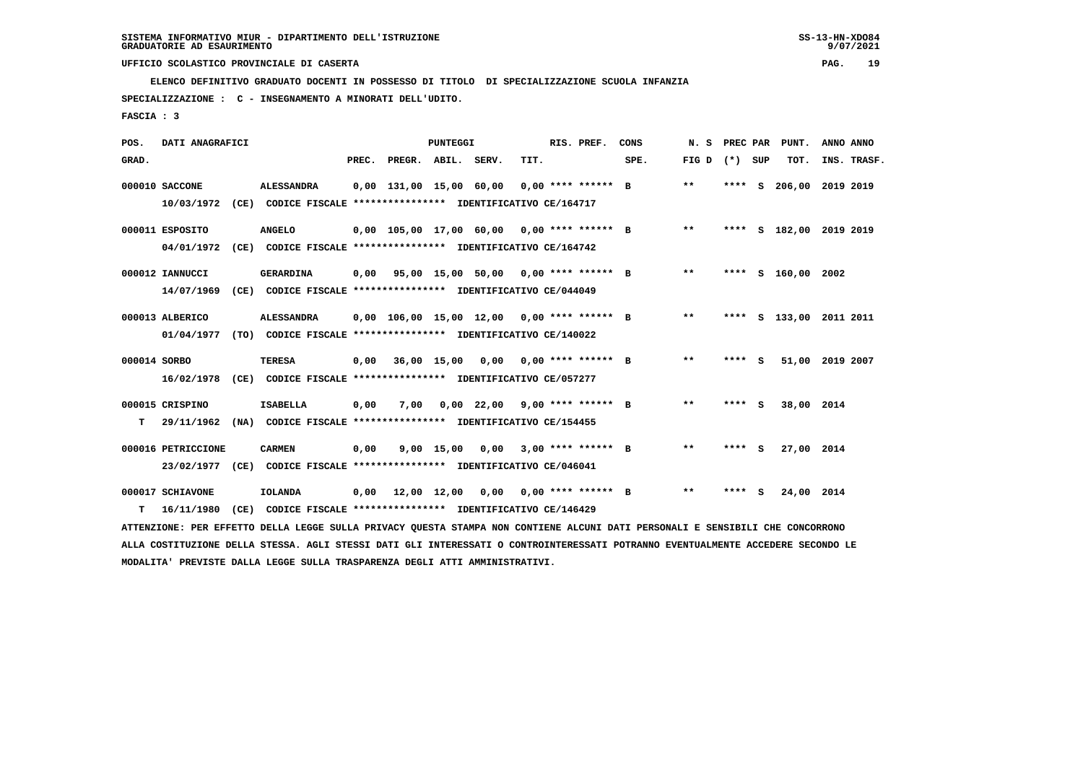**ELENCO DEFINITIVO GRADUATO DOCENTI IN POSSESSO DI TITOLO DI SPECIALIZZAZIONE SCUOLA INFANZIA**

 **SPECIALIZZAZIONE : C - INSEGNAMENTO A MINORATI DELL'UDITO.**

 **FASCIA : 3**

| POS.         | DATI ANAGRAFICI                |      |                                                                                                                               |       |                                              | <b>PUNTEGGI</b> |                                    |      | RIS. PREF.         | CONS | N. S              | PREC PAR | PUNT.                   | ANNO ANNO   |  |
|--------------|--------------------------------|------|-------------------------------------------------------------------------------------------------------------------------------|-------|----------------------------------------------|-----------------|------------------------------------|------|--------------------|------|-------------------|----------|-------------------------|-------------|--|
| GRAD.        |                                |      |                                                                                                                               | PREC. | PREGR. ABIL. SERV.                           |                 |                                    | TIT. |                    | SPE. | FIG $D$ $(*)$ SUP |          | TOT.                    | INS. TRASF. |  |
|              | 000010 SACCONE<br>10/03/1972   |      | <b>ALESSANDRA</b><br>(CE) CODICE FISCALE **************** IDENTIFICATIVO CE/164717                                            |       | $0.00$ 131.00 15.00 60.00 0.00 **** ****** B |                 |                                    |      |                    |      | $***$             |          | **** S 206,00 2019 2019 |             |  |
|              | 000011 ESPOSITO<br>04/01/1972  |      | <b>ANGELO</b><br>(CE) CODICE FISCALE **************** IDENTIFICATIVO CE/164742                                                |       | $0,00$ 105,00 17,00 60,00 0,00 **** ****** B |                 |                                    |      |                    |      | $***$             |          | **** S 182,00 2019 2019 |             |  |
|              | 000012 IANNUCCI<br>14/07/1969  |      | <b>GERARDINA</b><br>(CE) CODICE FISCALE **************** IDENTIFICATIVO CE/044049                                             |       | $0,00$ 95,00 15,00 50,00 0,00 **** ****** B  |                 |                                    |      |                    |      | $***$             |          | **** S 160,00 2002      |             |  |
|              | 000013 ALBERICO<br>01/04/1977  |      | ALESSANDRA<br>(TO) CODICE FISCALE **************** IDENTIFICATIVO CE/140022                                                   |       | $0.00$ 106.00 15.00 12.00 0.00 **** ****** B |                 |                                    |      |                    |      | $***$             |          | **** S 133,00 2011 2011 |             |  |
| 000014 SORBO | 16/02/1978                     |      | <b>TERESA</b><br>(CE) CODICE FISCALE **************** IDENTIFICATIVO CE/057277                                                |       | $0,00$ 36,00 15,00 0,00 0,00 **** ****** B   |                 |                                    |      |                    |      | $* *$             | **** S   | 51,00                   | 2019 2007   |  |
| т            | 000015 CRISPINO<br>29/11/1962  |      | <b>ISABELLA</b><br>(NA) CODICE FISCALE **************** IDENTIFICATIVO CE/154455                                              | 0,00  | 7,00                                         |                 | $0.00$ 22.00 9.00 **** ****** B    |      |                    |      | $**$              | **** S   | 38,00 2014              |             |  |
|              | 000016 PETRICCIONE             |      | <b>CARMEN</b><br>23/02/1977 (CE) CODICE FISCALE *************** IDENTIFICATIVO CE/046041                                      | 0,00  |                                              |                 | 9,00 15,00 0,00 3,00 **** ****** B |      |                    |      | $***$             | **** S   | 27,00 2014              |             |  |
| т            | 000017 SCHIAVONE<br>16/11/1980 | (CE) | <b>IOLANDA</b><br>CODICE FISCALE **************** IDENTIFICATIVO CE/146429                                                    | 0,00  | 12,00 12,00                                  |                 | 0,00                               |      | 0,00 **** ****** B |      | $* *$             | **** S   | 24,00 2014              |             |  |
|              |                                |      | ATTENZIONE: PER EFFETTO DELLA LEGGE SULLA PRIVACY QUESTA STAMPA NON CONTIENE ALCUNI DATI PERSONALI E SENSIBILI CHE CONCORRONO |       |                                              |                 |                                    |      |                    |      |                   |          |                         |             |  |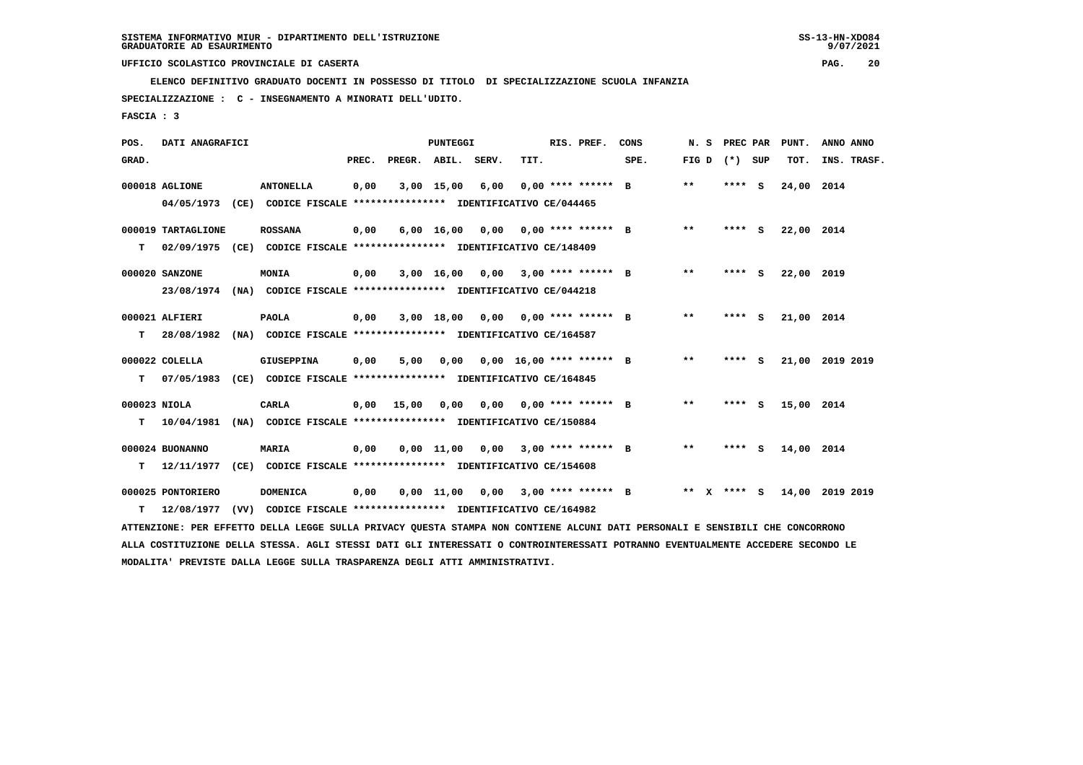**ELENCO DEFINITIVO GRADUATO DOCENTI IN POSSESSO DI TITOLO DI SPECIALIZZAZIONE SCUOLA INFANZIA**

 **SPECIALIZZAZIONE : C - INSEGNAMENTO A MINORATI DELL'UDITO.**

 **FASCIA : 3**

| POS.         | DATI ANAGRAFICI                                                                                                                 |                                                               |       |                    | PUNTEGGI     |                                      |      | RIS. PREF.              | CONS                               |                 | N. S PREC PAR | PUNT.      | ANNO ANNO                   |
|--------------|---------------------------------------------------------------------------------------------------------------------------------|---------------------------------------------------------------|-------|--------------------|--------------|--------------------------------------|------|-------------------------|------------------------------------|-----------------|---------------|------------|-----------------------------|
| GRAD.        |                                                                                                                                 |                                                               | PREC. | PREGR. ABIL. SERV. |              |                                      | TIT. |                         | SPE.                               | FIG D $(*)$ SUP |               | TOT.       | INS. TRASF.                 |
|              | 000018 AGLIONE                                                                                                                  | <b>ANTONELLA</b>                                              | 0,00  |                    | $3,00$ 15,00 | 6,00                                 |      | $0.00$ **** ****** B    |                                    | $* *$           | **** S        | 24,00 2014 |                             |
|              | 04/05/1973 (CE) CODICE FISCALE *************** IDENTIFICATIVO CE/044465                                                         |                                                               |       |                    |              |                                      |      |                         |                                    |                 |               |            |                             |
|              | 000019 TARTAGLIONE                                                                                                              | <b>ROSSANA</b>                                                | 0,00  |                    | 6,00 16,00   |                                      |      | 0,00 0,00 **** ****** B |                                    | $* *$           | $***5$        | 22,00 2014 |                             |
| т            | 02/09/1975 (CE) CODICE FISCALE *************** IDENTIFICATIVO CE/148409                                                         |                                                               |       |                    |              |                                      |      |                         |                                    |                 |               |            |                             |
|              | 000020 SANZONE                                                                                                                  | <b>MONIA</b>                                                  | 0,00  |                    |              | 3,00 16,00 0,00 3,00 **** ****** B   |      |                         |                                    | $* *$           | $***$ S       | 22,00 2019 |                             |
|              | 23/08/1974 (NA) CODICE FISCALE *************** IDENTIFICATIVO CE/044218                                                         |                                                               |       |                    |              |                                      |      |                         |                                    |                 |               |            |                             |
|              | 000021 ALFIERI                                                                                                                  | <b>PAOLA</b>                                                  | 0,00  |                    |              | 3,00 18,00 0,00 0,00 **** ****** B   |      |                         |                                    | $***$           | **** S        | 21,00 2014 |                             |
| т            | 28/08/1982                                                                                                                      | (NA) CODICE FISCALE **************** IDENTIFICATIVO CE/164587 |       |                    |              |                                      |      |                         |                                    |                 |               |            |                             |
|              | 000022 COLELLA                                                                                                                  | <b>GIUSEPPINA</b>                                             | 0,00  | 5,00               |              | $0,00$ $0,00$ $16,00$ **** ****** B  |      |                         |                                    | $* *$           | $***$ S       |            | 21,00 2019 2019             |
| т            | 07/05/1983                                                                                                                      | (CE) CODICE FISCALE **************** IDENTIFICATIVO CE/164845 |       |                    |              |                                      |      |                         |                                    |                 |               |            |                             |
| 000023 NIOLA |                                                                                                                                 | <b>CARLA</b>                                                  | 0,00  | 15,00              | 0,00         | 0,00 0,00 **** ****** B              |      |                         |                                    | $***$           | $***$ S       | 15,00 2014 |                             |
| т            | 10/04/1981                                                                                                                      | (NA) CODICE FISCALE **************** IDENTIFICATIVO CE/150884 |       |                    |              |                                      |      |                         |                                    |                 |               |            |                             |
|              | 000024 BUONANNO                                                                                                                 | MARIA                                                         | 0,00  |                    |              | $0,00$ 11,00 0,00 3,00 **** ****** B |      |                         |                                    | $***$           | **** S        | 14,00 2014 |                             |
| т            | 12/11/1977 (CE) CODICE FISCALE *************** IDENTIFICATIVO CE/154608                                                         |                                                               |       |                    |              |                                      |      |                         |                                    |                 |               |            |                             |
|              | 000025 PONTORIERO                                                                                                               | DOMENICA                                                      | 0,00  |                    |              |                                      |      |                         | 0,00 11,00 0,00 3,00 **** ****** B |                 |               |            | ** X **** S 14,00 2019 2019 |
| т            | 12/08/1977 (VV) CODICE FISCALE *************** IDENTIFICATIVO CE/164982                                                         |                                                               |       |                    |              |                                      |      |                         |                                    |                 |               |            |                             |
|              | ATTENZIONE: PER EFFETTO DELLA LEGGE SULLA PRIVACY QUESTA STAMPA NON CONTIENE ALCUNI DATI PERSONALI E SENSIBILI CHE CONCORRONO   |                                                               |       |                    |              |                                      |      |                         |                                    |                 |               |            |                             |
|              | ALLA COSTITUZIONE DELLA STESSA. AGLI STESSI DATI GLI INTERESSATI O CONTROINTERESSATI POTRANNO EVENTUALMENTE ACCEDERE SECONDO LE |                                                               |       |                    |              |                                      |      |                         |                                    |                 |               |            |                             |
|              | MODALITA' PREVISTE DALLA LEGGE SULLA TRASPARENZA DEGLI ATTI AMMINISTRATIVI.                                                     |                                                               |       |                    |              |                                      |      |                         |                                    |                 |               |            |                             |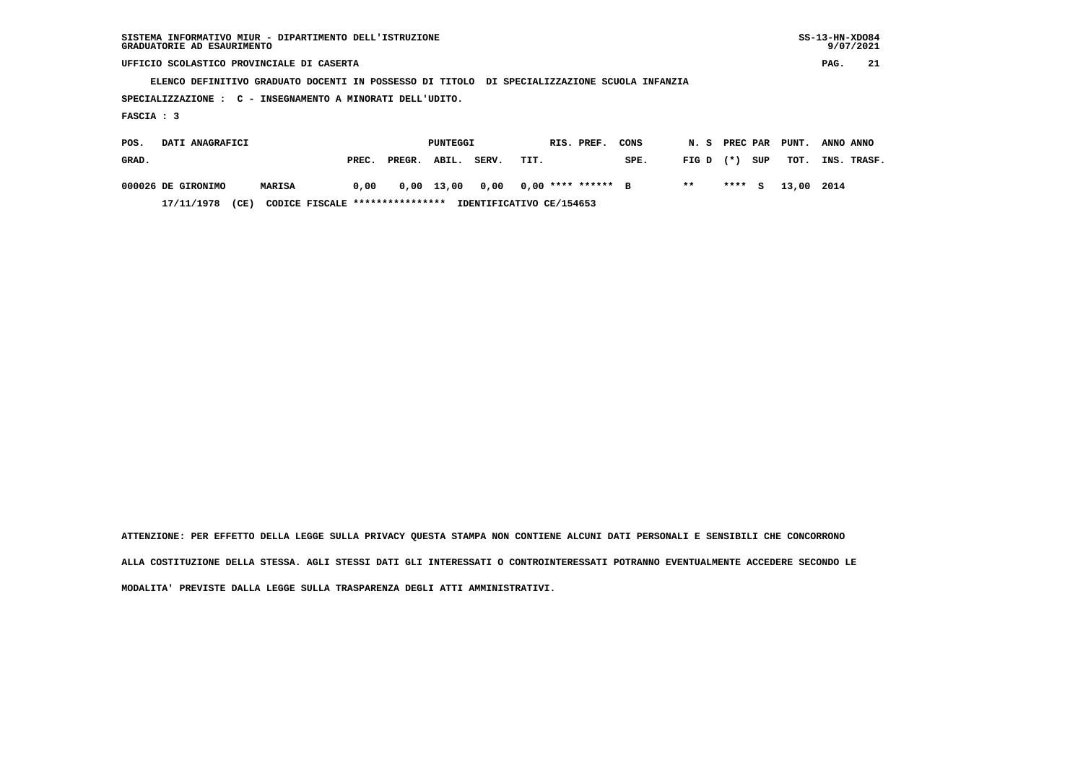| SISTEMA INFORMATIVO MIUR - DIPARTIMENTO DELL'ISTRUZIONE<br>GRADUATORIE AD ESAURIMENTO        |       |        |            |       |      |            |                      |      |       |               |     |       | $SS-13-HN-XDO84$ | 9/07/2021   |
|----------------------------------------------------------------------------------------------|-------|--------|------------|-------|------|------------|----------------------|------|-------|---------------|-----|-------|------------------|-------------|
| UFFICIO SCOLASTICO PROVINCIALE DI CASERTA                                                    |       |        |            |       |      |            |                      |      |       |               |     |       | PAG.             | 21          |
| ELENCO DEFINITIVO GRADUATO DOCENTI IN POSSESSO DI TITOLO DI SPECIALIZZAZIONE SCUOLA INFANZIA |       |        |            |       |      |            |                      |      |       |               |     |       |                  |             |
| SPECIALIZZAZIONE : C - INSEGNAMENTO A MINORATI DELL'UDITO.                                   |       |        |            |       |      |            |                      |      |       |               |     |       |                  |             |
| FASCIA : 3                                                                                   |       |        |            |       |      |            |                      |      |       |               |     |       |                  |             |
| DATI ANAGRAFICI<br>POS.                                                                      |       |        | PUNTEGGI   |       |      | RIS. PREF. |                      | CONS |       | N. S PREC PAR |     | PUNT. | ANNO ANNO        |             |
| GRAD.                                                                                        | PREC. | PREGR. | ABIL.      | SERV. | TIT. |            |                      | SPE. | FIG D | ( * )         | SUP | тот.  |                  | INS. TRASF. |
| 000026 DE GIRONIMO<br>MARISA                                                                 | 0.00  |        | 0,00 13,00 | 0,00  |      |            | $0.00$ **** ****** B |      | $* *$ | ****          | S.  | 13,00 | 2014             |             |

 **17/11/1978 (CE) CODICE FISCALE \*\*\*\*\*\*\*\*\*\*\*\*\*\*\*\* IDENTIFICATIVO CE/154653**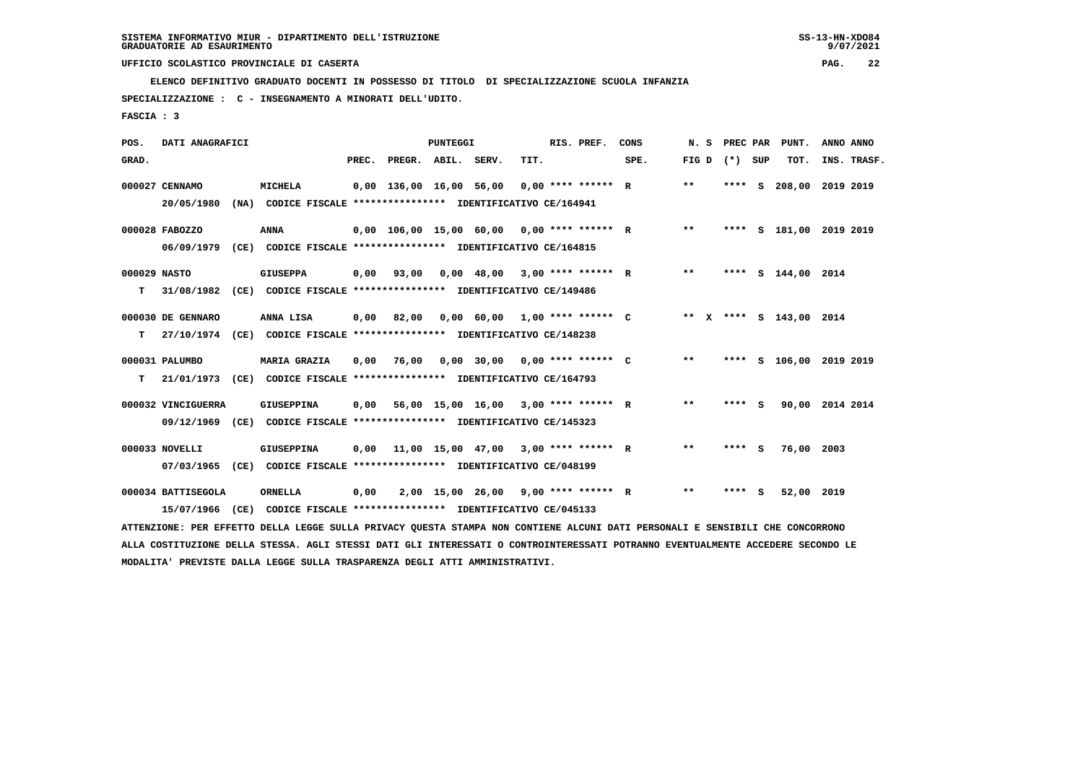**ELENCO DEFINITIVO GRADUATO DOCENTI IN POSSESSO DI TITOLO DI SPECIALIZZAZIONE SCUOLA INFANZIA**

 **SPECIALIZZAZIONE : C - INSEGNAMENTO A MINORATI DELL'UDITO.**

 **FASCIA : 3**

| POS.         | DATI ANAGRAFICI    |      |                                                                                                                               |      |                          | <b>PUNTEGGI</b> |                                             |      | RIS. PREF.           | CONS                                       |                   |        | N. S PREC PAR PUNT.     | ANNO ANNO |             |
|--------------|--------------------|------|-------------------------------------------------------------------------------------------------------------------------------|------|--------------------------|-----------------|---------------------------------------------|------|----------------------|--------------------------------------------|-------------------|--------|-------------------------|-----------|-------------|
| GRAD.        |                    |      |                                                                                                                               |      | PREC. PREGR. ABIL. SERV. |                 |                                             | TIT. |                      | SPE.                                       | FIG $D$ $(*)$ SUP |        | TOT.                    |           | INS. TRASF. |
|              | 000027 CENNAMO     |      | <b>MICHELA</b>                                                                                                                |      | 0,00 136,00 16,00 56,00  |                 |                                             |      | $0.00$ **** ****** R |                                            | $***$             | **** S | 208,00 2019 2019        |           |             |
|              | 20/05/1980         |      | (NA) CODICE FISCALE **************** IDENTIFICATIVO CE/164941                                                                 |      |                          |                 |                                             |      |                      |                                            |                   |        |                         |           |             |
|              | 000028 FABOZZO     |      | <b>ANNA</b>                                                                                                                   |      |                          |                 |                                             |      |                      | 0,00 106,00 15,00 60,00 0,00 **** ****** R | $* *$             |        | **** S 181,00 2019 2019 |           |             |
|              | 06/09/1979         |      | (CE) CODICE FISCALE *************** IDENTIFICATIVO CE/164815                                                                  |      |                          |                 |                                             |      |                      |                                            |                   |        |                         |           |             |
| 000029 NASTO |                    |      | <b>GIUSEPPA</b>                                                                                                               |      | 0,00 93,00               |                 | $0,00$ 48,00 3,00 **** ****** R             |      |                      |                                            | $* *$             |        | **** S 144,00 2014      |           |             |
| T.           |                    |      | 31/08/1982 (CE) CODICE FISCALE **************** IDENTIFICATIVO CE/149486                                                      |      |                          |                 |                                             |      |                      |                                            |                   |        |                         |           |             |
|              | 000030 DE GENNARO  |      | ANNA LISA                                                                                                                     | 0,00 | 82,00                    |                 | $0,00$ 60,00 1,00 **** ****** C             |      |                      |                                            |                   |        | ** X **** S 143,00 2014 |           |             |
| т            |                    |      | 27/10/1974 (CE) CODICE FISCALE **************** IDENTIFICATIVO CE/148238                                                      |      |                          |                 |                                             |      |                      |                                            |                   |        |                         |           |             |
|              | 000031 PALUMBO     |      | <b>MARIA GRAZIA</b>                                                                                                           | 0.00 | 76,00                    |                 |                                             |      |                      | 0,00 30,00 0,00 **** ****** C              | $***$             |        | **** S 106,00 2019 2019 |           |             |
| т            |                    |      | 21/01/1973 (CE) CODICE FISCALE *************** IDENTIFICATIVO CE/164793                                                       |      |                          |                 |                                             |      |                      |                                            |                   |        |                         |           |             |
|              | 000032 VINCIGUERRA |      | <b>GIUSEPPINA</b>                                                                                                             |      |                          |                 | $0,00$ 56,00 15,00 16,00 3,00 **** ****** R |      |                      |                                            | $* *$             | **** S | 90,00 2014 2014         |           |             |
|              |                    |      | 09/12/1969 (CE) CODICE FISCALE *************** IDENTIFICATIVO CE/145323                                                       |      |                          |                 |                                             |      |                      |                                            |                   |        |                         |           |             |
|              | 000033 NOVELLI     |      | GIUSEPPINA                                                                                                                    |      |                          |                 | $0,00$ 11,00 15,00 47,00 3,00 **** ****** R |      |                      |                                            | $***$             | **** S | 76,00 2003              |           |             |
|              |                    |      | 07/03/1965 (CE) CODICE FISCALE *************** IDENTIFICATIVO CE/048199                                                       |      |                          |                 |                                             |      |                      |                                            |                   |        |                         |           |             |
|              | 000034 BATTISEGOLA |      | <b>ORNELLA</b>                                                                                                                | 0,00 |                          |                 | $2,00$ 15,00 26,00 9,00 **** ****** R       |      |                      |                                            | $***$             | **** S | 52,00 2019              |           |             |
|              | 15/07/1966         | (CE) | CODICE FISCALE **************** IDENTIFICATIVO CE/045133                                                                      |      |                          |                 |                                             |      |                      |                                            |                   |        |                         |           |             |
|              |                    |      | ATTENZIONE: PER EFFETTO DELLA LEGGE SULLA PRIVACY QUESTA STAMPA NON CONTIENE ALCUNI DATI PERSONALI E SENSIBILI CHE CONCORRONO |      |                          |                 |                                             |      |                      |                                            |                   |        |                         |           |             |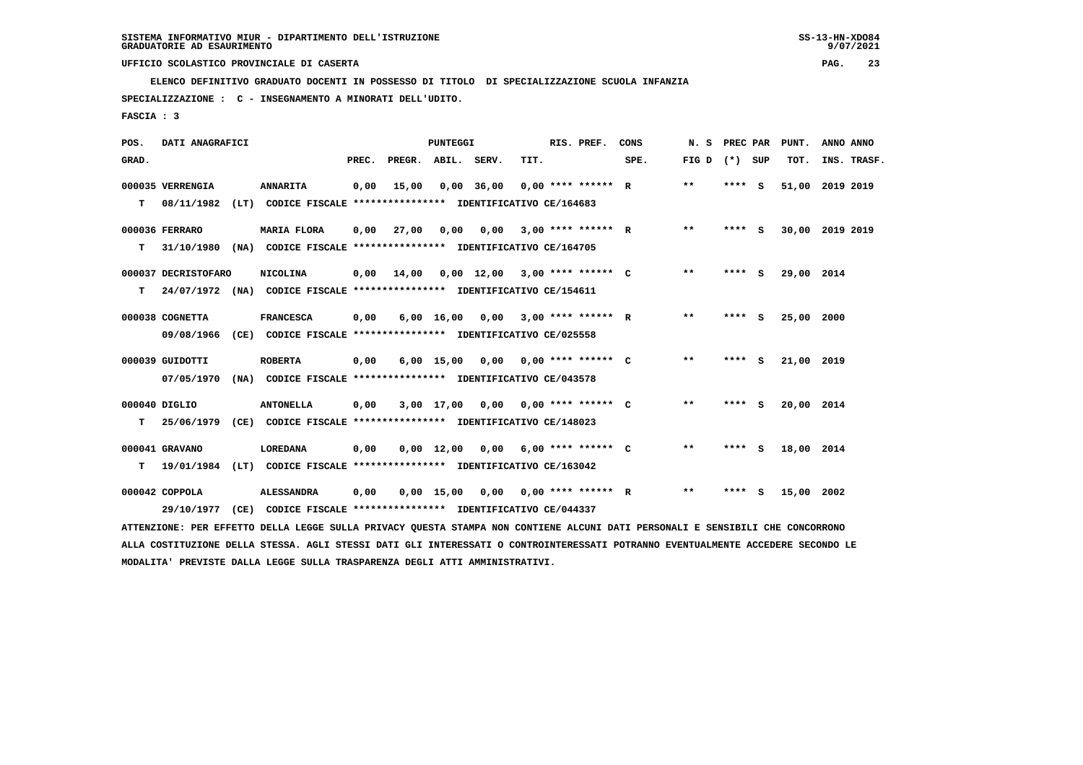**ELENCO DEFINITIVO GRADUATO DOCENTI IN POSSESSO DI TITOLO DI SPECIALIZZAZIONE SCUOLA INFANZIA**

 **SPECIALIZZAZIONE : C - INSEGNAMENTO A MINORATI DELL'UDITO.**

 **FASCIA : 3**

| POS.  | DATI ANAGRAFICI     |                                                                                                                               |       |                    | <b>PUNTEGGI</b> |                                    |      | RIS. PREF.                  | CONS | N. S  | PREC PAR | PUNT.           | ANNO ANNO |             |
|-------|---------------------|-------------------------------------------------------------------------------------------------------------------------------|-------|--------------------|-----------------|------------------------------------|------|-----------------------------|------|-------|----------|-----------------|-----------|-------------|
| GRAD. |                     |                                                                                                                               | PREC. | PREGR. ABIL. SERV. |                 |                                    | TIT. |                             | SPE. | FIG D | (*) SUP  | TOT.            |           | INS. TRASF. |
|       | 000035 VERRENGIA    | <b>ANNARITA</b>                                                                                                               | 0,00  | 15,00              |                 | $0,00$ 36,00                       |      | $0.00$ **** ****** R        |      | $* *$ | **** S   | 51,00           | 2019 2019 |             |
| т     | 08/11/1982          | (LT) CODICE FISCALE **************** IDENTIFICATIVO CE/164683                                                                 |       |                    |                 |                                    |      |                             |      |       |          |                 |           |             |
|       | 000036 FERRARO      | MARIA FLORA                                                                                                                   | 0,00  | 27,00              | 0,00            | 0,00                               |      | $3,00$ **** ****** R        |      | $***$ | $***$ S  | 30,00 2019 2019 |           |             |
| т     | 31/10/1980          | (NA) CODICE FISCALE **************** IDENTIFICATIVO CE/164705                                                                 |       |                    |                 |                                    |      |                             |      |       |          |                 |           |             |
|       | 000037 DECRISTOFARO | <b>NICOLINA</b>                                                                                                               | 0,00  | 14,00              |                 | $0,00$ 12,00 3,00 **** ****** C    |      |                             |      | $***$ | **** S   | 29,00 2014      |           |             |
| т     |                     | 24/07/1972 (NA) CODICE FISCALE **************** IDENTIFICATIVO CE/154611                                                      |       |                    |                 |                                    |      |                             |      |       |          |                 |           |             |
|       | 000038 COGNETTA     | <b>FRANCESCA</b>                                                                                                              | 0,00  |                    | 6,00 16,00      | 0,00                               |      | $3,00$ **** ****** R        |      | **    | **** S   | 25,00 2000      |           |             |
|       | 09/08/1966          | (CE) CODICE FISCALE **************** IDENTIFICATIVO CE/025558                                                                 |       |                    |                 |                                    |      |                             |      |       |          |                 |           |             |
|       | 000039 GUIDOTTI     | <b>ROBERTA</b>                                                                                                                | 0,00  |                    | $6,00$ 15,00    |                                    |      | $0,00$ $0,00$ **** ****** C |      | $* *$ | **** S   | 21,00 2019      |           |             |
|       | 07/05/1970          | (NA) CODICE FISCALE **************** IDENTIFICATIVO CE/043578                                                                 |       |                    |                 |                                    |      |                             |      |       |          |                 |           |             |
|       | 000040 DIGLIO       | <b>ANTONELLA</b>                                                                                                              | 0,00  |                    |                 | 3,00 17,00 0,00 0,00 **** ****** C |      |                             |      | $***$ | **** S   | 20,00 2014      |           |             |
| т     | 25/06/1979          | (CE) CODICE FISCALE **************** IDENTIFICATIVO CE/148023                                                                 |       |                    |                 |                                    |      |                             |      |       |          |                 |           |             |
|       | 000041 GRAVANO      | LOREDANA                                                                                                                      | 0,00  |                    | $0,00$ 12,00    | 0,00                               |      | $6.00$ **** ****** C        |      | $**$  | **** S   | 18,00 2014      |           |             |
| т     | 19/01/1984          | (LT) CODICE FISCALE **************** IDENTIFICATIVO CE/163042                                                                 |       |                    |                 |                                    |      |                             |      |       |          |                 |           |             |
|       | 000042 COPPOLA      | <b>ALESSANDRA</b>                                                                                                             | 0,00  |                    | 0.00 15.00      | 0,00                               |      | $0.00$ **** ****** R        |      | $* *$ | **** S   | 15,00 2002      |           |             |
|       | 29/10/1977          | (CE) CODICE FISCALE **************** IDENTIFICATIVO CE/044337                                                                 |       |                    |                 |                                    |      |                             |      |       |          |                 |           |             |
|       |                     | ATTENZIONE: PER EFFETTO DELLA LEGGE SULLA PRIVACY QUESTA STAMPA NON CONTIENE ALCUNI DATI PERSONALI E SENSIBILI CHE CONCORRONO |       |                    |                 |                                    |      |                             |      |       |          |                 |           |             |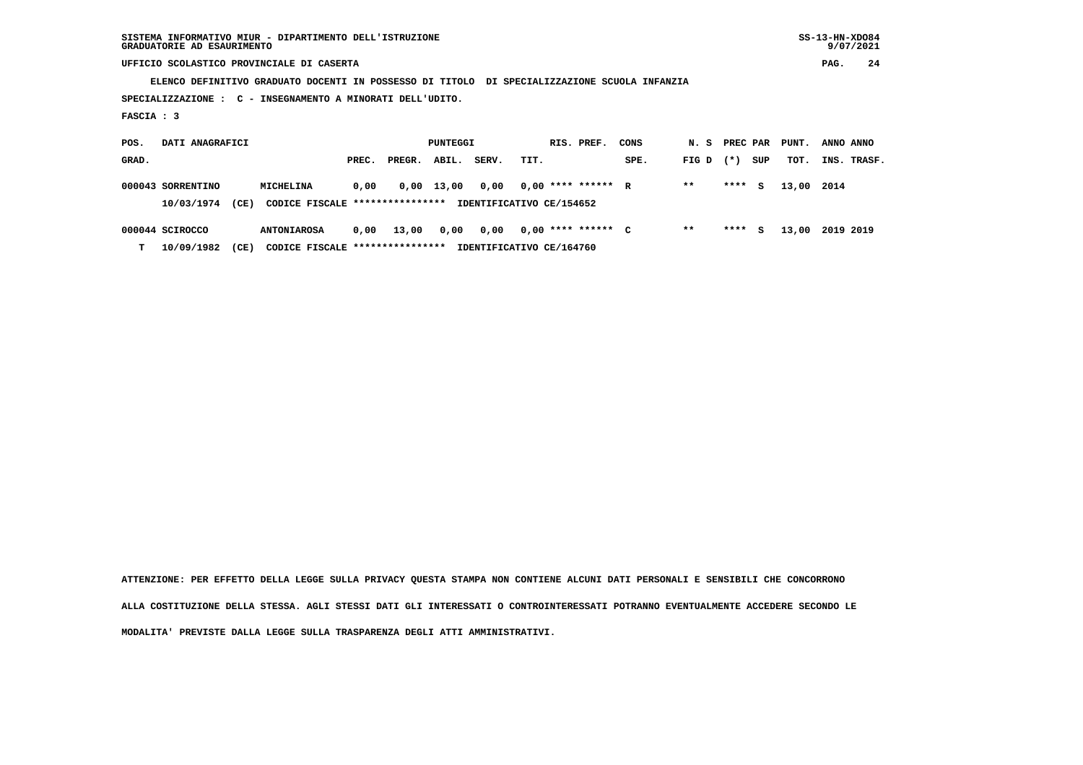| SISTEMA INFORMATIVO MIUR - DIPARTIMENTO DELL'ISTRUZIONE | $SS-13-HN-XDO84$ |
|---------------------------------------------------------|------------------|
| GRADUATORIE AD ESAURIMENTO                              | 9/07/2021        |

 **ELENCO DEFINITIVO GRADUATO DOCENTI IN POSSESSO DI TITOLO DI SPECIALIZZAZIONE SCUOLA INFANZIA**

 **SPECIALIZZAZIONE : C - INSEGNAMENTO A MINORATI DELL'UDITO.**

 **FASCIA : 3**

| POS.  | DATI ANAGRAFICI   |      |                                 |       |        | PUNTEGGI   |       |      | RIS. PREF.               | CONS | N. S  | PREC PAR |     | PUNT.      | ANNO ANNO   |
|-------|-------------------|------|---------------------------------|-------|--------|------------|-------|------|--------------------------|------|-------|----------|-----|------------|-------------|
| GRAD. |                   |      |                                 | PREC. | PREGR. | ABIL.      | SERV. | TIT. |                          | SPE. | FIG D | $(* )$   | SUP | тот.       | INS. TRASF. |
|       | 000043 SORRENTINO |      | MICHELINA                       | 0.00  |        | 0,00 13,00 | 0,00  |      | $0,00$ **** ****** R     |      | $* *$ | ****     | S.  | 13,00 2014 |             |
|       | 10/03/1974        | (CE) | CODICE FISCALE **************** |       |        |            |       |      | IDENTIFICATIVO CE/154652 |      |       |          |     |            |             |
|       | 000044 SCIROCCO   |      | <b>ANTONIAROSA</b>              | 0.00  | 13,00  | 0,00       | 0,00  |      | $0,00$ **** ****** C     |      | $* *$ | ****     | s   | 13,00      | 2019 2019   |
| т     | 10/09/1982        | (CE) | CODICE FISCALE **************** |       |        |            |       |      | IDENTIFICATIVO CE/164760 |      |       |          |     |            |             |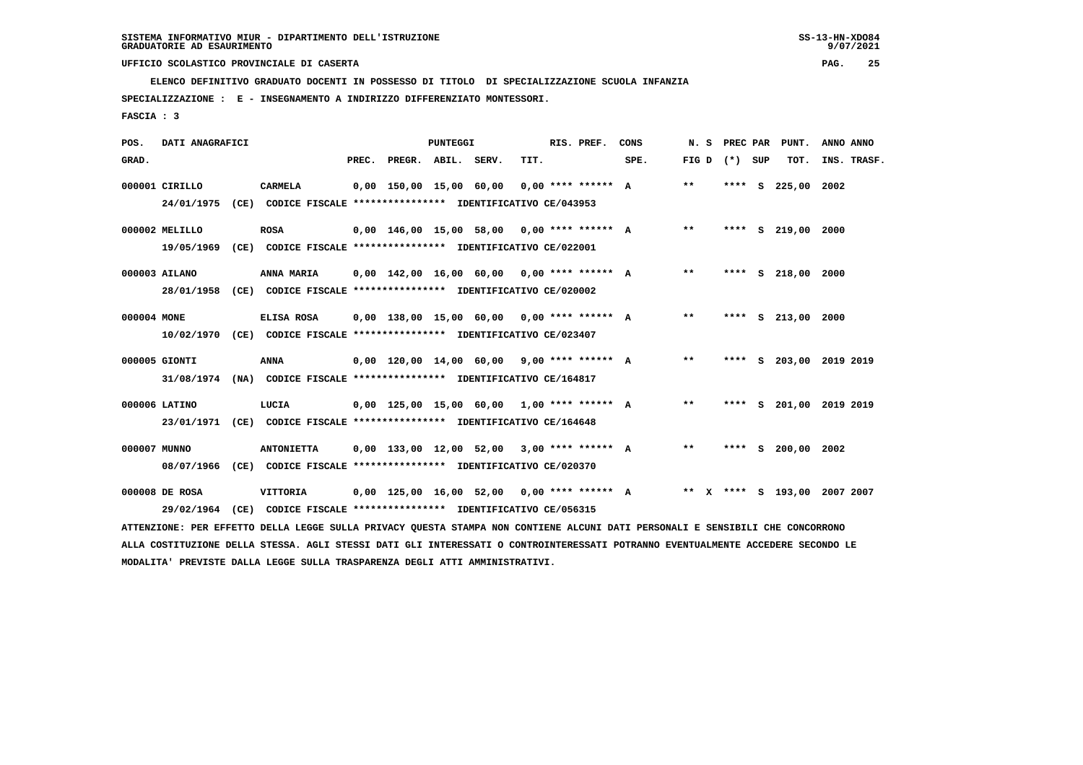**ELENCO DEFINITIVO GRADUATO DOCENTI IN POSSESSO DI TITOLO DI SPECIALIZZAZIONE SCUOLA INFANZIA**

 **SPECIALIZZAZIONE : E - INSEGNAMENTO A INDIRIZZO DIFFERENZIATO MONTESSORI.**

 **FASCIA : 3**

| POS.         | DATI ANAGRAFICI |                                                                                                                               |       |                         | PUNTEGGI |                                              |      | RIS. PREF.           | CONS                                       | N.S   |      | PREC PAR | PUNT.              | ANNO ANNO                    |
|--------------|-----------------|-------------------------------------------------------------------------------------------------------------------------------|-------|-------------------------|----------|----------------------------------------------|------|----------------------|--------------------------------------------|-------|------|----------|--------------------|------------------------------|
| GRAD.        |                 |                                                                                                                               | PREC. | PREGR. ABIL. SERV.      |          |                                              | TIT. |                      | SPE.                                       | FIG D |      | (*) SUP  | TOT.               | INS. TRASF.                  |
|              | 000001 CIRILLO  | <b>CARMELA</b>                                                                                                                |       | 0,00 150,00 15,00 60,00 |          |                                              |      | $0.00$ **** ****** A |                                            | $* *$ |      |          | **** S 225,00 2002 |                              |
|              | 24/01/1975      | (CE) CODICE FISCALE **************** IDENTIFICATIVO CE/043953                                                                 |       |                         |          |                                              |      |                      |                                            |       |      |          |                    |                              |
|              | 000002 MELILLO  | <b>ROSA</b>                                                                                                                   |       |                         |          | $0.00$ 146.00 15.00 58.00 0.00 **** ****** A |      |                      |                                            | $* *$ |      |          | **** S 219,00 2000 |                              |
|              | 19/05/1969      | (CE) CODICE FISCALE **************** IDENTIFICATIVO CE/022001                                                                 |       |                         |          |                                              |      |                      |                                            |       |      |          |                    |                              |
|              | 000003 AILANO   | <b>ANNA MARIA</b>                                                                                                             |       |                         |          | $0.00$ 142.00 16.00 60.00 0.00 **** ****** A |      |                      |                                            | $* *$ |      |          | **** S 218,00 2000 |                              |
|              | 28/01/1958      | (CE) CODICE FISCALE **************** IDENTIFICATIVO CE/020002                                                                 |       |                         |          |                                              |      |                      |                                            |       |      |          |                    |                              |
| 000004 MONE  |                 | ELISA ROSA                                                                                                                    |       |                         |          | $0.00$ 138.00 15.00 60.00 0.00 **** ****** A |      |                      |                                            | $* *$ |      |          | **** $S$ 213,00    | 2000                         |
|              | 10/02/1970      | (CE) CODICE FISCALE **************** IDENTIFICATIVO CE/023407                                                                 |       |                         |          |                                              |      |                      |                                            |       |      |          |                    |                              |
|              | 000005 GIONTI   | ANNA                                                                                                                          |       |                         |          | $0,00$ 120,00 14,00 60,00 9,00 **** ****** A |      |                      |                                            | $***$ | **** |          |                    | S 203,00 2019 2019           |
|              |                 | 31/08/1974 (NA) CODICE FISCALE *************** IDENTIFICATIVO CE/164817                                                       |       |                         |          |                                              |      |                      |                                            |       |      |          |                    |                              |
|              | 000006 LATINO   | LUCIA                                                                                                                         |       |                         |          | $0,00$ 125,00 15,00 60,00 1,00 **** ****** A |      |                      |                                            | $***$ | **** | - S -    |                    | 201,00 2019 2019             |
|              | 23/01/1971      | (CE) CODICE FISCALE **************** IDENTIFICATIVO CE/164648                                                                 |       |                         |          |                                              |      |                      |                                            |       |      |          |                    |                              |
| 000007 MUNNO |                 | <b>ANTONIETTA</b>                                                                                                             |       |                         |          | $0,00$ 133,00 12,00 52,00 3,00 **** ****** A |      |                      |                                            | $* *$ | **** | - SI     | 200,00 2002        |                              |
|              | 08/07/1966      | (CE) CODICE FISCALE **************** IDENTIFICATIVO CE/020370                                                                 |       |                         |          |                                              |      |                      |                                            |       |      |          |                    |                              |
|              | 000008 DE ROSA  | VITTORIA                                                                                                                      |       |                         |          |                                              |      |                      | 0,00 125,00 16,00 52,00 0,00 **** ****** A |       |      |          |                    | ** X **** S 193,00 2007 2007 |
|              | 29/02/1964      | (CE) CODICE FISCALE **************** IDENTIFICATIVO CE/056315                                                                 |       |                         |          |                                              |      |                      |                                            |       |      |          |                    |                              |
|              |                 | ATTENZIONE: PER EFFETTO DELLA LEGGE SULLA PRIVACY OUESTA STAMPA NON CONTIENE ALCUNI DATI PERSONALI E SENSIBILI CHE CONCORRONO |       |                         |          |                                              |      |                      |                                            |       |      |          |                    |                              |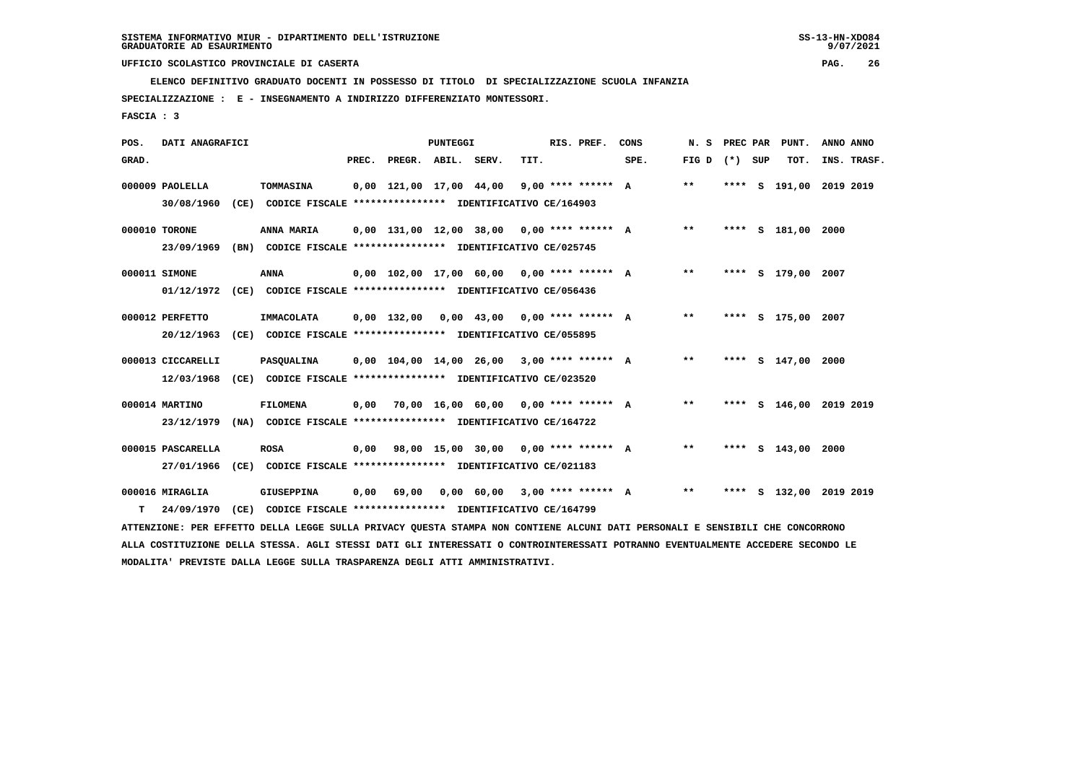**ELENCO DEFINITIVO GRADUATO DOCENTI IN POSSESSO DI TITOLO DI SPECIALIZZAZIONE SCUOLA INFANZIA**

 **SPECIALIZZAZIONE : E - INSEGNAMENTO A INDIRIZZO DIFFERENZIATO MONTESSORI.**

 **FASCIA : 3**

| POS.  | DATI ANAGRAFICI   |                                                                                                                                 |       |                                              | <b>PUNTEGGI</b> |                                      |      | RIS. PREF.           | CONS | N.S               | PREC PAR |          | PUNT.                   | ANNO ANNO |             |
|-------|-------------------|---------------------------------------------------------------------------------------------------------------------------------|-------|----------------------------------------------|-----------------|--------------------------------------|------|----------------------|------|-------------------|----------|----------|-------------------------|-----------|-------------|
| GRAD. |                   |                                                                                                                                 | PREC. | PREGR.                                       | ABIL.           | SERV.                                | TIT. |                      | SPE. | FIG $D$ $(*)$ SUP |          |          | TOT.                    |           | INS. TRASF. |
|       | 000009 PAOLELLA   | TOMMASINA                                                                                                                       |       | 0,00 121,00 17,00 44,00                      |                 |                                      |      | $9,00$ **** ****** A |      | **                | ****     | <b>S</b> | 191,00 2019 2019        |           |             |
|       | 30/08/1960        | (CE) CODICE FISCALE **************** IDENTIFICATIVO CE/164903                                                                   |       |                                              |                 |                                      |      |                      |      |                   |          |          |                         |           |             |
|       | 000010 TORONE     | ANNA MARIA                                                                                                                      |       | $0,00$ 131,00 12,00 38,00 0,00 **** ****** A |                 |                                      |      |                      |      | $***$             |          |          | **** S 181,00 2000      |           |             |
|       | 23/09/1969        | (BN) CODICE FISCALE **************** IDENTIFICATIVO CE/025745                                                                   |       |                                              |                 |                                      |      |                      |      |                   |          |          |                         |           |             |
|       | 000011 SIMONE     | <b>ANNA</b>                                                                                                                     |       | $0,00$ 102,00 17,00 60,00 0,00 **** ****** A |                 |                                      |      |                      |      | $***$             |          |          | **** S 179,00 2007      |           |             |
|       | 01/12/1972        | (CE) CODICE FISCALE **************** IDENTIFICATIVO CE/056436                                                                   |       |                                              |                 |                                      |      |                      |      |                   |          |          |                         |           |             |
|       | 000012 PERFETTO   | IMMACOLATA                                                                                                                      |       | $0,00$ 132,00                                |                 | 0,00 43,00                           |      | $0,00$ **** ****** A |      | $***$             |          |          | **** S 175,00 2007      |           |             |
|       | 20/12/1963        | (CE) CODICE FISCALE **************** IDENTIFICATIVO CE/055895                                                                   |       |                                              |                 |                                      |      |                      |      |                   |          |          |                         |           |             |
|       | 000013 CICCARELLI | PASQUALINA                                                                                                                      |       | 0,00 104,00 14,00 26,00                      |                 |                                      |      | $3,00$ **** ****** A |      | **                |          |          | **** S 147,00 2000      |           |             |
|       | 12/03/1968        | (CE) CODICE FISCALE **************** IDENTIFICATIVO CE/023520                                                                   |       |                                              |                 |                                      |      |                      |      |                   |          |          |                         |           |             |
|       | 000014 MARTINO    | <b>FILOMENA</b>                                                                                                                 | 0,00  |                                              |                 | 70,00 16,00 60,00 0,00 **** ****** A |      |                      |      | $***$             |          |          | **** S 146,00 2019 2019 |           |             |
|       | 23/12/1979        | (NA) CODICE FISCALE **************** IDENTIFICATIVO CE/164722                                                                   |       |                                              |                 |                                      |      |                      |      |                   |          |          |                         |           |             |
|       | 000015 PASCARELLA | <b>ROSA</b>                                                                                                                     | 0,00  |                                              |                 | 98,00 15,00 30,00 0,00 **** ****** A |      |                      |      | $***$             |          |          | **** S 143,00 2000      |           |             |
|       | 27/01/1966        | (CE) CODICE FISCALE **************** IDENTIFICATIVO CE/021183                                                                   |       |                                              |                 |                                      |      |                      |      |                   |          |          |                         |           |             |
|       | 000016 MIRAGLIA   | <b>GIUSEPPINA</b>                                                                                                               | 0,00  | 69,00                                        |                 | $0,00$ 60,00 3,00 **** ****** A      |      |                      |      | $***$             |          |          | **** S 132,00 2019 2019 |           |             |
| т     | 24/09/1970        | (CE) CODICE FISCALE **************** IDENTIFICATIVO CE/164799                                                                   |       |                                              |                 |                                      |      |                      |      |                   |          |          |                         |           |             |
|       |                   | ATTENZIONE: PER EFFETTO DELLA LEGGE SULLA PRIVACY QUESTA STAMPA NON CONTIENE ALCUNI DATI PERSONALI E SENSIBILI CHE CONCORRONO   |       |                                              |                 |                                      |      |                      |      |                   |          |          |                         |           |             |
|       |                   | ALLA COSTITUZIONE DELLA STESSA. AGLI STESSI DATI GLI INTERESSATI O CONTROINTERESSATI POTRANNO EVENTUALMENTE ACCEDERE SECONDO LE |       |                                              |                 |                                      |      |                      |      |                   |          |          |                         |           |             |
|       |                   | MODALITA' PREVISTE DALLA LEGGE SULLA TRASPARENZA DEGLI ATTI AMMINISTRATIVI.                                                     |       |                                              |                 |                                      |      |                      |      |                   |          |          |                         |           |             |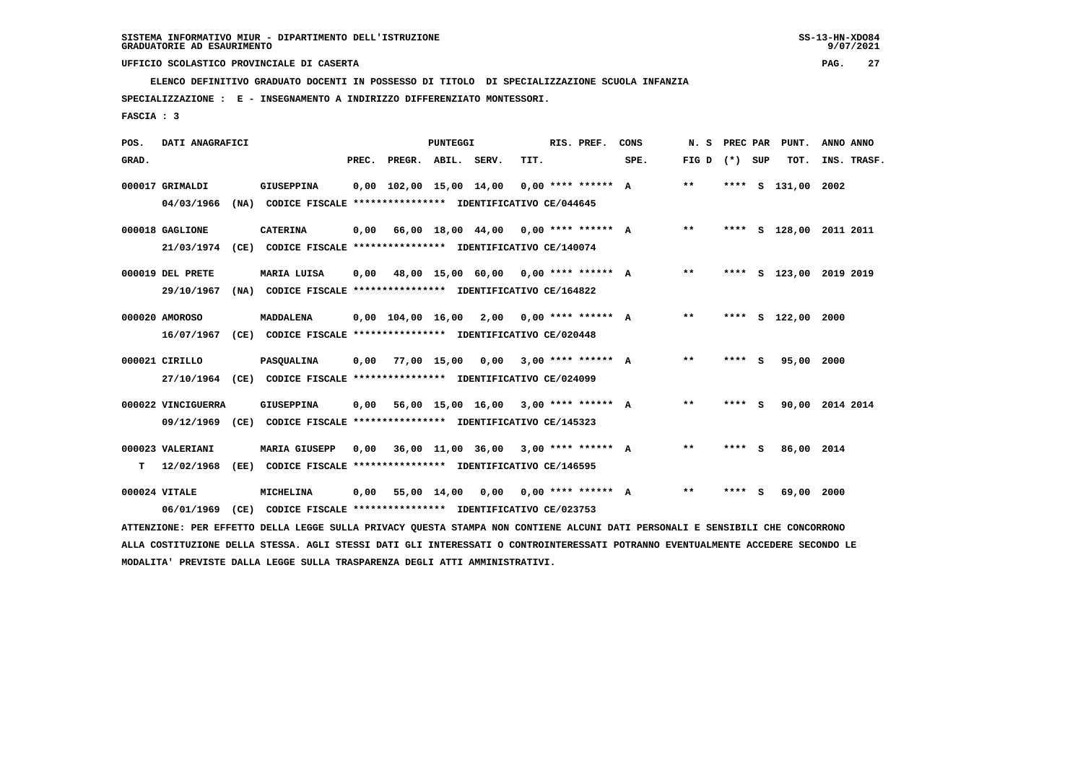**ELENCO DEFINITIVO GRADUATO DOCENTI IN POSSESSO DI TITOLO DI SPECIALIZZAZIONE SCUOLA INFANZIA**

 **SPECIALIZZAZIONE : E - INSEGNAMENTO A INDIRIZZO DIFFERENZIATO MONTESSORI.**

 **FASCIA : 3**

| POS.  | DATI ANAGRAFICI                  |      |                                                                                                                               |       |                    | <b>PUNTEGGI</b> |                                                     |      | RIS. PREF.           | CONS | N. S  |         | PREC PAR PUNT.     | ANNO ANNO               |
|-------|----------------------------------|------|-------------------------------------------------------------------------------------------------------------------------------|-------|--------------------|-----------------|-----------------------------------------------------|------|----------------------|------|-------|---------|--------------------|-------------------------|
| GRAD. |                                  |      |                                                                                                                               | PREC. | PREGR. ABIL. SERV. |                 |                                                     | TIT. |                      | SPE. | FIG D | (*) SUP | TOT.               | INS. TRASF.             |
|       | 000017 GRIMALDI<br>04/03/1966    |      | GIUSEPPINA<br>(NA) CODICE FISCALE **************** IDENTIFICATIVO CE/044645                                                   |       |                    |                 | $0,00$ 102,00 15,00 14,00 0,00 **** ****** A        |      |                      |      | $***$ |         | **** S 131,00 2002 |                         |
|       | 000018 GAGLIONE<br>21/03/1974    |      | <b>CATERINA</b><br>(CE) CODICE FISCALE **************** IDENTIFICATIVO CE/140074                                              | 0,00  |                    |                 | 66,00 18,00 44,00 0,00 **** ****** A                |      |                      |      | $***$ |         |                    | **** S 128,00 2011 2011 |
|       | 000019 DEL PRETE<br>29/10/1967   |      | MARIA LUISA<br>(NA) CODICE FISCALE **************** IDENTIFICATIVO CE/164822                                                  | 0,00  |                    |                 | 48,00 15,00 60,00 0,00 **** ****** A                |      |                      |      | $***$ |         |                    | **** S 123,00 2019 2019 |
|       | 000020 AMOROSO<br>16/07/1967     |      | MADDALENA<br>(CE) CODICE FISCALE **************** IDENTIFICATIVO CE/020448                                                    |       |                    |                 | $0,00$ $104,00$ $16,00$ $2,00$ $0,00$ **** ****** A |      |                      |      | $***$ |         | **** S 122,00      | 2000                    |
|       | 000021 CIRILLO                   |      | PASQUALINA<br>27/10/1964 (CE) CODICE FISCALE *************** IDENTIFICATIVO CE/024099                                         | 0,00  |                    |                 | 77,00 15,00 0,00 3,00 **** ****** A                 |      |                      |      | $* *$ | **** S  | 95,00 2000         |                         |
|       | 000022 VINCIGUERRA<br>09/12/1969 |      | GIUSEPPINA<br>(CE) CODICE FISCALE **************** IDENTIFICATIVO CE/145323                                                   | 0,00  |                    |                 | 56,00 15,00 16,00 3,00 **** ****** A                |      |                      |      | $***$ | **** S  |                    | 90,00 2014 2014         |
| т     | 000023 VALERIANI<br>12/02/1968   | (EE) | <b>MARIA GIUSEPP</b><br>CODICE FISCALE **************** IDENTIFICATIVO CE/146595                                              | 0,00  |                    |                 | 36,00 11,00 36,00 3,00 **** ****** A                |      |                      |      | $***$ | $***$ S | 86,00 2014         |                         |
|       | 000024 VITALE<br>06/01/1969      | (CE) | MICHELINA<br>CODICE FISCALE **************** IDENTIFICATIVO CE/023753                                                         | 0,00  |                    | 55,00 14,00     | 0,00                                                |      | $0.00$ **** ****** A |      | $* *$ | **** S  | 69,00 2000         |                         |
|       |                                  |      | ATTENZIONE: PER EFFETTO DELLA LEGGE SULLA PRIVACY QUESTA STAMPA NON CONTIENE ALCUNI DATI PERSONALI E SENSIBILI CHE CONCORRONO |       |                    |                 |                                                     |      |                      |      |       |         |                    |                         |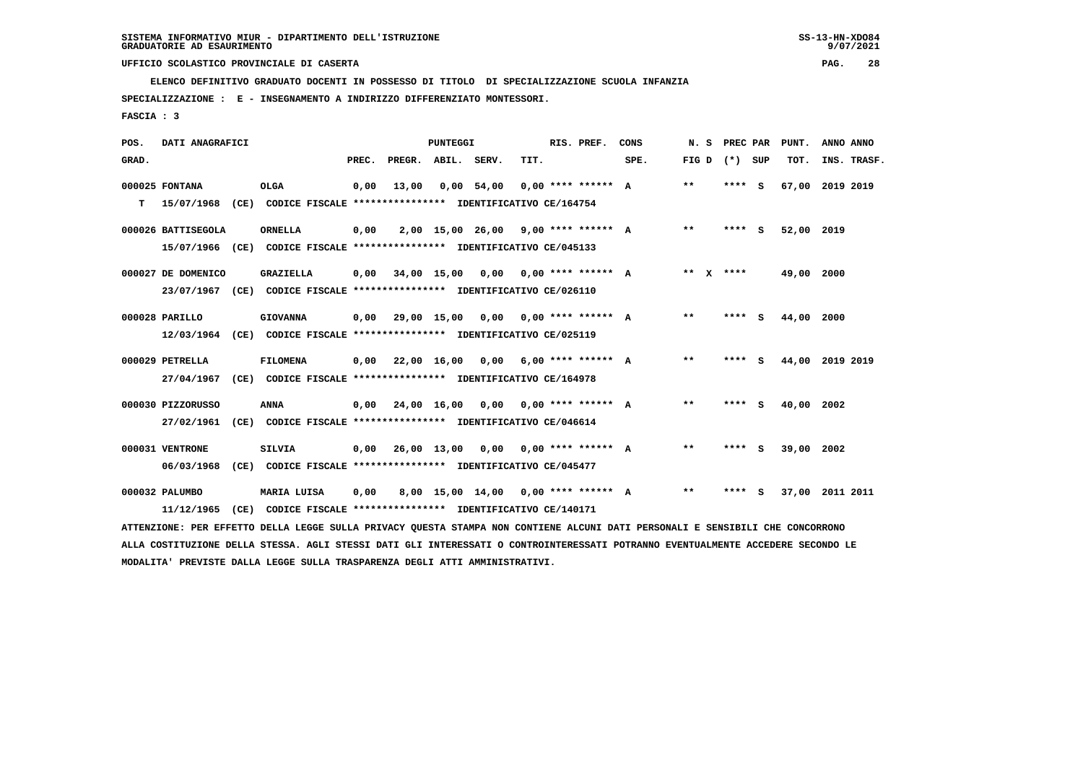**ELENCO DEFINITIVO GRADUATO DOCENTI IN POSSESSO DI TITOLO DI SPECIALIZZAZIONE SCUOLA INFANZIA**

 **SPECIALIZZAZIONE : E - INSEGNAMENTO A INDIRIZZO DIFFERENZIATO MONTESSORI.**

 **FASCIA : 3**

| POS.  | DATI ANAGRAFICI    |      |                                                                                                                               |       |                    | <b>PUNTEGGI</b> |                                            |      | RIS. PREF.           | CONS | N.S   | PREC PAR          | PUNT.      | ANNO ANNO       |
|-------|--------------------|------|-------------------------------------------------------------------------------------------------------------------------------|-------|--------------------|-----------------|--------------------------------------------|------|----------------------|------|-------|-------------------|------------|-----------------|
| GRAD. |                    |      |                                                                                                                               | PREC. | PREGR. ABIL. SERV. |                 |                                            | TIT. |                      | SPE. |       | FIG $D$ $(*)$ SUP | TOT.       | INS. TRASF.     |
|       | 000025 FONTANA     |      | <b>OLGA</b>                                                                                                                   | 0,00  | 13,00              |                 | $0.00$ 54.00                               |      | $0.00$ **** ****** A |      | $***$ | **** S            |            | 67,00 2019 2019 |
| т     | 15/07/1968         |      | (CE) CODICE FISCALE *************** IDENTIFICATIVO CE/164754                                                                  |       |                    |                 |                                            |      |                      |      |       |                   |            |                 |
|       | 000026 BATTISEGOLA |      | ORNELLA                                                                                                                       | 0,00  |                    |                 | $2,00$ 15,00 26,00 9,00 **** ****** A      |      |                      |      | $***$ | **** S            | 52,00 2019 |                 |
|       |                    |      | 15/07/1966 (CE) CODICE FISCALE *************** IDENTIFICATIVO CE/045133                                                       |       |                    |                 |                                            |      |                      |      |       |                   |            |                 |
|       | 000027 DE DOMENICO |      | <b>GRAZIELLA</b>                                                                                                              | 0,00  |                    |                 | 34,00 15,00 0,00 0,00 **** ****** A        |      |                      |      |       | ** $X$ ****       | 49,00 2000 |                 |
|       |                    |      | 23/07/1967 (CE) CODICE FISCALE *************** IDENTIFICATIVO CE/026110                                                       |       |                    |                 |                                            |      |                      |      |       |                   |            |                 |
|       | 000028 PARILLO     |      | <b>GIOVANNA</b>                                                                                                               | 0,00  |                    |                 | 29,00 15,00 0,00 0,00 **** ****** A        |      |                      |      | $* *$ | **** S            | 44,00 2000 |                 |
|       | 12/03/1964         |      | (CE) CODICE FISCALE **************** IDENTIFICATIVO CE/025119                                                                 |       |                    |                 |                                            |      |                      |      |       |                   |            |                 |
|       | 000029 PETRELLA    |      | <b>FILOMENA</b>                                                                                                               |       |                    |                 |                                            |      |                      |      | $* *$ | **** S            |            | 2019 2019       |
|       | 27/04/1967         |      | (CE) CODICE FISCALE **************** IDENTIFICATIVO CE/164978                                                                 |       |                    |                 | $0,00$ 22,00 16,00 0,00 6,00 **** ****** A |      |                      |      |       |                   | 44,00      |                 |
|       |                    |      |                                                                                                                               |       |                    |                 |                                            |      |                      |      |       |                   |            |                 |
|       | 000030 PIZZORUSSO  |      | <b>ANNA</b>                                                                                                                   | 0,00  |                    |                 | 24,00 16,00 0,00 0,00 **** ****** A        |      |                      |      | $* *$ | **** S            | 40,00 2002 |                 |
|       | 27/02/1961         |      | (CE) CODICE FISCALE **************** IDENTIFICATIVO CE/046614                                                                 |       |                    |                 |                                            |      |                      |      |       |                   |            |                 |
|       | 000031 VENTRONE    |      | <b>SILVIA</b>                                                                                                                 | 0,00  |                    |                 | 26,00 13,00 0,00 0,00 **** ****** A        |      |                      |      | **    | **** S            | 39,00 2002 |                 |
|       | 06/03/1968         | (CE) | CODICE FISCALE **************** IDENTIFICATIVO CE/045477                                                                      |       |                    |                 |                                            |      |                      |      |       |                   |            |                 |
|       | 000032 PALUMBO     |      | MARIA LUISA                                                                                                                   | 0,00  |                    |                 | 8,00 15,00 14,00 0,00 **** ****** A        |      |                      |      | $* *$ | **** S            |            | 37,00 2011 2011 |
|       | 11/12/1965         | (CE) | CODICE FISCALE **************** IDENTIFICATIVO CE/140171                                                                      |       |                    |                 |                                            |      |                      |      |       |                   |            |                 |
|       |                    |      | ATTENZIONE: PER EFFETTO DELLA LEGGE SULLA PRIVACY QUESTA STAMPA NON CONTIENE ALCUNI DATI PERSONALI E SENSIBILI CHE CONCORRONO |       |                    |                 |                                            |      |                      |      |       |                   |            |                 |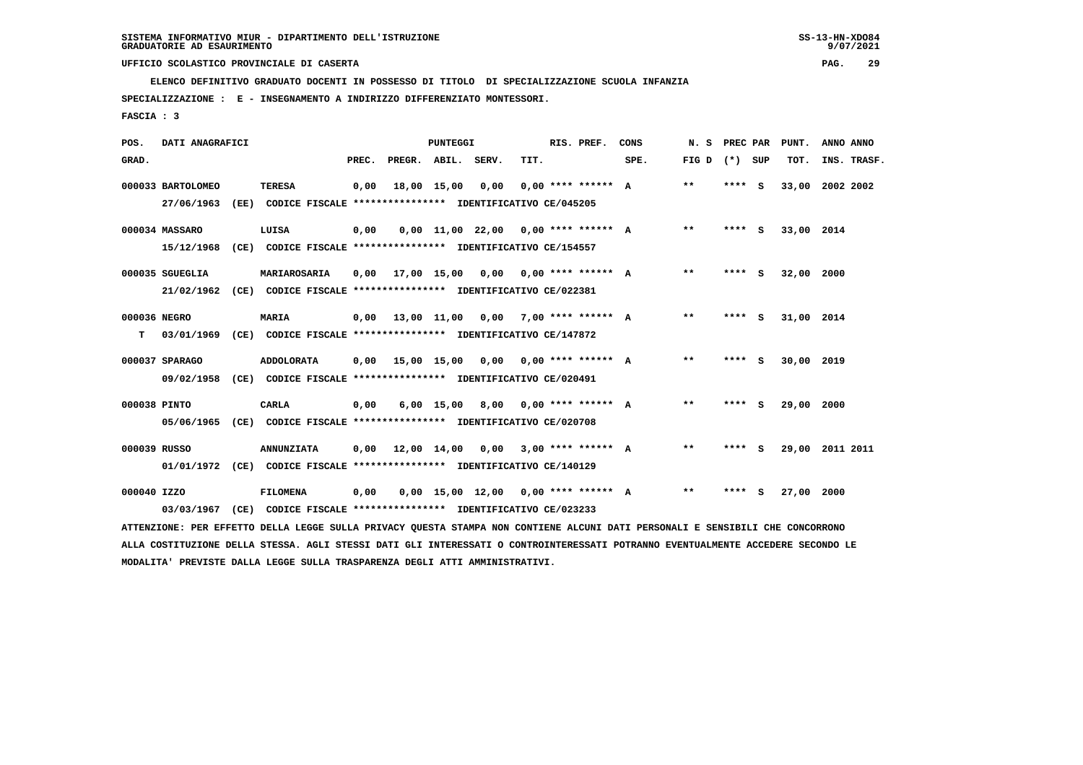**ELENCO DEFINITIVO GRADUATO DOCENTI IN POSSESSO DI TITOLO DI SPECIALIZZAZIONE SCUOLA INFANZIA**

 **SPECIALIZZAZIONE : E - INSEGNAMENTO A INDIRIZZO DIFFERENZIATO MONTESSORI.**

 **FASCIA : 3**

| POS.         | DATI ANAGRAFICI   |      |                                                                                                                               |       |                    | <b>PUNTEGGI</b> |                                            |      | RIS. PREF.           | CONS | N. S              | PREC PAR | PUNT.           | ANNO ANNO |             |
|--------------|-------------------|------|-------------------------------------------------------------------------------------------------------------------------------|-------|--------------------|-----------------|--------------------------------------------|------|----------------------|------|-------------------|----------|-----------------|-----------|-------------|
| GRAD.        |                   |      |                                                                                                                               | PREC. | PREGR. ABIL. SERV. |                 |                                            | TIT. |                      | SPE. | FIG $D$ $(*)$ SUP |          | TOT.            |           | INS. TRASF. |
|              | 000033 BARTOLOMEO |      | TERESA                                                                                                                        | 0,00  |                    | 18,00 15,00     | 0,00                                       |      | $0.00$ **** ****** A |      | $***$             | $***$ S  | 33,00           | 2002 2002 |             |
|              | 27/06/1963        |      | (EE) CODICE FISCALE **************** IDENTIFICATIVO CE/045205                                                                 |       |                    |                 |                                            |      |                      |      |                   |          |                 |           |             |
|              | 000034 MASSARO    |      | LUISA                                                                                                                         | 0,00  |                    |                 | $0.00$ 11.00 22.00 0.00 **** ****** A      |      |                      |      | $***$             | $***$ S  | 33,00 2014      |           |             |
|              | 15/12/1968        |      | (CE) CODICE FISCALE **************** IDENTIFICATIVO CE/154557                                                                 |       |                    |                 |                                            |      |                      |      |                   |          |                 |           |             |
|              | 000035 SGUEGLIA   |      | MARIAROSARIA                                                                                                                  | 0,00  |                    |                 | 17,00 15,00 0,00 0,00 **** ****** A        |      |                      |      | $***$             | $***$ S  | 32,00           | 2000      |             |
|              | 21/02/1962        |      | (CE) CODICE FISCALE **************** IDENTIFICATIVO CE/022381                                                                 |       |                    |                 |                                            |      |                      |      |                   |          |                 |           |             |
| 000036 NEGRO |                   |      | <b>MARIA</b>                                                                                                                  |       |                    |                 | $0,00$ 13,00 11,00 0,00 7,00 **** ****** A |      |                      |      | **                | **** S   | 31,00 2014      |           |             |
| T.           |                   |      | 03/01/1969 (CE) CODICE FISCALE **************** IDENTIFICATIVO CE/147872                                                      |       |                    |                 |                                            |      |                      |      |                   |          |                 |           |             |
|              |                   |      |                                                                                                                               |       |                    |                 |                                            |      |                      |      |                   |          |                 |           |             |
|              | 000037 SPARAGO    |      | ADDOLORATA                                                                                                                    |       |                    |                 | $0,00$ 15,00 15,00 0,00 0,00 **** ****** A |      |                      |      | $* *$             | **** S   | 30,00 2019      |           |             |
|              | 09/02/1958        |      | (CE) CODICE FISCALE **************** IDENTIFICATIVO CE/020491                                                                 |       |                    |                 |                                            |      |                      |      |                   |          |                 |           |             |
| 000038 PINTO |                   |      | CARLA                                                                                                                         | 0,00  |                    |                 | $6,00$ 15,00 8,00 0,00 **** ****** A       |      |                      |      | $* *$             | **** S   | 29,00 2000      |           |             |
|              | 05/06/1965        |      | (CE) CODICE FISCALE **************** IDENTIFICATIVO CE/020708                                                                 |       |                    |                 |                                            |      |                      |      |                   |          |                 |           |             |
| 000039 RUSSO |                   |      | <b>ANNUNZIATA</b>                                                                                                             | 0,00  |                    |                 | 12,00 14,00 0,00 3,00 **** ****** A        |      |                      |      | $***$             | **** S   | 29,00 2011 2011 |           |             |
|              |                   |      | 01/01/1972 (CE) CODICE FISCALE *************** IDENTIFICATIVO CE/140129                                                       |       |                    |                 |                                            |      |                      |      |                   |          |                 |           |             |
| 000040 IZZO  |                   |      |                                                                                                                               |       |                    |                 |                                            |      |                      |      | $***$             | **** S   | 27,00 2000      |           |             |
|              |                   |      | <b>FILOMENA</b>                                                                                                               | 0,00  |                    |                 | $0,00$ 15,00 12,00 0,00 **** ****** A      |      |                      |      |                   |          |                 |           |             |
|              | 03/03/1967        | (CE) | CODICE FISCALE **************** IDENTIFICATIVO CE/023233                                                                      |       |                    |                 |                                            |      |                      |      |                   |          |                 |           |             |
|              |                   |      | ATTENZIONE: PER EFFETTO DELLA LEGGE SULLA PRIVACY QUESTA STAMPA NON CONTIENE ALCUNI DATI PERSONALI E SENSIBILI CHE CONCORRONO |       |                    |                 |                                            |      |                      |      |                   |          |                 |           |             |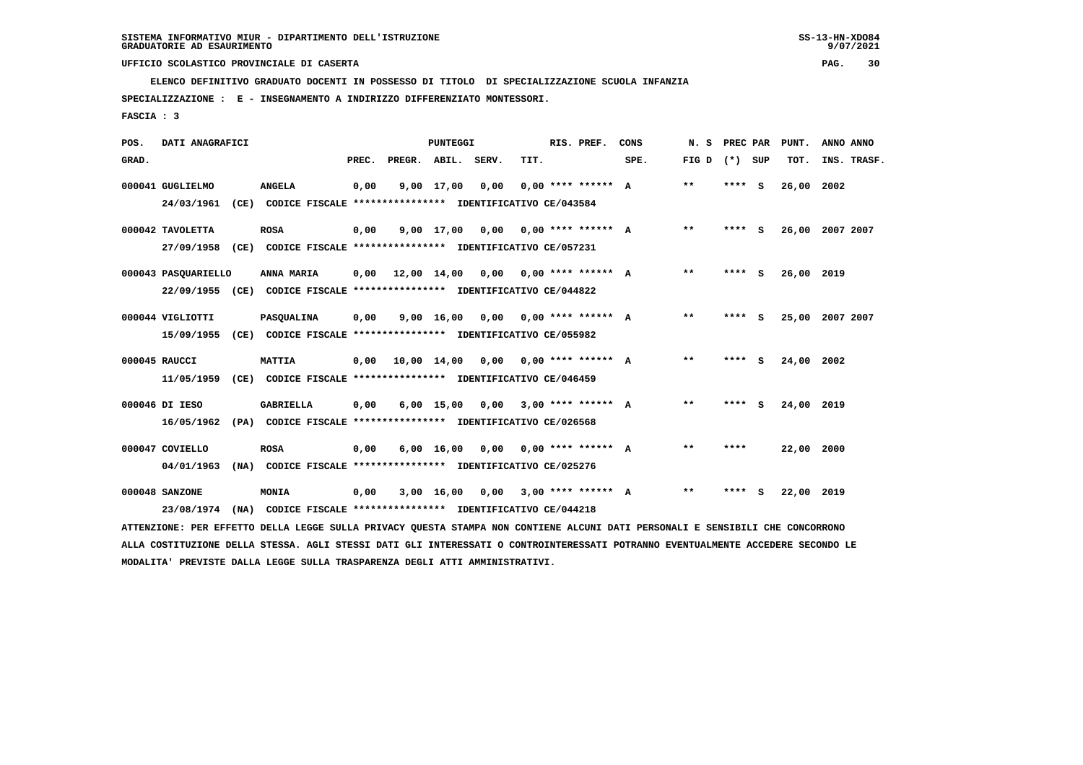**ELENCO DEFINITIVO GRADUATO DOCENTI IN POSSESSO DI TITOLO DI SPECIALIZZAZIONE SCUOLA INFANZIA**

 **SPECIALIZZAZIONE : E - INSEGNAMENTO A INDIRIZZO DIFFERENZIATO MONTESSORI.**

 **FASCIA : 3**

| POS.  | DATI ANAGRAFICI                                                                                                               |                                                                                       |       |                                            | <b>PUNTEGGI</b>    |                                      |                      | RIS. PREF. | CONS | N. S              | PREC PAR | PUNT.      | ANNO ANNO       |
|-------|-------------------------------------------------------------------------------------------------------------------------------|---------------------------------------------------------------------------------------|-------|--------------------------------------------|--------------------|--------------------------------------|----------------------|------------|------|-------------------|----------|------------|-----------------|
| GRAD. |                                                                                                                               |                                                                                       | PREC. |                                            | PREGR. ABIL. SERV. |                                      | TIT.                 |            | SPE. | FIG $D$ $(*)$ SUP |          | тот.       | INS. TRASF.     |
|       | 000041 GUGLIELMO<br>24/03/1961                                                                                                | <b>ANGELA</b><br>(CE) CODICE FISCALE **************** IDENTIFICATIVO CE/043584        | 0,00  |                                            | $9,00$ 17,00       | 0,00                                 | $0.00$ **** ****** A |            |      | $* *$             | **** S   | 26,00 2002 |                 |
|       | 000042 TAVOLETTA                                                                                                              | ROSA<br>27/09/1958 (CE) CODICE FISCALE *************** IDENTIFICATIVO CE/057231       | 0,00  |                                            |                    | $9,00$ 17,00 0,00 0,00 **** ****** A |                      |            |      | **                | **** S   |            | 26,00 2007 2007 |
|       | 000043 PASQUARIELLO                                                                                                           | ANNA MARIA<br>22/09/1955 (CE) CODICE FISCALE *************** IDENTIFICATIVO CE/044822 |       | $0,00$ 12,00 14,00 0,00 0,00 **** ****** A |                    |                                      |                      |            |      | $\star\star$      | **** S   | 26,00 2019 |                 |
|       | 000044 VIGLIOTTI<br>15/09/1955                                                                                                | PASQUALINA<br>(CE) CODICE FISCALE **************** IDENTIFICATIVO CE/055982           | 0,00  |                                            | 9,00 16,00         | 0,00                                 | $0.00$ **** ****** A |            |      | **                | **** S   |            | 25,00 2007 2007 |
|       | 000045 RAUCCI<br>11/05/1959                                                                                                   | <b>MATTIA</b><br>(CE) CODICE FISCALE **************** IDENTIFICATIVO CE/046459        |       | $0,00$ $10,00$ $14,00$                     |                    | 0,00 0,00 **** ****** A              |                      |            |      | $* *$             | **** S   | 24,00 2002 |                 |
|       | 000046 DI IESO<br>16/05/1962                                                                                                  | <b>GABRIELLA</b><br>(PA) CODICE FISCALE **************** IDENTIFICATIVO CE/026568     | 0,00  |                                            | $6,00$ 15,00       | 0.00                                 | 3,00 **** ****** A   |            |      | $* *$             | **** S   | 24,00 2019 |                 |
|       | 000047 COVIELLO<br>04/01/1963                                                                                                 | <b>ROSA</b><br>(NA) CODICE FISCALE **************** IDENTIFICATIVO CE/025276          | 0,00  |                                            | 6,00 16,00         | 0,00                                 | $0.00$ **** ****** A |            |      | $***$             | ****     | 22,00 2000 |                 |
|       | 000048 SANZONE<br>23/08/1974                                                                                                  | MONIA<br>(NA) CODICE FISCALE **************** IDENTIFICATIVO CE/044218                | 0,00  |                                            | 3,00 16,00         | 0,00                                 | $3,00$ **** ****** A |            |      | **                | **** S   | 22,00 2019 |                 |
|       | ATTENZIONE: PER EFFETTO DELLA LEGGE SULLA PRIVACY QUESTA STAMPA NON CONTIENE ALCUNI DATI PERSONALI E SENSIBILI CHE CONCORRONO |                                                                                       |       |                                            |                    |                                      |                      |            |      |                   |          |            |                 |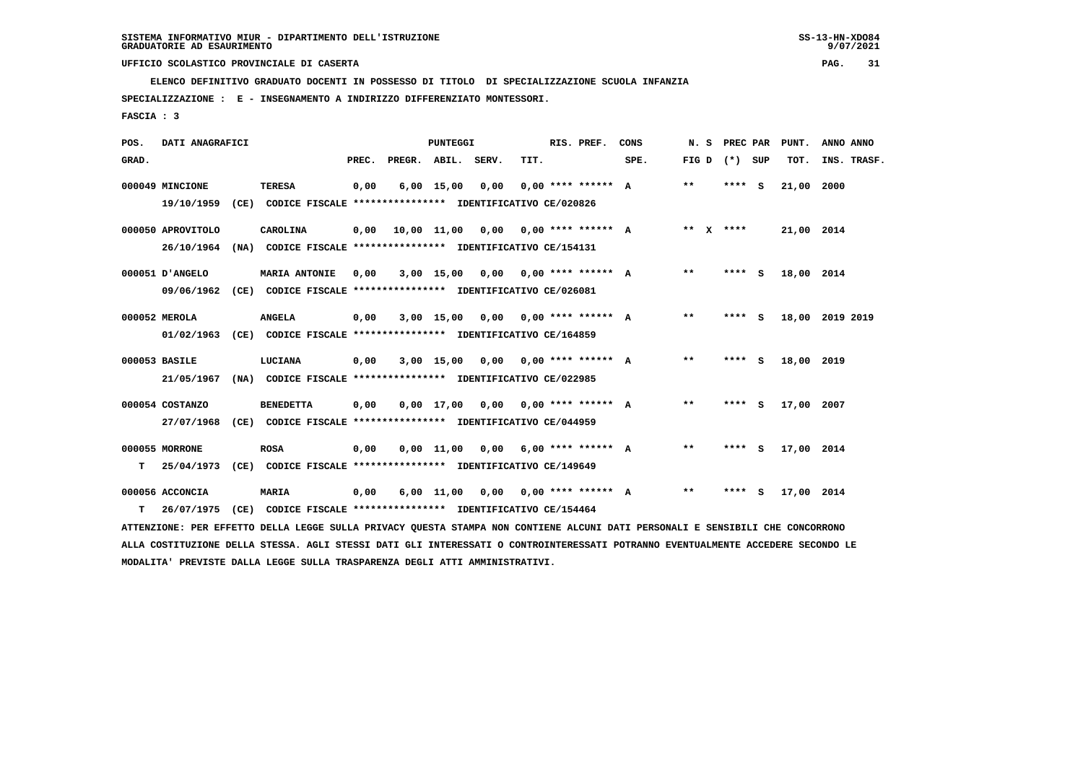**ELENCO DEFINITIVO GRADUATO DOCENTI IN POSSESSO DI TITOLO DI SPECIALIZZAZIONE SCUOLA INFANZIA**

 **SPECIALIZZAZIONE : E - INSEGNAMENTO A INDIRIZZO DIFFERENZIATO MONTESSORI.**

 **FASCIA : 3**

| POS.  | DATI ANAGRAFICI   |      |                                                                                                                               |       |                    | PUNTEGGI     |                                                   |      | RIS. PREF.                  | CONS | N. S  |                   | PREC PAR | PUNT.      | ANNO ANNO       |
|-------|-------------------|------|-------------------------------------------------------------------------------------------------------------------------------|-------|--------------------|--------------|---------------------------------------------------|------|-----------------------------|------|-------|-------------------|----------|------------|-----------------|
| GRAD. |                   |      |                                                                                                                               | PREC. | PREGR. ABIL. SERV. |              |                                                   | TIT. |                             | SPE. |       | FIG $D$ $(*)$ SUP |          | TOT.       | INS. TRASF.     |
|       | 000049 MINCIONE   |      | <b>TERESA</b>                                                                                                                 | 0,00  |                    | $6,00$ 15,00 | 0,00                                              |      | $0.00$ **** ****** A        |      | $* *$ |                   | **** S   | 21,00      | 2000            |
|       | 19/10/1959        |      | (CE) CODICE FISCALE **************** IDENTIFICATIVO CE/020826                                                                 |       |                    |              |                                                   |      |                             |      |       |                   |          |            |                 |
|       | 000050 APROVITOLO |      | CAROLINA                                                                                                                      | 0.00  |                    |              | $10,00$ $11,00$ $0,00$ $0,00$ $***$ **** ****** A |      |                             |      |       | ** x ****         |          | 21,00 2014 |                 |
|       | 26/10/1964        |      | (NA) CODICE FISCALE **************** IDENTIFICATIVO CE/154131                                                                 |       |                    |              |                                                   |      |                             |      |       |                   |          |            |                 |
|       | 000051 D'ANGELO   |      | <b>MARIA ANTONIE</b>                                                                                                          | 0.00  |                    |              | $3,00$ 15,00 0,00 0,00 **** ****** A              |      |                             |      | $* *$ |                   | **** S   | 18,00 2014 |                 |
|       | 09/06/1962        |      | (CE) CODICE FISCALE **************** IDENTIFICATIVO CE/026081                                                                 |       |                    |              |                                                   |      |                             |      |       |                   |          |            |                 |
|       | 000052 MEROLA     |      | <b>ANGELA</b>                                                                                                                 | 0,00  |                    | $3,00$ 15,00 |                                                   |      | $0,00$ $0,00$ **** ****** A |      | $* *$ |                   | **** S   |            | 18,00 2019 2019 |
|       | 01/02/1963        |      | (CE) CODICE FISCALE **************** IDENTIFICATIVO CE/164859                                                                 |       |                    |              |                                                   |      |                             |      |       |                   |          |            |                 |
|       | 000053 BASILE     |      | LUCIANA                                                                                                                       | 0,00  |                    | 3,00 15,00   |                                                   |      | $0.00$ $0.00$ **** ****** A |      | $* *$ |                   | **** S   | 18,00 2019 |                 |
|       | 21/05/1967        |      | (NA) CODICE FISCALE **************** IDENTIFICATIVO CE/022985                                                                 |       |                    |              |                                                   |      |                             |      |       |                   |          |            |                 |
|       | 000054 COSTANZO   |      | <b>BENEDETTA</b>                                                                                                              | 0,00  |                    |              | $0.00$ 17.00 0.00 0.00 **** ****** A              |      |                             |      | $* *$ |                   | **** S   | 17,00 2007 |                 |
|       | 27/07/1968        |      | (CE) CODICE FISCALE **************** IDENTIFICATIVO CE/044959                                                                 |       |                    |              |                                                   |      |                             |      |       |                   |          |            |                 |
|       | 000055 MORRONE    |      |                                                                                                                               |       |                    |              |                                                   |      |                             |      | $* *$ |                   | **** S   | 17,00 2014 |                 |
|       |                   |      | <b>ROSA</b>                                                                                                                   | 0,00  |                    |              | $0,00$ 11,00 0,00 6,00 **** ****** A              |      |                             |      |       |                   |          |            |                 |
| т     | 25/04/1973        |      | (CE) CODICE FISCALE **************** IDENTIFICATIVO CE/149649                                                                 |       |                    |              |                                                   |      |                             |      |       |                   |          |            |                 |
|       | 000056 ACCONCIA   |      | <b>MARIA</b>                                                                                                                  | 0,00  |                    |              | $6,00$ 11,00 0,00 0,00 **** ****** A              |      |                             |      | $* *$ |                   | **** S   | 17,00 2014 |                 |
| т     | 26/07/1975        | (CE) | CODICE FISCALE **************** IDENTIFICATIVO CE/154464                                                                      |       |                    |              |                                                   |      |                             |      |       |                   |          |            |                 |
|       |                   |      | ATTENZIONE: PER EFFETTO DELLA LEGGE SULLA PRIVACY QUESTA STAMPA NON CONTIENE ALCUNI DATI PERSONALI E SENSIBILI CHE CONCORRONO |       |                    |              |                                                   |      |                             |      |       |                   |          |            |                 |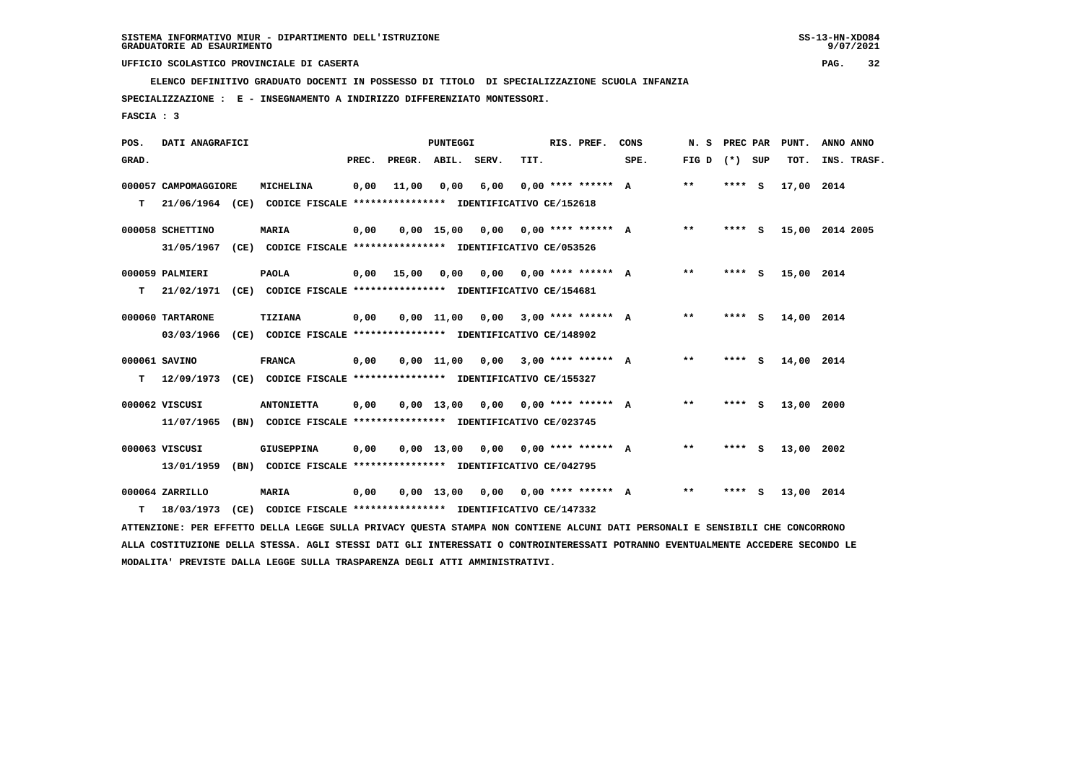**ELENCO DEFINITIVO GRADUATO DOCENTI IN POSSESSO DI TITOLO DI SPECIALIZZAZIONE SCUOLA INFANZIA**

 **SPECIALIZZAZIONE : E - INSEGNAMENTO A INDIRIZZO DIFFERENZIATO MONTESSORI.**

 **FASCIA : 3**

| POS.  | DATI ANAGRAFICI      |                                                                                                                                 |       |              | PUNTEGGI           |       |                             | RIS. PREF. | CONS | N.S             | PREC PAR | PUNT.      | ANNO ANNO       |
|-------|----------------------|---------------------------------------------------------------------------------------------------------------------------------|-------|--------------|--------------------|-------|-----------------------------|------------|------|-----------------|----------|------------|-----------------|
| GRAD. |                      |                                                                                                                                 | PREC. | PREGR. ABIL. |                    | SERV. | TIT.                        |            | SPE. | FIG D $(*)$ SUP |          | TOT.       | INS. TRASF.     |
|       | 000057 CAMPOMAGGIORE | MICHELINA                                                                                                                       | 0,00  | 11,00        | 0,00               | 6,00  | $0.00$ **** ****** A        |            |      | $* *$           | **** S   | 17,00 2014 |                 |
| т     |                      | 21/06/1964 (CE) CODICE FISCALE *************** IDENTIFICATIVO CE/152618                                                         |       |              |                    |       |                             |            |      |                 |          |            |                 |
|       | 000058 SCHETTINO     | <b>MARIA</b>                                                                                                                    | 0,00  |              | $0,00$ 15,00       | 0,00  | $0.00$ **** ****** A        |            |      | $***$           | **** S   |            | 15,00 2014 2005 |
|       | 31/05/1967           | (CE) CODICE FISCALE **************** IDENTIFICATIVO CE/053526                                                                   |       |              |                    |       |                             |            |      |                 |          |            |                 |
|       | 000059 PALMIERI      | <b>PAOLA</b>                                                                                                                    | 0,00  | 15,00        | 0,00               | 0,00  | $0,00$ **** ****** A        |            |      | $* *$           | **** S   | 15,00 2014 |                 |
| т     | 21/02/1971           | (CE) CODICE FISCALE **************** IDENTIFICATIVO CE/154681                                                                   |       |              |                    |       |                             |            |      |                 |          |            |                 |
|       | 000060 TARTARONE     | TIZIANA                                                                                                                         | 0,00  |              | $0,00 \quad 11,00$ | 0,00  | $3.00$ **** ****** A        |            |      | $* *$           | **** S   | 14,00 2014 |                 |
|       | 03/03/1966           | (CE) CODICE FISCALE **************** IDENTIFICATIVO CE/148902                                                                   |       |              |                    |       |                             |            |      |                 |          |            |                 |
|       | 000061 SAVINO        | <b>FRANCA</b>                                                                                                                   | 0,00  |              | $0.00$ 11.00       | 0,00  | $3.00$ **** ****** A        |            |      | $***$           | **** S   | 14,00 2014 |                 |
| T.    | 12/09/1973           | (CE) CODICE FISCALE **************** IDENTIFICATIVO CE/155327                                                                   |       |              |                    |       |                             |            |      |                 |          |            |                 |
|       | 000062 VISCUSI       | <b>ANTONIETTA</b>                                                                                                               | 0,00  |              | $0,00$ 13,00       | 0,00  | 0,00 **** ****** A          |            |      | **              | **** S   | 13,00 2000 |                 |
|       | 11/07/1965           | (BN) CODICE FISCALE **************** IDENTIFICATIVO CE/023745                                                                   |       |              |                    |       |                             |            |      |                 |          |            |                 |
|       | 000063 VISCUSI       | <b>GIUSEPPINA</b>                                                                                                               | 0,00  |              | $0,00$ 13,00       |       | $0,00$ $0,00$ **** ****** A |            |      | $***$           | **** S   | 13,00 2002 |                 |
|       | 13/01/1959           | (BN) CODICE FISCALE *************** IDENTIFICATIVO CE/042795                                                                    |       |              |                    |       |                             |            |      |                 |          |            |                 |
|       | 000064 ZARRILLO      | MARIA                                                                                                                           | 0,00  |              | $0,00 \quad 13,00$ |       | $0,00$ $0,00$ **** ****** A |            |      | **              | **** S   | 13,00 2014 |                 |
| т     | 18/03/1973           | (CE) CODICE FISCALE **************** IDENTIFICATIVO CE/147332                                                                   |       |              |                    |       |                             |            |      |                 |          |            |                 |
|       |                      | ATTENZIONE: PER EFFETTO DELLA LEGGE SULLA PRIVACY QUESTA STAMPA NON CONTIENE ALCUNI DATI PERSONALI E SENSIBILI CHE CONCORRONO   |       |              |                    |       |                             |            |      |                 |          |            |                 |
|       |                      | ALLA COSTITUZIONE DELLA STESSA. AGLI STESSI DATI GLI INTERESSATI O CONTROINTERESSATI POTRANNO EVENTUALMENTE ACCEDERE SECONDO LE |       |              |                    |       |                             |            |      |                 |          |            |                 |

 **MODALITA' PREVISTE DALLA LEGGE SULLA TRASPARENZA DEGLI ATTI AMMINISTRATIVI.**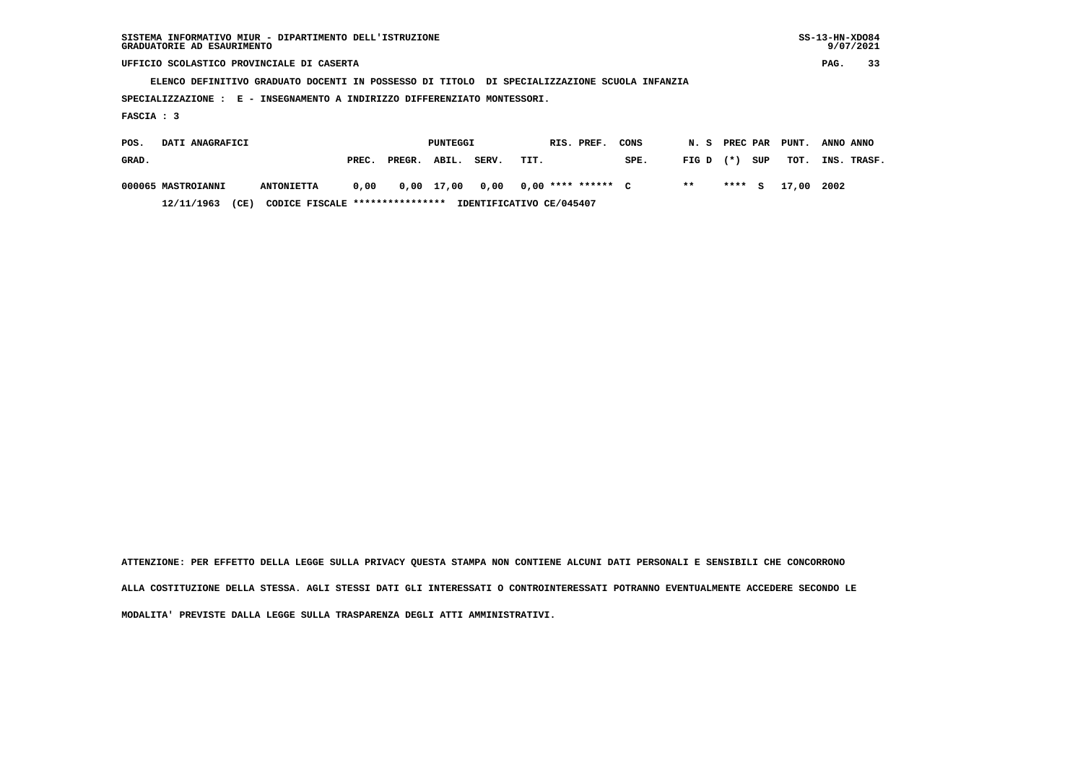| SISTEMA INFORMATIVO MIUR - DIPARTIMENTO DELL'ISTRUZIONE | $SS-13-HN-XDO84$ |
|---------------------------------------------------------|------------------|
| GRADUATORIE AD ESAURIMENTO                              | 9/07/2021        |

 **ELENCO DEFINITIVO GRADUATO DOCENTI IN POSSESSO DI TITOLO DI SPECIALIZZAZIONE SCUOLA INFANZIA**

 **SPECIALIZZAZIONE : E - INSEGNAMENTO A INDIRIZZO DIFFERENZIATO MONTESSORI.**

 **FASCIA : 3**

| POS.  | DATI ANAGRAFICI    |                                 |       |        | PUNTEGGI |       | RIS. PREF.                         | CONS |             |     |                   | N. S PREC PAR PUNT. ANNO ANNO |  |
|-------|--------------------|---------------------------------|-------|--------|----------|-------|------------------------------------|------|-------------|-----|-------------------|-------------------------------|--|
| GRAD. |                    |                                 | PREC. | PREGR. | ABIL.    | SERV. | TIT.                               | SPE. | $FIG D (*)$ | SUP | тот.              | INS. TRASF.                   |  |
|       | 000065 MASTROIANNI | <b>ANTONIETTA</b>               | 0.00  |        |          |       | 0,00 17,00 0,00 0,00 **** ****** C |      | $***$       |     | **** S 17,00 2002 |                               |  |
|       | (CE)<br>12/11/1963 | CODICE FISCALE **************** |       |        |          |       | IDENTIFICATIVO CE/045407           |      |             |     |                   |                               |  |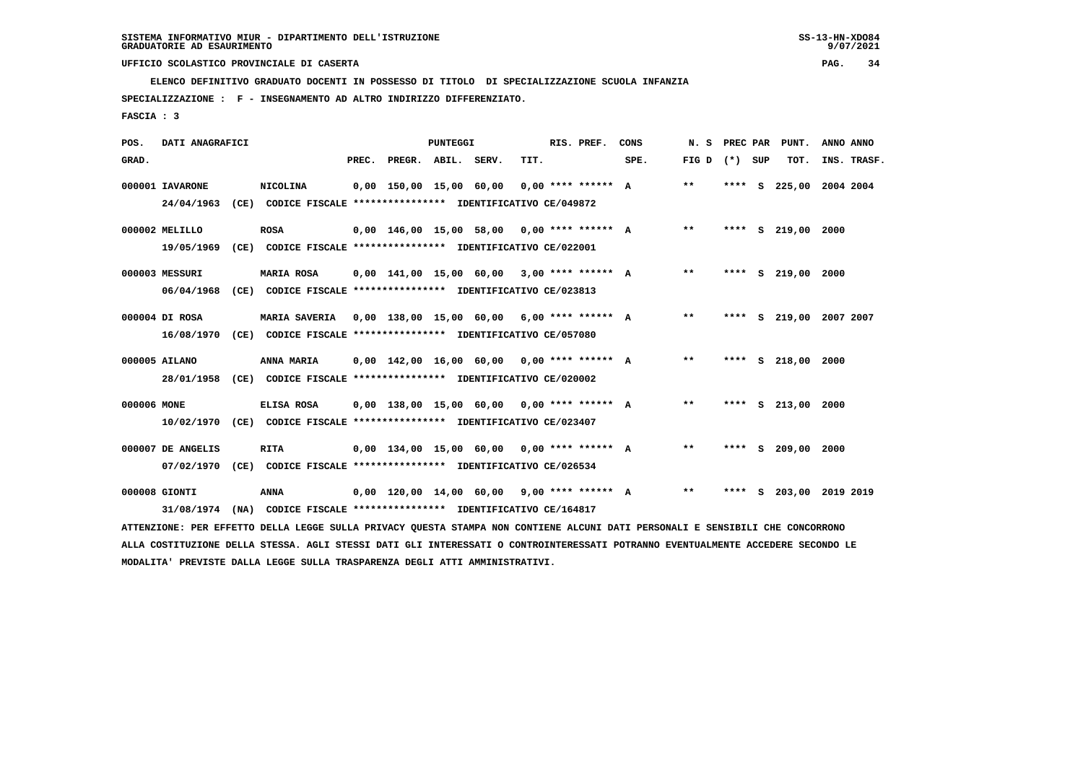**ELENCO DEFINITIVO GRADUATO DOCENTI IN POSSESSO DI TITOLO DI SPECIALIZZAZIONE SCUOLA INFANZIA**

 **SPECIALIZZAZIONE : F - INSEGNAMENTO AD ALTRO INDIRIZZO DIFFERENZIATO.**

 **FASCIA : 3**

| POS.        | DATI ANAGRAFICI   |                                                                                                                               |       |                    | <b>PUNTEGGI</b> |                                              |      | RIS. PREF. | CONS                                       | N. S            |      |          | PREC PAR PUNT.          | ANNO ANNO |             |
|-------------|-------------------|-------------------------------------------------------------------------------------------------------------------------------|-------|--------------------|-----------------|----------------------------------------------|------|------------|--------------------------------------------|-----------------|------|----------|-------------------------|-----------|-------------|
| GRAD.       |                   |                                                                                                                               | PREC. | PREGR. ABIL. SERV. |                 |                                              | TIT. |            | SPE.                                       | FIG D $(*)$ SUP |      |          | тот.                    |           | INS. TRASF. |
|             | 000001 IAVARONE   | NICOLINA                                                                                                                      |       |                    |                 | $0,00$ 150,00 15,00 60,00 0,00 **** ****** A |      |            |                                            | $\star\star$    |      |          | **** S 225,00 2004 2004 |           |             |
|             | 24/04/1963        | (CE) CODICE FISCALE **************** IDENTIFICATIVO CE/049872                                                                 |       |                    |                 |                                              |      |            |                                            |                 |      |          |                         |           |             |
|             | 000002 MELILLO    | ROSA                                                                                                                          |       |                    |                 | 0,00 146,00 15,00 58,00 0,00 **** ****** A   |      |            |                                            | $* *$           |      |          | **** S 219,00 2000      |           |             |
|             | 19/05/1969        | (CE) CODICE FISCALE **************** IDENTIFICATIVO CE/022001                                                                 |       |                    |                 |                                              |      |            |                                            |                 |      |          |                         |           |             |
|             | 000003 MESSURI    | <b>MARIA ROSA</b>                                                                                                             |       |                    |                 | $0,00$ 141,00 15,00 60,00 3,00 **** ****** A |      |            |                                            | $***$           |      |          | **** S 219,00 2000      |           |             |
|             | 06/04/1968        | (CE) CODICE FISCALE **************** IDENTIFICATIVO CE/023813                                                                 |       |                    |                 |                                              |      |            |                                            |                 |      |          |                         |           |             |
|             | 000004 DI ROSA    | MARIA SAVERIA 0,00 138,00 15,00 60,00 6,00 **** ****** A                                                                      |       |                    |                 |                                              |      |            |                                            | $***$           |      |          | **** S 219,00 2007 2007 |           |             |
|             | 16/08/1970        | (CE) CODICE FISCALE **************** IDENTIFICATIVO CE/057080                                                                 |       |                    |                 |                                              |      |            |                                            |                 |      |          |                         |           |             |
|             | 000005 AILANO     | ANNA MARIA                                                                                                                    |       |                    |                 | $0,00$ 142,00 16,00 60,00 0,00 **** ****** A |      |            |                                            | $***$           |      |          | **** S 218,00 2000      |           |             |
|             | 28/01/1958        | (CE) CODICE FISCALE **************** IDENTIFICATIVO CE/020002                                                                 |       |                    |                 |                                              |      |            |                                            |                 |      |          |                         |           |             |
| 000006 MONE |                   | ELISA ROSA                                                                                                                    |       |                    |                 | $0.00$ 138,00 15,00 60,00 0,00 **** ****** A |      |            |                                            | $* *$           |      |          | **** S 213,00 2000      |           |             |
|             |                   | 10/02/1970 (CE) CODICE FISCALE *************** IDENTIFICATIVO CE/023407                                                       |       |                    |                 |                                              |      |            |                                            |                 |      |          |                         |           |             |
|             | 000007 DE ANGELIS | RITA                                                                                                                          |       |                    |                 | $0,00$ 134,00 15,00 60,00 0,00 **** ****** A |      |            |                                            | $***$           |      |          | **** S 209,00           | 2000      |             |
|             |                   | 07/02/1970 (CE) CODICE FISCALE *************** IDENTIFICATIVO CE/026534                                                       |       |                    |                 |                                              |      |            |                                            |                 |      |          |                         |           |             |
|             |                   |                                                                                                                               |       |                    |                 |                                              |      |            |                                            |                 |      |          |                         |           |             |
|             | 000008 GIONTI     | ANNA                                                                                                                          |       |                    |                 |                                              |      |            | 0,00 120,00 14,00 60,00 9,00 **** ****** A | $* *$           | **** | <b>S</b> | 203,00 2019 2019        |           |             |
|             | 31/08/1974        | (NA) CODICE FISCALE **************** IDENTIFICATIVO CE/164817                                                                 |       |                    |                 |                                              |      |            |                                            |                 |      |          |                         |           |             |
|             |                   | ATTENZIONE: PER EFFETTO DELLA LEGGE SULLA PRIVACY OUESTA STAMPA NON CONTIENE ALCUNI DATI PERSONALI E SENSIBILI CHE CONCORRONO |       |                    |                 |                                              |      |            |                                            |                 |      |          |                         |           |             |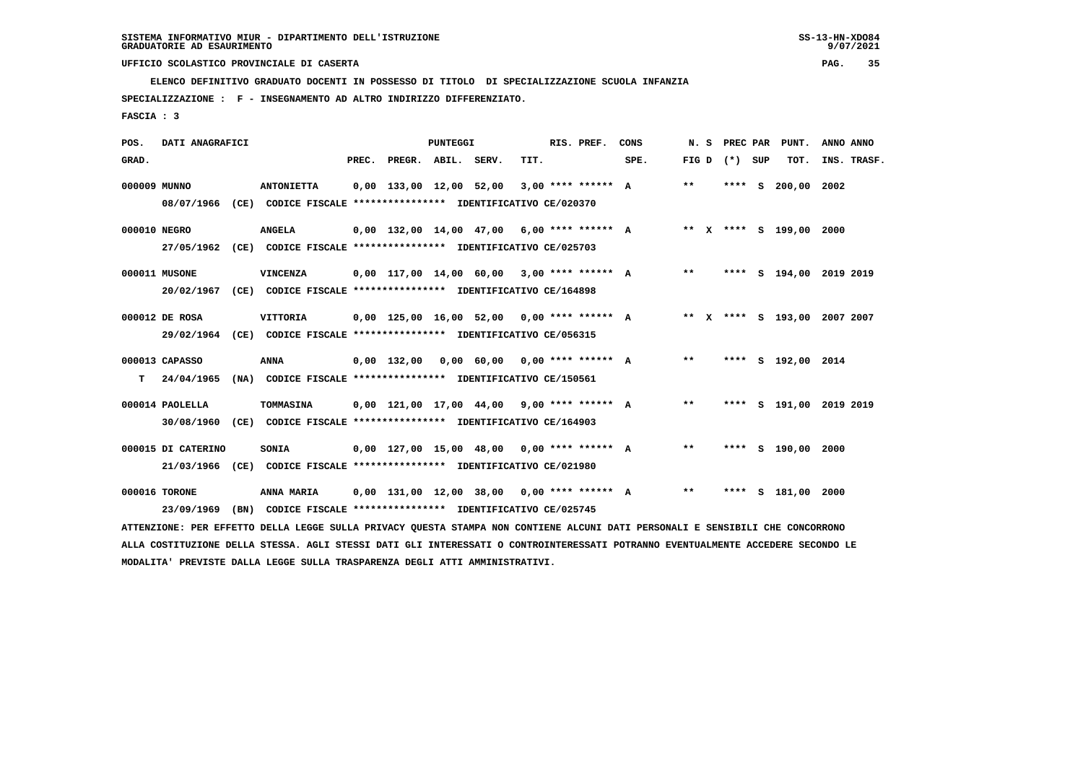**ELENCO DEFINITIVO GRADUATO DOCENTI IN POSSESSO DI TITOLO DI SPECIALIZZAZIONE SCUOLA INFANZIA**

 **SPECIALIZZAZIONE : F - INSEGNAMENTO AD ALTRO INDIRIZZO DIFFERENZIATO.**

 **FASCIA : 3**

| POS.         | DATI ANAGRAFICI    |      |                                                                                                                               |                          | PUNTEGGI |                                              |      | RIS. PREF. | CONS                                       | N. S  |                   | PREC PAR PUNT.          | ANNO ANNO                    |
|--------------|--------------------|------|-------------------------------------------------------------------------------------------------------------------------------|--------------------------|----------|----------------------------------------------|------|------------|--------------------------------------------|-------|-------------------|-------------------------|------------------------------|
| GRAD.        |                    |      |                                                                                                                               | PREC. PREGR. ABIL. SERV. |          |                                              | TIT. |            | SPE.                                       |       | FIG $D$ $(*)$ SUP | TOT.                    | INS. TRASF.                  |
| 000009 MUNNO |                    |      | <b>ANTONIETTA</b>                                                                                                             |                          |          | $0,00$ 133,00 12,00 52,00 3,00 **** ****** A |      |            |                                            | $* *$ |                   | **** S 200,00           | 2002                         |
|              | 08/07/1966         |      | (CE) CODICE FISCALE *************** IDENTIFICATIVO CE/020370                                                                  |                          |          |                                              |      |            |                                            |       |                   |                         |                              |
| 000010 NEGRO |                    |      | <b>ANGELA</b>                                                                                                                 |                          |          |                                              |      |            | 0,00 132,00 14,00 47,00 6,00 **** ****** A |       |                   | ** X **** S 199,00 2000 |                              |
|              |                    |      | 27/05/1962 (CE) CODICE FISCALE *************** IDENTIFICATIVO CE/025703                                                       |                          |          |                                              |      |            |                                            |       |                   |                         |                              |
|              | 000011 MUSONE      |      | <b>VINCENZA</b>                                                                                                               |                          |          | $0,00$ 117,00 14,00 60,00 3,00 **** ****** A |      |            |                                            | $***$ |                   |                         | **** S 194,00 2019 2019      |
|              |                    |      | 20/02/1967 (CE) CODICE FISCALE *************** IDENTIFICATIVO CE/164898                                                       |                          |          |                                              |      |            |                                            |       |                   |                         |                              |
|              | 000012 DE ROSA     |      | VITTORIA                                                                                                                      |                          |          |                                              |      |            | 0,00 125,00 16,00 52,00 0,00 **** ****** A |       |                   |                         | ** X **** S 193,00 2007 2007 |
|              |                    |      | 29/02/1964 (CE) CODICE FISCALE *************** IDENTIFICATIVO CE/056315                                                       |                          |          |                                              |      |            |                                            |       |                   |                         |                              |
|              | 000013 CAPASSO     |      | ANNA                                                                                                                          |                          |          |                                              |      |            | 0,00 132,00 0,00 60,00 0,00 **** ****** A  | $***$ |                   | **** S 192.00 2014      |                              |
| T.           | 24/04/1965         |      | (NA) CODICE FISCALE **************** IDENTIFICATIVO CE/150561                                                                 |                          |          |                                              |      |            |                                            |       |                   |                         |                              |
|              | 000014 PAOLELLA    |      | TOMMASINA                                                                                                                     |                          |          |                                              |      |            | 0,00 121,00 17,00 44,00 9,00 **** ****** A | $***$ |                   |                         | **** S 191,00 2019 2019      |
|              |                    |      | 30/08/1960 (CE) CODICE FISCALE *************** IDENTIFICATIVO CE/164903                                                       |                          |          |                                              |      |            |                                            |       |                   |                         |                              |
|              | 000015 DI CATERINO |      | SONIA                                                                                                                         |                          |          | 0,00 127,00 15,00 48,00 0,00 **** ****** A   |      |            |                                            | $***$ |                   | **** S 190.00 2000      |                              |
|              |                    |      | 21/03/1966 (CE) CODICE FISCALE *************** IDENTIFICATIVO CE/021980                                                       |                          |          |                                              |      |            |                                            |       |                   |                         |                              |
|              | 000016 TORONE      |      | ANNA MARIA                                                                                                                    |                          |          |                                              |      |            | 0,00 131,00 12,00 38,00 0,00 **** ****** A | $***$ |                   | **** S 181,00 2000      |                              |
|              | 23/09/1969         | (BN) | CODICE FISCALE **************** IDENTIFICATIVO CE/025745                                                                      |                          |          |                                              |      |            |                                            |       |                   |                         |                              |
|              |                    |      | ATTENZIONE: PER EFFETTO DELLA LEGGE SULLA PRIVACY OUESTA STAMPA NON CONTIENE ALCUNI DATI PERSONALI E SENSIBILI CHE CONCORRONO |                          |          |                                              |      |            |                                            |       |                   |                         |                              |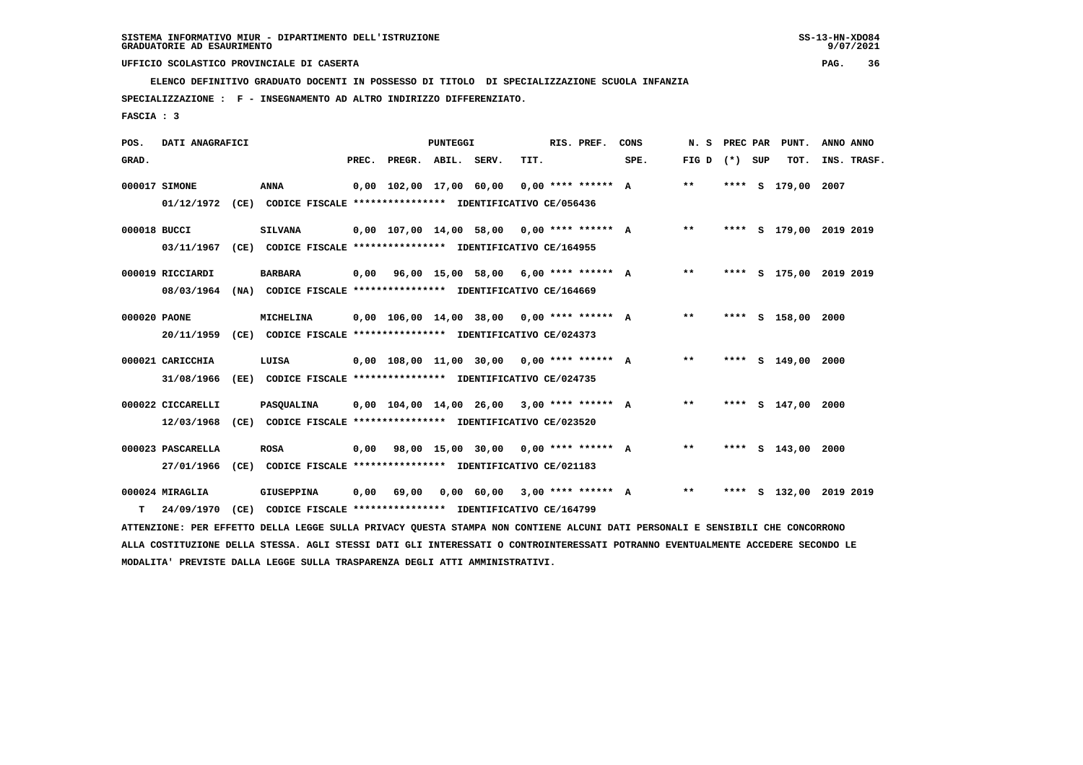**ELENCO DEFINITIVO GRADUATO DOCENTI IN POSSESSO DI TITOLO DI SPECIALIZZAZIONE SCUOLA INFANZIA**

 **SPECIALIZZAZIONE : F - INSEGNAMENTO AD ALTRO INDIRIZZO DIFFERENZIATO.**

 **FASCIA : 3**

| POS.         | DATI ANAGRAFICI   |      |                                                                                                                               |       |                         | <b>PUNTEGGI</b> |                                                      |      | RIS. PREF.           | CONS                                  | N. S  | PREC PAR | PUNT.              | ANNO ANNO               |
|--------------|-------------------|------|-------------------------------------------------------------------------------------------------------------------------------|-------|-------------------------|-----------------|------------------------------------------------------|------|----------------------|---------------------------------------|-------|----------|--------------------|-------------------------|
| GRAD.        |                   |      |                                                                                                                               | PREC. | PREGR. ABIL. SERV.      |                 |                                                      | TIT. |                      | SPE.                                  | FIG D | (*) SUP  | TOT.               | INS. TRASF.             |
|              | 000017 SIMONE     |      | ANNA                                                                                                                          |       | 0,00 102,00 17,00 60,00 |                 |                                                      |      | $0.00$ **** ****** A |                                       | $* *$ |          | **** S 179,00 2007 |                         |
|              | 01/12/1972        |      | (CE) CODICE FISCALE **************** IDENTIFICATIVO CE/056436                                                                 |       |                         |                 |                                                      |      |                      |                                       |       |          |                    |                         |
| 000018 BUCCI |                   |      | <b>SILVANA</b>                                                                                                                |       |                         |                 | $0,00$ 107,00 14,00 58,00 0,00 **** ****** A         |      |                      |                                       | $***$ |          |                    | **** S 179,00 2019 2019 |
|              | 03/11/1967        |      | (CE) CODICE FISCALE **************** IDENTIFICATIVO CE/164955                                                                 |       |                         |                 |                                                      |      |                      |                                       |       |          |                    |                         |
|              | 000019 RICCIARDI  |      | <b>BARBARA</b>                                                                                                                | 0,00  |                         |                 | $96,00$ 15,00 58,00 6,00 **** ****** A               |      |                      |                                       | $***$ |          |                    | **** S 175,00 2019 2019 |
|              | 08/03/1964        |      | (NA) CODICE FISCALE **************** IDENTIFICATIVO CE/164669                                                                 |       |                         |                 |                                                      |      |                      |                                       |       |          |                    |                         |
| 000020 PAONE |                   |      | MICHELINA                                                                                                                     |       |                         |                 | $0,00$ 106,00 14,00 38,00 0,00 **** ****** A         |      |                      |                                       | $***$ |          | **** S 158,00 2000 |                         |
|              | 20/11/1959        |      | (CE) CODICE FISCALE **************** IDENTIFICATIVO CE/024373                                                                 |       |                         |                 |                                                      |      |                      |                                       |       |          |                    |                         |
|              | 000021 CARICCHIA  |      | LUISA                                                                                                                         |       |                         |                 | $0.00$ 108.00 11.00 30.00 0.00 **** ****** A         |      |                      |                                       | $***$ |          | **** S 149,00 2000 |                         |
|              | 31/08/1966        |      | (EE) CODICE FISCALE **************** IDENTIFICATIVO CE/024735                                                                 |       |                         |                 |                                                      |      |                      |                                       |       |          |                    |                         |
|              | 000022 CICCARELLI |      | <b>PASQUALINA</b>                                                                                                             |       |                         |                 | $0,00$ $104,00$ $14,00$ $26,00$ $3,00$ **** ****** A |      |                      |                                       | $***$ |          | **** S 147,00 2000 |                         |
|              | 12/03/1968        |      | (CE) CODICE FISCALE **************** IDENTIFICATIVO CE/023520                                                                 |       |                         |                 |                                                      |      |                      |                                       |       |          |                    |                         |
|              | 000023 PASCARELLA |      | <b>ROSA</b>                                                                                                                   | 0.00  |                         |                 | 98,00 15,00 30,00 0,00 **** ****** A                 |      |                      |                                       | $***$ |          | **** S 143,00 2000 |                         |
|              | 27/01/1966        |      | (CE) CODICE FISCALE **************** IDENTIFICATIVO CE/021183                                                                 |       |                         |                 |                                                      |      |                      |                                       |       |          |                    |                         |
|              | 000024 MIRAGLIA   |      | GIUSEPPINA                                                                                                                    | 0.00  | 69,00                   |                 |                                                      |      |                      | $0.00 \t 60.00 \t 3.00$ **** ****** A | $***$ |          |                    | **** S 132,00 2019 2019 |
| т            | 24/09/1970        | (CE) | CODICE FISCALE **************** IDENTIFICATIVO CE/164799                                                                      |       |                         |                 |                                                      |      |                      |                                       |       |          |                    |                         |
|              |                   |      | ATTENZIONE: PER EFFETTO DELLA LEGGE SULLA PRIVACY QUESTA STAMPA NON CONTIENE ALCUNI DATI PERSONALI E SENSIBILI CHE CONCORRONO |       |                         |                 |                                                      |      |                      |                                       |       |          |                    |                         |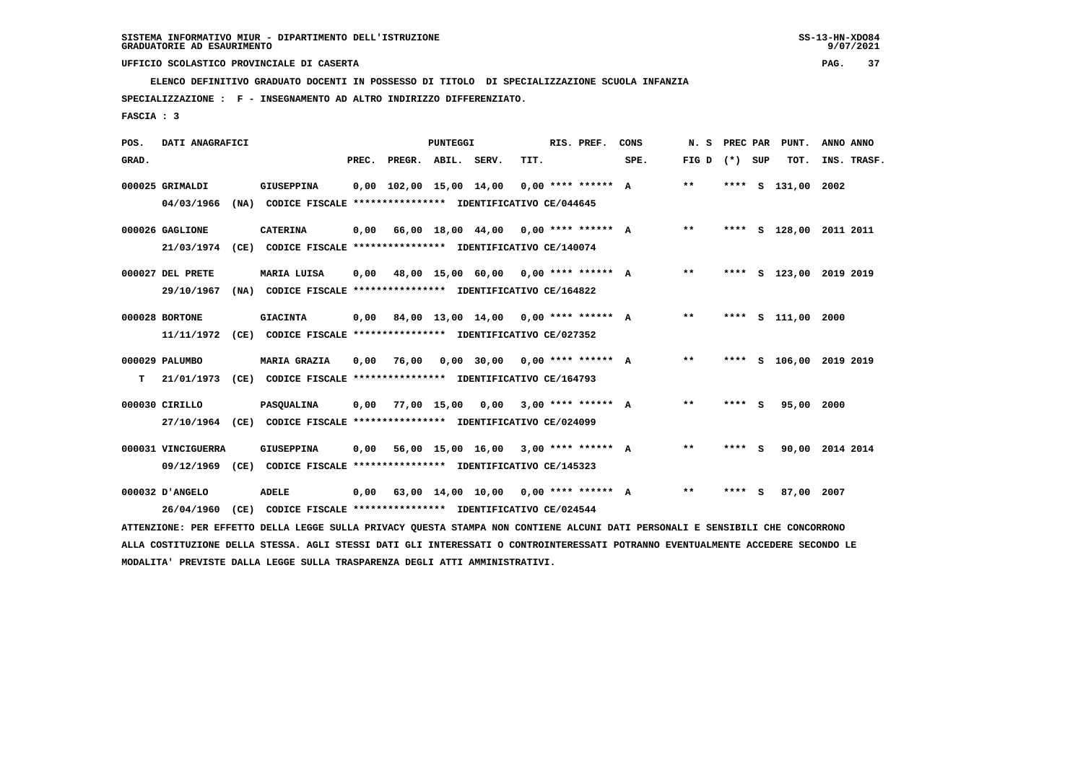**ELENCO DEFINITIVO GRADUATO DOCENTI IN POSSESSO DI TITOLO DI SPECIALIZZAZIONE SCUOLA INFANZIA**

 **SPECIALIZZAZIONE : F - INSEGNAMENTO AD ALTRO INDIRIZZO DIFFERENZIATO.**

 **FASCIA : 3**

| POS.  | DATI ANAGRAFICI    |      |                                                                                                                               |      |                          | PUNTEGGI |                                              |      | RIS. PREF. | CONS                                 | N. S              |        | PREC PAR PUNT.          | ANNO ANNO |             |
|-------|--------------------|------|-------------------------------------------------------------------------------------------------------------------------------|------|--------------------------|----------|----------------------------------------------|------|------------|--------------------------------------|-------------------|--------|-------------------------|-----------|-------------|
| GRAD. |                    |      |                                                                                                                               |      | PREC. PREGR. ABIL. SERV. |          |                                              | TIT. |            | SPE.                                 | FIG $D$ $(*)$ SUP |        | TOT.                    |           | INS. TRASF. |
|       | 000025 GRIMALDI    |      | GIUSEPPINA                                                                                                                    |      |                          |          | $0,00$ 102,00 15,00 14,00 0,00 **** ****** A |      |            |                                      | $***$             |        | **** S 131,00           | 2002      |             |
|       | 04/03/1966         |      | (NA) CODICE FISCALE **************** IDENTIFICATIVO CE/044645                                                                 |      |                          |          |                                              |      |            |                                      |                   |        |                         |           |             |
|       | 000026 GAGLIONE    |      | <b>CATERINA</b>                                                                                                               |      |                          |          | $0,00$ 66,00 18,00 44,00 0,00 **** ****** A  |      |            |                                      | $***$             |        | **** S 128,00 2011 2011 |           |             |
|       | 21/03/1974         |      | (CE) CODICE FISCALE **************** IDENTIFICATIVO CE/140074                                                                 |      |                          |          |                                              |      |            |                                      |                   |        |                         |           |             |
|       | 000027 DEL PRETE   |      | MARIA LUISA                                                                                                                   | 0,00 |                          |          | 48,00 15,00 60,00 0,00 **** ****** A         |      |            |                                      | $***$             |        | **** S 123,00 2019 2019 |           |             |
|       | 29/10/1967         |      | (NA) CODICE FISCALE **************** IDENTIFICATIVO CE/164822                                                                 |      |                          |          |                                              |      |            |                                      |                   |        |                         |           |             |
|       | 000028 BORTONE     |      | <b>GIACINTA</b>                                                                                                               | 0,00 |                          |          |                                              |      |            | 84,00 13,00 14,00 0,00 **** ****** A | $***$             |        | **** S 111,00 2000      |           |             |
|       | 11/11/1972         |      | (CE) CODICE FISCALE **************** IDENTIFICATIVO CE/027352                                                                 |      |                          |          |                                              |      |            |                                      |                   |        |                         |           |             |
|       | 000029 PALUMBO     |      | <b>MARIA GRAZIA</b>                                                                                                           | 0,00 | 76,00                    |          | $0,00$ 30,00 0,00 **** ****** A              |      |            |                                      | $***$             |        | **** S 106,00 2019 2019 |           |             |
| т     | 21/01/1973         |      | (CE) CODICE FISCALE **************** IDENTIFICATIVO CE/164793                                                                 |      |                          |          |                                              |      |            |                                      |                   |        |                         |           |             |
|       | 000030 CIRILLO     |      | PASQUALINA                                                                                                                    |      |                          |          | $0,00$ 77,00 15,00 0,00 3,00 **** ****** A   |      |            |                                      | **                | **** S | 95,00 2000              |           |             |
|       |                    |      | 27/10/1964 (CE) CODICE FISCALE *************** IDENTIFICATIVO CE/024099                                                       |      |                          |          |                                              |      |            |                                      |                   |        |                         |           |             |
|       | 000031 VINCIGUERRA |      | GIUSEPPINA                                                                                                                    | 0,00 |                          |          | 56,00 15,00 16,00 3,00 **** ****** A         |      |            |                                      | $***$             | **** S | 90,00 2014 2014         |           |             |
|       |                    |      | 09/12/1969 (CE) CODICE FISCALE *************** IDENTIFICATIVO CE/145323                                                       |      |                          |          |                                              |      |            |                                      |                   |        |                         |           |             |
|       | 000032 D'ANGELO    |      | <b>ADELE</b>                                                                                                                  |      |                          |          | $0,00$ 63,00 14,00 10,00 0,00 **** ****** A  |      |            |                                      | $***$             | **** S | 87,00 2007              |           |             |
|       | 26/04/1960         | (CE) | CODICE FISCALE **************** IDENTIFICATIVO CE/024544                                                                      |      |                          |          |                                              |      |            |                                      |                   |        |                         |           |             |
|       |                    |      | ATTENZIONE: PER EFFETTO DELLA LEGGE SULLA PRIVACY QUESTA STAMPA NON CONTIENE ALCUNI DATI PERSONALI E SENSIBILI CHE CONCORRONO |      |                          |          |                                              |      |            |                                      |                   |        |                         |           |             |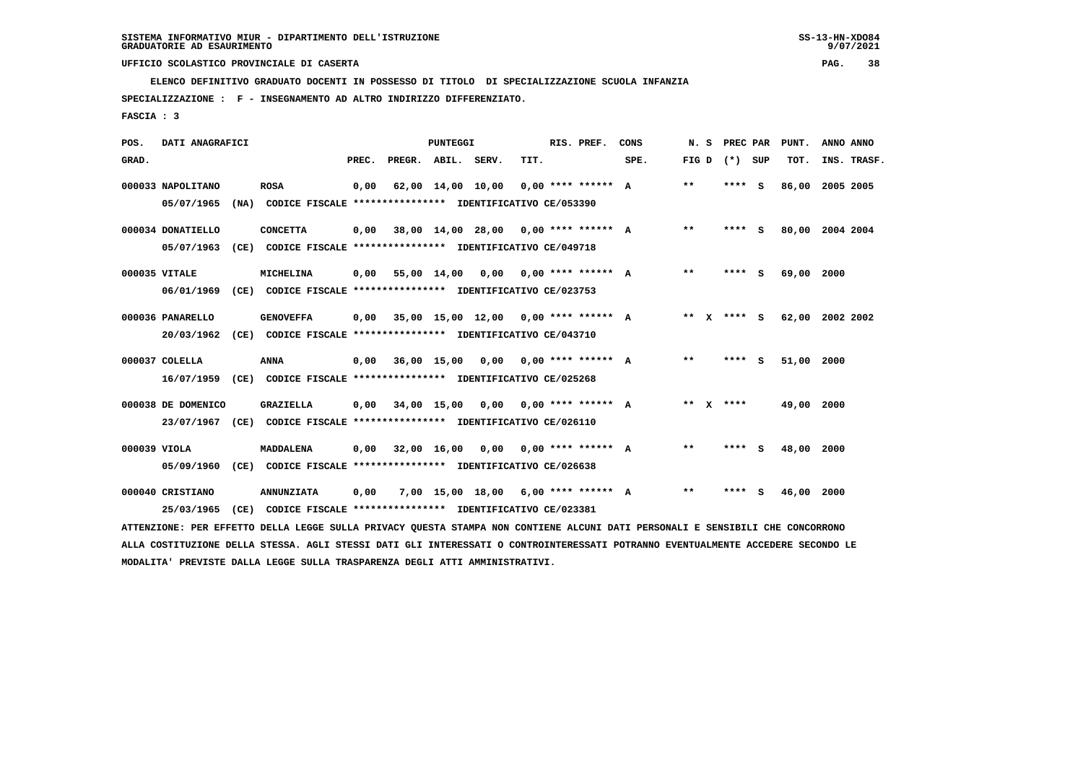**ELENCO DEFINITIVO GRADUATO DOCENTI IN POSSESSO DI TITOLO DI SPECIALIZZAZIONE SCUOLA INFANZIA**

 **SPECIALIZZAZIONE : F - INSEGNAMENTO AD ALTRO INDIRIZZO DIFFERENZIATO.**

 **FASCIA : 3**

| POS.         | DATI ANAGRAFICI                  |      |                                                                                   |       |        | <b>PUNTEGGI</b> |                                       |      | RIS. PREF.                  | CONS | N. S         | PREC PAR |     | PUNT.      | ANNO ANNO       |
|--------------|----------------------------------|------|-----------------------------------------------------------------------------------|-------|--------|-----------------|---------------------------------------|------|-----------------------------|------|--------------|----------|-----|------------|-----------------|
| GRAD.        |                                  |      |                                                                                   | PREC. | PREGR. | ABIL. SERV.     |                                       | TIT. |                             | SPE. | FIG D        | (*) SUP  |     | TOT.       | INS. TRASF.     |
|              | 000033 NAPOLITANO<br>05/07/1965  |      | <b>ROSA</b><br>(NA) CODICE FISCALE **************** IDENTIFICATIVO CE/053390      | 0,00  |        |                 | 62,00 14,00 10,00 0,00 **** ****** A  |      |                             |      | $* *$        | **** S   |     | 86,00      | 2005 2005       |
|              | 000034 DONATIELLO<br>05/07/1963  |      | <b>CONCETTA</b><br>(CE) CODICE FISCALE **************** IDENTIFICATIVO CE/049718  | 0,00  |        |                 | 38,00 14,00 28,00 0,00 **** ****** A  |      |                             |      | $***$        | ****     | - S | 80,00      | 2004 2004       |
|              | 000035 VITALE<br>06/01/1969      |      | MICHELINA<br>(CE) CODICE FISCALE **************** IDENTIFICATIVO CE/023753        | 0,00  |        | 55,00 14,00     | 0,00                                  |      | $0.00$ **** ****** A        |      | $\star\star$ | **** S   |     | 69,00 2000 |                 |
|              | 000036 PANARELLO<br>20/03/1962   | (CE) | <b>GENOVEFFA</b><br>CODICE FISCALE **************** IDENTIFICATIVO CE/043710      | 0,00  |        |                 | 35,00 15,00 12,00 0,00 **** ****** A  |      |                             |      | ** x **** s  |          |     |            | 62,00 2002 2002 |
|              | 000037 COLELLA<br>16/07/1959     |      | ANNA<br>(CE) CODICE FISCALE **************** IDENTIFICATIVO CE/025268             | 0,00  |        |                 | 36,00 15,00 0,00 0,00 **** ****** A   |      |                             |      | **           | **** S   |     | 51,00 2000 |                 |
|              | 000038 DE DOMENICO<br>23/07/1967 |      | <b>GRAZIELLA</b><br>(CE) CODICE FISCALE **************** IDENTIFICATIVO CE/026110 | 0,00  |        | 34,00 15,00     | $0,00$ $0,00$ **** ****** A           |      |                             |      | **<br>X      | ****     |     | 49,00 2000 |                 |
| 000039 VIOLA | 05/09/1960                       |      | <b>MADDALENA</b><br>(CE) CODICE FISCALE **************** IDENTIFICATIVO CE/026638 | 0,00  |        | 32,00 16,00     |                                       |      | $0,00$ $0,00$ **** ****** A |      | $* *$        | ****     | - S | 48,00      | 2000            |
|              | 000040 CRISTIANO<br>25/03/1965   | (CE) | <b>ANNUNZIATA</b><br>CODICE FISCALE **************** IDENTIFICATIVO CE/023381     | 0,00  |        |                 | $7,00$ 15,00 18,00 6,00 **** ****** A |      |                             |      | $* *$        | ****     | - S | 46,00      | 2000            |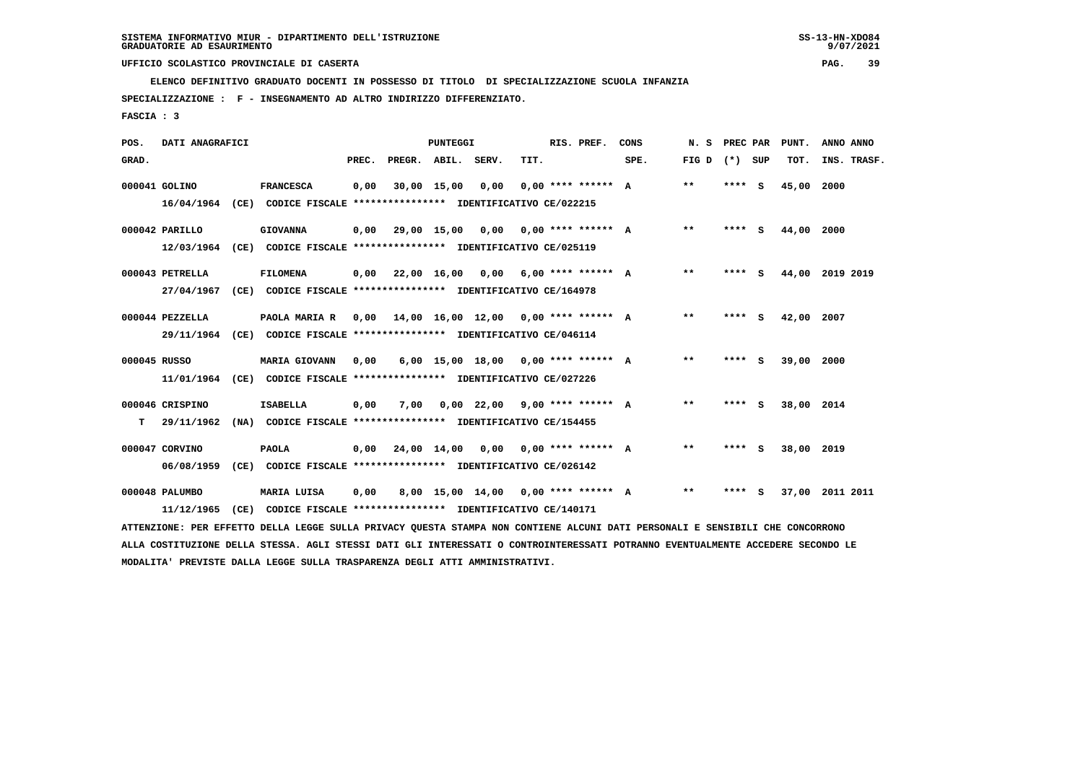**ELENCO DEFINITIVO GRADUATO DOCENTI IN POSSESSO DI TITOLO DI SPECIALIZZAZIONE SCUOLA INFANZIA**

 **SPECIALIZZAZIONE : F - INSEGNAMENTO AD ALTRO INDIRIZZO DIFFERENZIATO.**

 **FASCIA : 3**

| POS.         | DATI ANAGRAFICI |      |                                                                                                                               |       |                    | <b>PUNTEGGI</b> |                                                         |      | RIS. PREF.           | CONS | N. S              | PREC PAR | PUNT.      | ANNO ANNO       |
|--------------|-----------------|------|-------------------------------------------------------------------------------------------------------------------------------|-------|--------------------|-----------------|---------------------------------------------------------|------|----------------------|------|-------------------|----------|------------|-----------------|
| GRAD.        |                 |      |                                                                                                                               | PREC. | PREGR. ABIL. SERV. |                 |                                                         | TIT. |                      | SPE. | FIG $D$ $(*)$ SUP |          | TOT.       | INS. TRASF.     |
|              | 000041 GOLINO   |      | <b>FRANCESCA</b>                                                                                                              | 0,00  |                    | 30,00 15,00     | 0,00                                                    |      | $0.00$ **** ****** A |      | $* *$             | **** S   | 45,00      | 2000            |
|              | 16/04/1964      |      | (CE) CODICE FISCALE **************** IDENTIFICATIVO CE/022215                                                                 |       |                    |                 |                                                         |      |                      |      |                   |          |            |                 |
|              | 000042 PARILLO  |      | <b>GIOVANNA</b>                                                                                                               |       |                    |                 | $0,00$ 29,00 15,00 0,00 0,00 **** ****** A              |      |                      |      | $* *$             | $***$ S  | 44,00      | 2000            |
|              |                 |      | 12/03/1964 (CE) CODICE FISCALE *************** IDENTIFICATIVO CE/025119                                                       |       |                    |                 |                                                         |      |                      |      |                   |          |            |                 |
|              | 000043 PETRELLA |      | <b>FILOMENA</b>                                                                                                               | 0,00  |                    |                 | 22,00 16,00 0,00 6,00 **** ****** A                     |      |                      |      | $* *$             | **** S   |            | 44,00 2019 2019 |
|              | 27/04/1967      |      | (CE) CODICE FISCALE **************** IDENTIFICATIVO CE/164978                                                                 |       |                    |                 |                                                         |      |                      |      |                   |          |            |                 |
|              | 000044 PEZZELLA |      | PAOLA MARIA R                                                                                                                 |       |                    |                 | $0,00$ 14,00 16,00 12,00 0,00 **** ****** A             |      |                      |      | $* *$             | **** S   | 42,00 2007 |                 |
|              | 29/11/1964      |      | (CE) CODICE FISCALE **************** IDENTIFICATIVO CE/046114                                                                 |       |                    |                 |                                                         |      |                      |      |                   |          |            |                 |
| 000045 RUSSO |                 |      | MARIA GIOVANN                                                                                                                 | 0.00  |                    |                 | 6,00 15,00 18,00 0,00 **** ****** A                     |      |                      |      | $***$             | **** S   | 39,00 2000 |                 |
|              |                 |      | 11/01/1964 (CE) CODICE FISCALE *************** IDENTIFICATIVO CE/027226                                                       |       |                    |                 |                                                         |      |                      |      |                   |          |            |                 |
|              | 000046 CRISPINO |      | <b>ISABELLA</b>                                                                                                               | 0,00  | 7,00               |                 | $0,00$ 22,00 9,00 **** ****** A                         |      |                      |      | $***$             | $***$ S  | 38,00 2014 |                 |
| т            | 29/11/1962      |      | (NA) CODICE FISCALE **************** IDENTIFICATIVO CE/154455                                                                 |       |                    |                 |                                                         |      |                      |      |                   |          |            |                 |
|              | 000047 CORVINO  |      | <b>PAOLA</b>                                                                                                                  |       |                    |                 | $0,00$ $24,00$ $14,00$ $0,00$ $0,00$ $***$ **** ***** A |      |                      |      | $* *$             | **** S   | 38,00 2019 |                 |
|              | 06/08/1959      |      | (CE) CODICE FISCALE **************** IDENTIFICATIVO CE/026142                                                                 |       |                    |                 |                                                         |      |                      |      |                   |          |            |                 |
|              |                 |      |                                                                                                                               |       |                    |                 |                                                         |      |                      |      |                   |          |            |                 |
|              | 000048 PALUMBO  |      | MARIA LUISA                                                                                                                   | 0,00  |                    |                 | 8,00 15,00 14,00 0,00 **** ****** A                     |      |                      |      | $* *$             | **** S   |            | 37,00 2011 2011 |
|              | 11/12/1965      | (CE) | CODICE FISCALE **************** IDENTIFICATIVO CE/140171                                                                      |       |                    |                 |                                                         |      |                      |      |                   |          |            |                 |
|              |                 |      | ATTENZIONE: PER EFFETTO DELLA LEGGE SULLA PRIVACY QUESTA STAMPA NON CONTIENE ALCUNI DATI PERSONALI E SENSIBILI CHE CONCORRONO |       |                    |                 |                                                         |      |                      |      |                   |          |            |                 |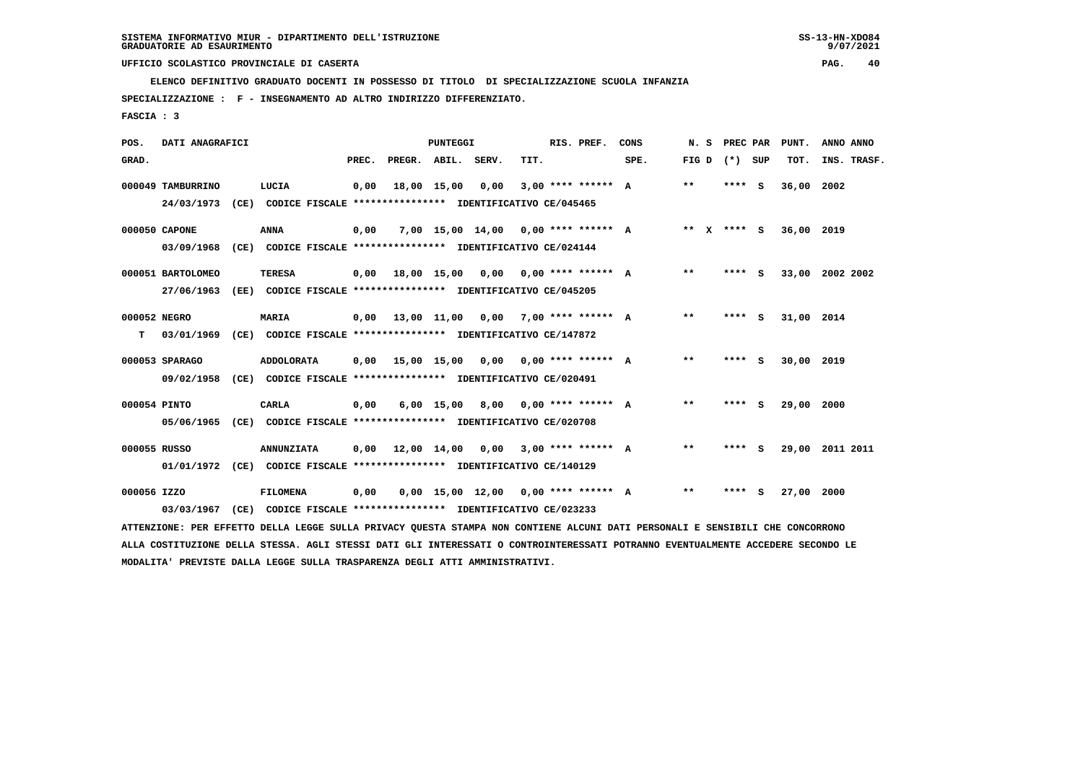**ELENCO DEFINITIVO GRADUATO DOCENTI IN POSSESSO DI TITOLO DI SPECIALIZZAZIONE SCUOLA INFANZIA**

 **SPECIALIZZAZIONE : F - INSEGNAMENTO AD ALTRO INDIRIZZO DIFFERENZIATO.**

 **FASCIA : 3**

| POS.         | DATI ANAGRAFICI   |                                                                                                                               |       |                    | PUNTEGGI    |                                            |      | RIS. PREF.           | CONS | N. S  |                   | PREC PAR PUNT.  | ANNO ANNO |             |
|--------------|-------------------|-------------------------------------------------------------------------------------------------------------------------------|-------|--------------------|-------------|--------------------------------------------|------|----------------------|------|-------|-------------------|-----------------|-----------|-------------|
| GRAD.        |                   |                                                                                                                               | PREC. | PREGR. ABIL. SERV. |             |                                            | TIT. |                      | SPE. |       | FIG $D$ $(*)$ SUP | TOT.            |           | INS. TRASF. |
|              | 000049 TAMBURRINO | LUCIA                                                                                                                         | 0,00  |                    | 18,00 15,00 | 0,00                                       |      | $3.00$ **** ****** A |      | $* *$ | **** S            | 36,00           | 2002      |             |
|              |                   | 24/03/1973 (CE) CODICE FISCALE *************** IDENTIFICATIVO CE/045465                                                       |       |                    |             |                                            |      |                      |      |       |                   |                 |           |             |
|              | 000050 CAPONE     | ANNA                                                                                                                          | 0,00  |                    |             | 7,00 15,00 14,00 0,00 **** ****** A        |      |                      |      |       | ** x **** s       | 36,00 2019      |           |             |
|              | 03/09/1968        | (CE) CODICE FISCALE *************** IDENTIFICATIVO CE/024144                                                                  |       |                    |             |                                            |      |                      |      |       |                   |                 |           |             |
|              | 000051 BARTOLOMEO | <b>TERESA</b>                                                                                                                 |       |                    |             | $0,00$ 18,00 15,00 0,00 0,00 **** ****** A |      |                      |      | $***$ | **** S            | 33,00 2002 2002 |           |             |
|              | 27/06/1963        | (EE) CODICE FISCALE **************** IDENTIFICATIVO CE/045205                                                                 |       |                    |             |                                            |      |                      |      |       |                   |                 |           |             |
| 000052 NEGRO |                   | <b>MARIA</b>                                                                                                                  |       |                    |             | $0,00$ 13,00 11,00 0,00 7,00 **** ****** A |      |                      |      | $***$ | **** S            | 31,00 2014      |           |             |
| т            |                   | 03/01/1969 (CE) CODICE FISCALE **************** IDENTIFICATIVO CE/147872                                                      |       |                    |             |                                            |      |                      |      |       |                   |                 |           |             |
|              |                   |                                                                                                                               |       |                    |             |                                            |      |                      |      |       |                   |                 |           |             |
|              | 000053 SPARAGO    | <b>ADDOLORATA</b>                                                                                                             |       |                    |             | $0,00$ 15,00 15,00 0,00 0,00 **** ****** A |      |                      |      | $* *$ | **** S            | 30,00 2019      |           |             |
|              | 09/02/1958        | (CE) CODICE FISCALE **************** IDENTIFICATIVO CE/020491                                                                 |       |                    |             |                                            |      |                      |      |       |                   |                 |           |             |
| 000054 PINTO |                   | CARLA                                                                                                                         | 0,00  |                    |             | $6,00$ 15,00 8,00 0,00 **** ****** A       |      |                      |      | **    | **** S            | 29,00 2000      |           |             |
|              | 05/06/1965        | (CE) CODICE FISCALE *************** IDENTIFICATIVO CE/020708                                                                  |       |                    |             |                                            |      |                      |      |       |                   |                 |           |             |
| 000055 RUSSO |                   | <b>ANNUNZIATA</b>                                                                                                             | 0,00  |                    |             | 12,00 14,00 0,00 3,00 **** ****** A        |      |                      |      | $* *$ | **** S            | 29,00 2011 2011 |           |             |
|              |                   | 01/01/1972 (CE) CODICE FISCALE *************** IDENTIFICATIVO CE/140129                                                       |       |                    |             |                                            |      |                      |      |       |                   |                 |           |             |
|              |                   |                                                                                                                               |       |                    |             |                                            |      |                      |      |       |                   |                 |           |             |
| 000056 IZZO  |                   | <b>FILOMENA</b>                                                                                                               | 0,00  |                    |             | $0,00$ 15,00 12,00 0,00 **** ****** A      |      |                      |      | $* *$ | **** S            | 27,00 2000      |           |             |
|              | 03/03/1967        | (CE) CODICE FISCALE **************** IDENTIFICATIVO CE/023233                                                                 |       |                    |             |                                            |      |                      |      |       |                   |                 |           |             |
|              |                   | ATTENZIONE: PER EFFETTO DELLA LEGGE SULLA PRIVACY QUESTA STAMPA NON CONTIENE ALCUNI DATI PERSONALI E SENSIBILI CHE CONCORRONO |       |                    |             |                                            |      |                      |      |       |                   |                 |           |             |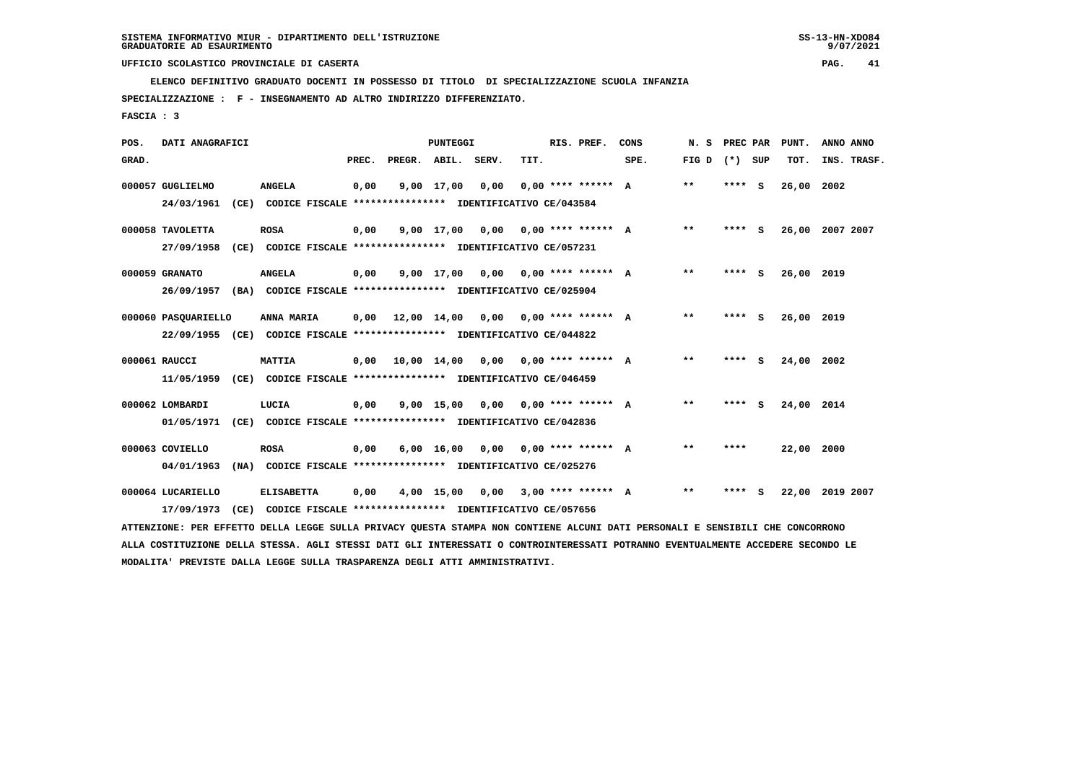**ELENCO DEFINITIVO GRADUATO DOCENTI IN POSSESSO DI TITOLO DI SPECIALIZZAZIONE SCUOLA INFANZIA**

 **SPECIALIZZAZIONE : F - INSEGNAMENTO AD ALTRO INDIRIZZO DIFFERENZIATO.**

 **FASCIA : 3**

| POS.  | DATI ANAGRAFICI     |      |                                                                                                                               |       |                    | <b>PUNTEGGI</b> |                                             |      | RIS. PREF.                  | CONS | N. S              | PREC PAR | PUNT.      | ANNO ANNO       |
|-------|---------------------|------|-------------------------------------------------------------------------------------------------------------------------------|-------|--------------------|-----------------|---------------------------------------------|------|-----------------------------|------|-------------------|----------|------------|-----------------|
| GRAD. |                     |      |                                                                                                                               | PREC. | PREGR. ABIL. SERV. |                 |                                             | TIT. |                             | SPE. | FIG $D$ $(*)$ SUP |          | TOT.       | INS. TRASF.     |
|       | 000057 GUGLIELMO    |      | <b>ANGELA</b>                                                                                                                 | 0,00  |                    | 9,00 17,00      | 0,00                                        |      | $0.00$ **** ****** A        |      | $* *$             | $***$ S  | 26,00      | 2002            |
|       | 24/03/1961          |      | (CE) CODICE FISCALE **************** IDENTIFICATIVO CE/043584                                                                 |       |                    |                 |                                             |      |                             |      |                   |          |            |                 |
|       | 000058 TAVOLETTA    |      | ROSA                                                                                                                          | 0,00  |                    |                 | $9,00$ 17,00 0,00 0,00 **** ****** A        |      |                             |      | $***$             | **** S   |            | 26,00 2007 2007 |
|       | 27/09/1958          |      | (CE) CODICE FISCALE **************** IDENTIFICATIVO CE/057231                                                                 |       |                    |                 |                                             |      |                             |      |                   |          |            |                 |
|       | 000059 GRANATO      |      | <b>ANGELA</b>                                                                                                                 | 0,00  |                    |                 | $9,00$ 17,00 0,00 0,00 **** ****** A        |      |                             |      | $***$             | **** S   | 26,00 2019 |                 |
|       | 26/09/1957          |      | (BA) CODICE FISCALE **************** IDENTIFICATIVO CE/025904                                                                 |       |                    |                 |                                             |      |                             |      |                   |          |            |                 |
|       |                     |      |                                                                                                                               |       |                    |                 |                                             |      |                             |      |                   |          |            |                 |
|       | 000060 PASQUARIELLO |      | ANNA MARIA                                                                                                                    | 0,00  |                    |                 | 12,00 14,00 0,00 0,00 **** ****** A         |      |                             |      | $***$             | **** S   | 26,00 2019 |                 |
|       |                     |      | 22/09/1955 (CE) CODICE FISCALE *************** IDENTIFICATIVO CE/044822                                                       |       |                    |                 |                                             |      |                             |      |                   |          |            |                 |
|       | 000061 RAUCCI       |      | <b>MATTIA</b>                                                                                                                 | 0,00  |                    |                 | $10,00$ $14,00$ $0,00$ $0,00$ **** ****** A |      |                             |      | $***$             | **** S   | 24,00 2002 |                 |
|       | 11/05/1959          |      | (CE) CODICE FISCALE **************** IDENTIFICATIVO CE/046459                                                                 |       |                    |                 |                                             |      |                             |      |                   |          |            |                 |
|       | 000062 LOMBARDI     |      | LUCIA                                                                                                                         | 0,00  |                    |                 | $9,00$ 15,00 0,00 0,00 **** ****** A        |      |                             |      | $* *$             | **** S   | 24,00 2014 |                 |
|       | 01/05/1971          |      | (CE) CODICE FISCALE **************** IDENTIFICATIVO CE/042836                                                                 |       |                    |                 |                                             |      |                             |      |                   |          |            |                 |
|       |                     |      |                                                                                                                               |       |                    |                 |                                             |      |                             |      |                   |          |            |                 |
|       | 000063 COVIELLO     |      | <b>ROSA</b>                                                                                                                   | 0,00  |                    | 6,00 16,00      |                                             |      | $0,00$ $0,00$ **** ****** A |      | **                | ****     | 22,00      | 2000            |
|       | 04/01/1963          |      | (NA) CODICE FISCALE **************** IDENTIFICATIVO CE/025276                                                                 |       |                    |                 |                                             |      |                             |      |                   |          |            |                 |
|       | 000064 LUCARIELLO   |      | <b>ELISABETTA</b>                                                                                                             | 0,00  |                    |                 | 4,00 15,00 0,00 3,00 **** ****** A          |      |                             |      | $* *$             | **** S   |            | 22,00 2019 2007 |
|       | 17/09/1973          | (CE) | CODICE FISCALE **************** IDENTIFICATIVO CE/057656                                                                      |       |                    |                 |                                             |      |                             |      |                   |          |            |                 |
|       |                     |      | ATTENZIONE: PER EFFETTO DELLA LEGGE SULLA PRIVACY QUESTA STAMPA NON CONTIENE ALCUNI DATI PERSONALI E SENSIBILI CHE CONCORRONO |       |                    |                 |                                             |      |                             |      |                   |          |            |                 |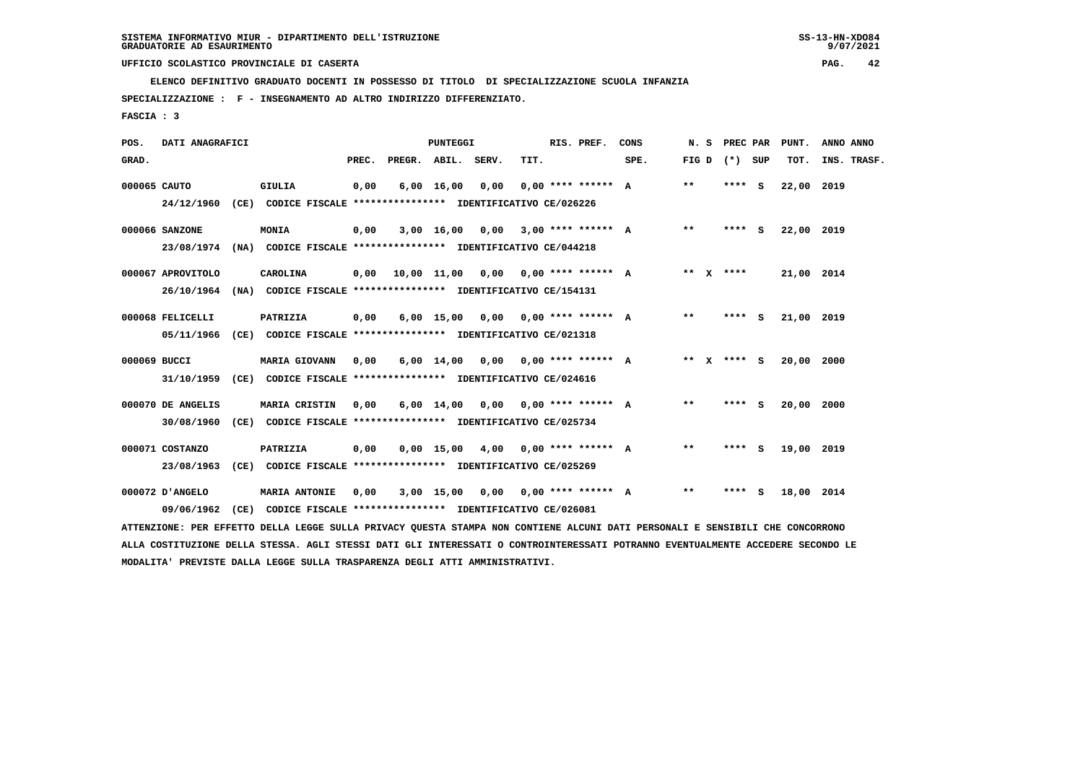**ELENCO DEFINITIVO GRADUATO DOCENTI IN POSSESSO DI TITOLO DI SPECIALIZZAZIONE SCUOLA INFANZIA**

 **SPECIALIZZAZIONE : F - INSEGNAMENTO AD ALTRO INDIRIZZO DIFFERENZIATO.**

 **FASCIA : 3**

| POS.         | DATI ANAGRAFICI   |                                                                                                                               |       |                    | <b>PUNTEGGI</b> |                                      |      | RIS. PREF.           | CONS | N. S  | PREC PAR          | PUNT.      | ANNO ANNO   |  |
|--------------|-------------------|-------------------------------------------------------------------------------------------------------------------------------|-------|--------------------|-----------------|--------------------------------------|------|----------------------|------|-------|-------------------|------------|-------------|--|
| GRAD.        |                   |                                                                                                                               | PREC. | PREGR. ABIL. SERV. |                 |                                      | TIT. |                      | SPE. |       | FIG $D$ $(*)$ SUP | TOT.       | INS. TRASF. |  |
| 000065 CAUTO |                   | <b>GIULIA</b>                                                                                                                 | 0,00  |                    | $6,00$ 16,00    | 0.00                                 |      | $0.00$ **** ****** A |      | $* *$ | $***$ S           | 22,00      | 2019        |  |
|              | 24/12/1960        | (CE) CODICE FISCALE **************** IDENTIFICATIVO CE/026226                                                                 |       |                    |                 |                                      |      |                      |      |       |                   |            |             |  |
|              | 000066 SANZONE    | MONIA                                                                                                                         | 0,00  |                    |                 | $3,00$ 16,00 0,00 3,00 **** ****** A |      |                      |      | $***$ | $***$ S           | 22,00 2019 |             |  |
|              | 23/08/1974        | (NA) CODICE FISCALE **************** IDENTIFICATIVO CE/044218                                                                 |       |                    |                 |                                      |      |                      |      |       |                   |            |             |  |
|              | 000067 APROVITOLO | CAROLINA                                                                                                                      | 0,00  |                    |                 | 10,00 11,00 0,00 0,00 **** ****** A  |      |                      |      |       | ** $X$ ****       | 21,00 2014 |             |  |
|              | 26/10/1964        | (NA) CODICE FISCALE **************** IDENTIFICATIVO CE/154131                                                                 |       |                    |                 |                                      |      |                      |      |       |                   |            |             |  |
|              | 000068 FELICELLI  | PATRIZIA                                                                                                                      | 0,00  |                    |                 | $6,00$ 15,00 0,00 0,00 **** ****** A |      |                      |      | $***$ | **** S            | 21,00 2019 |             |  |
|              | 05/11/1966        | (CE) CODICE FISCALE **************** IDENTIFICATIVO CE/021318                                                                 |       |                    |                 |                                      |      |                      |      |       |                   |            |             |  |
|              |                   |                                                                                                                               |       |                    |                 |                                      |      |                      |      |       |                   |            |             |  |
| 000069 BUCCI |                   | <b>MARIA GIOVANN</b>                                                                                                          | 0,00  |                    |                 | $6,00$ 14,00 0,00 0,00 **** ****** A |      |                      |      |       | ** X **** S       | 20,00 2000 |             |  |
|              | 31/10/1959        | (CE) CODICE FISCALE **************** IDENTIFICATIVO CE/024616                                                                 |       |                    |                 |                                      |      |                      |      |       |                   |            |             |  |
|              | 000070 DE ANGELIS | MARIA CRISTIN                                                                                                                 | 0,00  |                    |                 | $6,00$ 14,00 0,00 0,00 **** ****** A |      |                      |      | $* *$ | **** S            | 20,00 2000 |             |  |
|              | 30/08/1960        | (CE) CODICE FISCALE *************** IDENTIFICATIVO CE/025734                                                                  |       |                    |                 |                                      |      |                      |      |       |                   |            |             |  |
|              | 000071 COSTANZO   | PATRIZIA                                                                                                                      | 0,00  |                    |                 | $0,00$ 15,00 4,00                    |      | $0.00$ **** ****** A |      | $* *$ | **** S            | 19,00 2019 |             |  |
|              | 23/08/1963        | (CE) CODICE FISCALE **************** IDENTIFICATIVO CE/025269                                                                 |       |                    |                 |                                      |      |                      |      |       |                   |            |             |  |
|              | 000072 D'ANGELO   | <b>MARIA ANTONIE</b>                                                                                                          | 0,00  |                    | 3,00 15,00      | 0,00                                 |      | $0.00$ **** ****** A |      | $* *$ | **** S            | 18,00 2014 |             |  |
|              |                   |                                                                                                                               |       |                    |                 |                                      |      |                      |      |       |                   |            |             |  |
|              | 09/06/1962        | (CE) CODICE FISCALE **************** IDENTIFICATIVO CE/026081                                                                 |       |                    |                 |                                      |      |                      |      |       |                   |            |             |  |
|              |                   | ATTENZIONE: PER EFFETTO DELLA LEGGE SULLA PRIVACY OUESTA STAMPA NON CONTIENE ALCUNI DATI PERSONALI E SENSIBILI CHE CONCORRONO |       |                    |                 |                                      |      |                      |      |       |                   |            |             |  |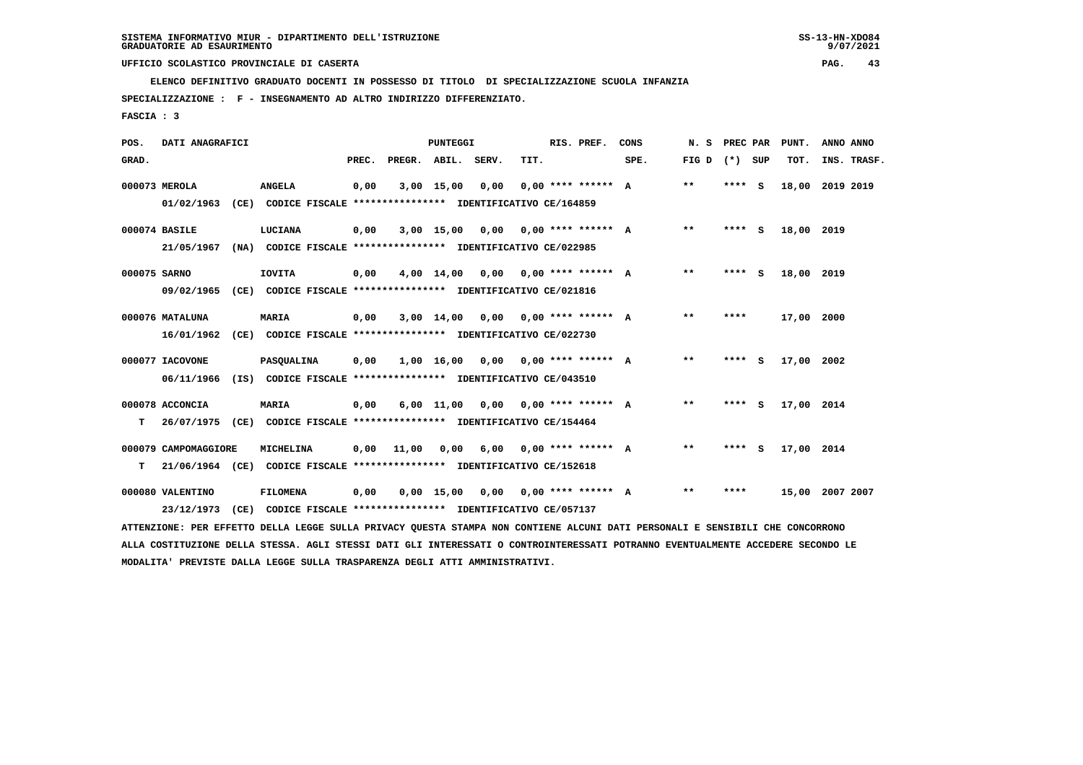**ELENCO DEFINITIVO GRADUATO DOCENTI IN POSSESSO DI TITOLO DI SPECIALIZZAZIONE SCUOLA INFANZIA**

 **SPECIALIZZAZIONE : F - INSEGNAMENTO AD ALTRO INDIRIZZO DIFFERENZIATO.**

 **FASCIA : 3**

| POS.                                                                                                                          | DATI ANAGRAFICI      |      | PUNTEGGI                                                                |       |                    |            |                                                 |      |  | RIS. PREF.           | CONS | N. S            | PREC PAR | PUNT.           | ANNO ANNO |             |
|-------------------------------------------------------------------------------------------------------------------------------|----------------------|------|-------------------------------------------------------------------------|-------|--------------------|------------|-------------------------------------------------|------|--|----------------------|------|-----------------|----------|-----------------|-----------|-------------|
| GRAD.                                                                                                                         |                      |      |                                                                         | PREC. | PREGR. ABIL. SERV. |            |                                                 | TIT. |  |                      | SPE. | FIG D $(*)$ SUP |          | TOT.            |           | INS. TRASF. |
|                                                                                                                               | 000073 MEROLA        |      | <b>ANGELA</b>                                                           | 0,00  |                    | 3,00 15,00 | 0,00                                            |      |  | $0.00$ **** ****** A |      | $* *$           | $***$ S  | 18,00           | 2019 2019 |             |
|                                                                                                                               | 01/02/1963           |      | (CE) CODICE FISCALE **************** IDENTIFICATIVO CE/164859           |       |                    |            |                                                 |      |  |                      |      |                 |          |                 |           |             |
|                                                                                                                               | 000074 BASILE        |      | LUCIANA                                                                 | 0,00  |                    |            | $3.00$ 15.00 0.00 0.00 **** ****** A            |      |  |                      |      | $* *$           | $***$ S  | 18,00 2019      |           |             |
|                                                                                                                               | 21/05/1967           |      | (NA) CODICE FISCALE **************** IDENTIFICATIVO CE/022985           |       |                    |            |                                                 |      |  |                      |      |                 |          |                 |           |             |
| 000075 SARNO                                                                                                                  |                      |      | <b>IOVITA</b>                                                           | 0,00  |                    |            | $4,00$ 14,00 0,00 0,00 **** ****** A            |      |  |                      |      | $***$           | $***$ S  | 18,00 2019      |           |             |
|                                                                                                                               | 09/02/1965           |      | (CE) CODICE FISCALE **************** IDENTIFICATIVO CE/021816           |       |                    |            |                                                 |      |  |                      |      |                 |          |                 |           |             |
|                                                                                                                               |                      |      |                                                                         |       |                    |            |                                                 |      |  |                      |      |                 |          |                 |           |             |
|                                                                                                                               | 000076 MATALUNA      |      | <b>MARIA</b>                                                            | 0,00  |                    |            | $3,00$ 14,00 0,00 0,00 **** ****** A            |      |  |                      |      | $***$           | ****     | 17,00 2000      |           |             |
|                                                                                                                               | 16/01/1962           |      | (CE) CODICE FISCALE **************** IDENTIFICATIVO CE/022730           |       |                    |            |                                                 |      |  |                      |      |                 |          |                 |           |             |
|                                                                                                                               | 000077 IACOVONE      |      | PASQUALINA                                                              | 0,00  |                    |            | $1,00$ $16,00$ $0,00$ $0,00$ $***$ **** ***** A |      |  |                      |      | $* *$           | **** S   | 17,00 2002      |           |             |
|                                                                                                                               | 06/11/1966           |      | (IS) CODICE FISCALE **************** IDENTIFICATIVO CE/043510           |       |                    |            |                                                 |      |  |                      |      |                 |          |                 |           |             |
|                                                                                                                               | 000078 ACCONCIA      |      | <b>MARIA</b>                                                            | 0,00  |                    |            | $6,00$ 11,00 0,00 0,00 **** ****** A            |      |  |                      |      | **              | **** S   | 17,00 2014      |           |             |
| т                                                                                                                             |                      |      | 26/07/1975 (CE) CODICE FISCALE *************** IDENTIFICATIVO CE/154464 |       |                    |            |                                                 |      |  |                      |      |                 |          |                 |           |             |
|                                                                                                                               |                      |      |                                                                         |       |                    |            |                                                 |      |  |                      |      |                 |          |                 |           |             |
|                                                                                                                               | 000079 CAMPOMAGGIORE |      | <b>MICHELINA</b>                                                        | 0,00  | 11,00              |            | $0,00$ 6,00 0,00 **** ****** A                  |      |  |                      |      | $**$            | **** S   | 17,00 2014      |           |             |
| т                                                                                                                             |                      |      | 21/06/1964 (CE) CODICE FISCALE *************** IDENTIFICATIVO CE/152618 |       |                    |            |                                                 |      |  |                      |      |                 |          |                 |           |             |
|                                                                                                                               | 000080 VALENTINO     |      | <b>FILOMENA</b>                                                         | 0,00  |                    |            | $0,00$ 15,00 0,00 0,00 **** ****** A            |      |  |                      |      | $* *$           | ****     | 15,00 2007 2007 |           |             |
|                                                                                                                               | 23/12/1973           | (CE) | CODICE FISCALE **************** IDENTIFICATIVO CE/057137                |       |                    |            |                                                 |      |  |                      |      |                 |          |                 |           |             |
| ATTENZIONE: PER EFFETTO DELLA LEGGE SULLA PRIVACY QUESTA STAMPA NON CONTIENE ALCUNI DATI PERSONALI E SENSIBILI CHE CONCORRONO |                      |      |                                                                         |       |                    |            |                                                 |      |  |                      |      |                 |          |                 |           |             |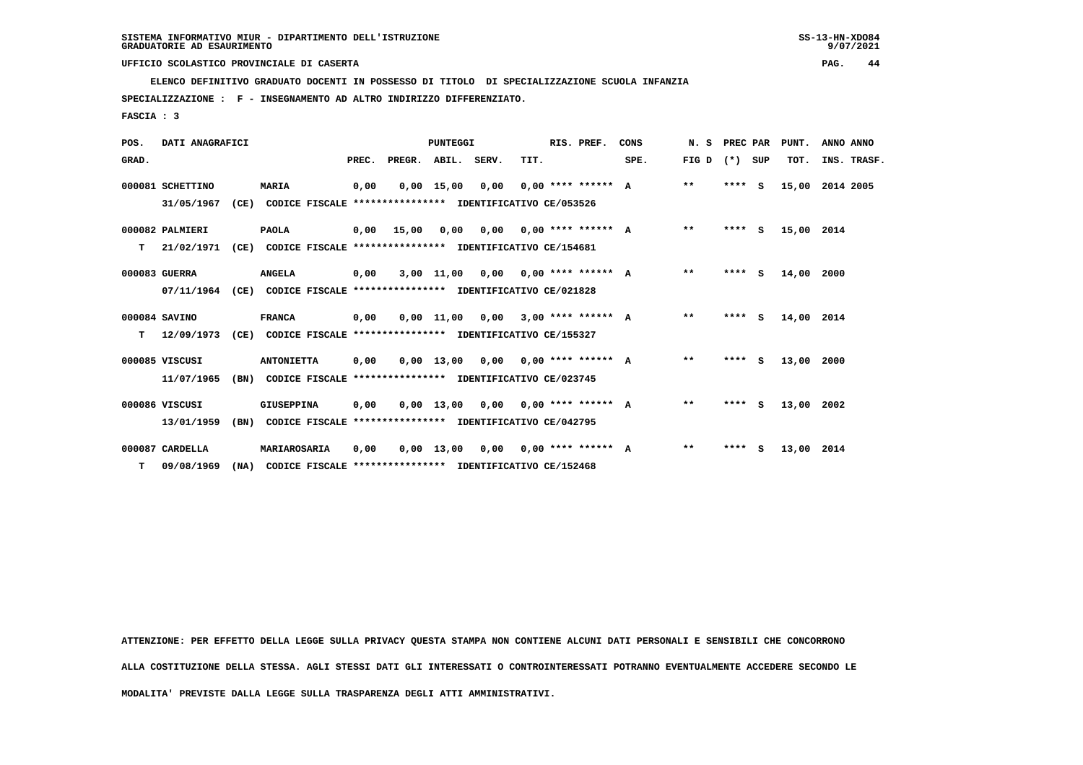**ELENCO DEFINITIVO GRADUATO DOCENTI IN POSSESSO DI TITOLO DI SPECIALIZZAZIONE SCUOLA INFANZIA**

 **SPECIALIZZAZIONE : F - INSEGNAMENTO AD ALTRO INDIRIZZO DIFFERENZIATO.**

 **FASCIA : 3**

| POS.  | DATI ANAGRAFICI  |      | PUNTEGGI                                                 |       |        |                    |      |      | RIS. PREF.                  | CONS | N. S  | PREC PAR |          | PUNT.      | ANNO ANNO   |
|-------|------------------|------|----------------------------------------------------------|-------|--------|--------------------|------|------|-----------------------------|------|-------|----------|----------|------------|-------------|
| GRAD. |                  |      |                                                          | PREC. | PREGR. | ABIL. SERV.        |      | TIT. |                             | SPE. | FIG D | (*) SUP  |          | TOT.       | INS. TRASF. |
|       | 000081 SCHETTINO |      | <b>MARIA</b>                                             | 0,00  |        | $0,00$ 15,00       | 0,00 |      | $0.00$ **** ****** A        |      | $***$ | ****     | - S      | 15,00      | 2014 2005   |
|       | 31/05/1967       | (CE) | CODICE FISCALE **************** IDENTIFICATIVO CE/053526 |       |        |                    |      |      |                             |      |       |          |          |            |             |
|       | 000082 PALMIERI  |      | <b>PAOLA</b>                                             | 0,00  | 15,00  | 0,00               | 0,00 |      | $0,00$ **** ****** A        |      | $***$ | ****     | - S      | 15,00      | 2014        |
| т     | 21/02/1971       | (CE) | CODICE FISCALE **************** IDENTIFICATIVO CE/154681 |       |        |                    |      |      |                             |      |       |          |          |            |             |
|       | 000083 GUERRA    |      | <b>ANGELA</b>                                            | 0,00  |        | $3,00$ 11,00       | 0,00 |      | $0.00$ **** ****** A        |      | $* *$ | ****     | - S      | 14,00      | 2000        |
|       | 07/11/1964       | (CE) | CODICE FISCALE **************** IDENTIFICATIVO CE/021828 |       |        |                    |      |      |                             |      |       |          |          |            |             |
|       | 000084 SAVINO    |      | <b>FRANCA</b>                                            | 0,00  |        | $0.00$ 11.00       | 0,00 |      | $3.00$ **** ****** A        |      | $* *$ | ****     | <b>S</b> | 14,00      | 2014        |
| т     | 12/09/1973       | (CE) | CODICE FISCALE **************** IDENTIFICATIVO CE/155327 |       |        |                    |      |      |                             |      |       |          |          |            |             |
|       | 000085 VISCUSI   |      | <b>ANTONIETTA</b>                                        | 0,00  |        | 0,00 13,00         |      |      | $0,00$ $0,00$ **** ****** A |      | $***$ | **** S   |          | 13,00      | 2000        |
|       | 11/07/1965       | (BN) | CODICE FISCALE **************** IDENTIFICATIVO CE/023745 |       |        |                    |      |      |                             |      |       |          |          |            |             |
|       | 000086 VISCUSI   |      | GIUSEPPINA                                               | 0,00  |        | $0,00$ 13,00       |      |      | $0.00$ $0.00$ **** ****** A |      | $* *$ | ****     | <b>S</b> | 13,00      | 2002        |
|       | 13/01/1959       | (BN) | CODICE FISCALE **************** IDENTIFICATIVO CE/042795 |       |        |                    |      |      |                             |      |       |          |          |            |             |
|       | 000087 CARDELLA  |      | MARIAROSARIA                                             | 0,00  |        | $0,00 \quad 13,00$ |      |      | $0,00$ $0,00$ **** ****** A |      | $* *$ | ****     | <b>S</b> | 13,00 2014 |             |
| т     | 09/08/1969       | (NA) | CODICE FISCALE **************** IDENTIFICATIVO CE/152468 |       |        |                    |      |      |                             |      |       |          |          |            |             |